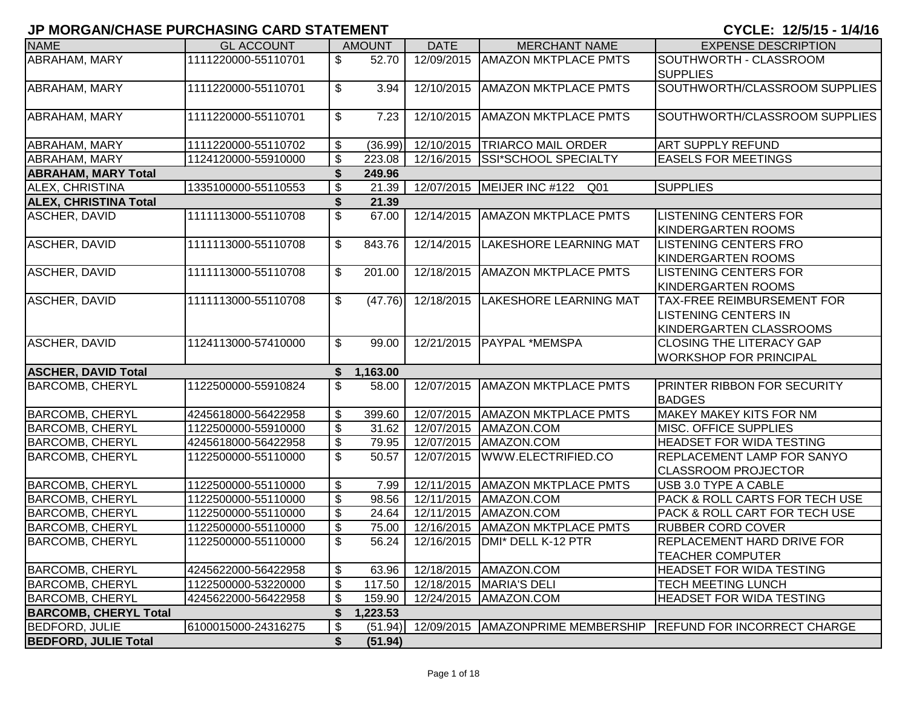|                              | ו וווסווסהוקטוואט ביווטווס ווועדודי וטו |                          |               |             |                                               |                                                                                             |
|------------------------------|-----------------------------------------|--------------------------|---------------|-------------|-----------------------------------------------|---------------------------------------------------------------------------------------------|
| <b>NAME</b>                  | <b>GL ACCOUNT</b>                       |                          | <b>AMOUNT</b> | <b>DATE</b> | <b>MERCHANT NAME</b>                          | <b>EXPENSE DESCRIPTION</b>                                                                  |
| ABRAHAM, MARY                | 1111220000-55110701                     | \$                       | 52.70         | 12/09/2015  | <b>AMAZON MKTPLACE PMTS</b>                   | SOUTHWORTH - CLASSROOM<br><b>SUPPLIES</b>                                                   |
| ABRAHAM, MARY                | 1111220000-55110701                     | \$                       | 3.94          | 12/10/2015  | <b>AMAZON MKTPLACE PMTS</b>                   | SOUTHWORTH/CLASSROOM SUPPLIES                                                               |
| ABRAHAM, MARY                | 1111220000-55110701                     | \$                       | 7.23          | 12/10/2015  | <b>AMAZON MKTPLACE PMTS</b>                   | SOUTHWORTH/CLASSROOM SUPPLIES                                                               |
| ABRAHAM, MARY                | 1111220000-55110702                     | \$                       | (36.99)       | 12/10/2015  | <b>TRIARCO MAIL ORDER</b>                     | <b>ART SUPPLY REFUND</b>                                                                    |
| <b>ABRAHAM, MARY</b>         | 1124120000-55910000                     | \$                       | 223.08        | 12/16/2015  | <b>SSI*SCHOOL SPECIALTY</b>                   | <b>EASELS FOR MEETINGS</b>                                                                  |
| <b>ABRAHAM, MARY Total</b>   |                                         | \$                       | 249.96        |             |                                               |                                                                                             |
| ALEX, CHRISTINA              | 1335100000-55110553                     | $\overline{\mathbf{e}}$  | 21.39         |             | 12/07/2015 MEIJER INC #122<br>Q <sub>01</sub> | <b>SUPPLIES</b>                                                                             |
| <b>ALEX, CHRISTINA Total</b> |                                         | \$                       | 21.39         |             |                                               |                                                                                             |
| <b>ASCHER, DAVID</b>         | 1111113000-55110708                     | \$                       | 67.00         | 12/14/2015  | <b>AMAZON MKTPLACE PMTS</b>                   | <b>LISTENING CENTERS FOR</b><br><b>KINDERGARTEN ROOMS</b>                                   |
| <b>ASCHER, DAVID</b>         | 1111113000-55110708                     | \$                       | 843.76        | 12/14/2015  | <b>LAKESHORE LEARNING MAT</b>                 | <b>LISTENING CENTERS FRO</b><br><b>KINDERGARTEN ROOMS</b>                                   |
| ASCHER, DAVID                | 1111113000-55110708                     | \$                       | 201.00        | 12/18/2015  | <b>AMAZON MKTPLACE PMTS</b>                   | <b>LISTENING CENTERS FOR</b><br><b>KINDERGARTEN ROOMS</b>                                   |
| <b>ASCHER, DAVID</b>         | 1111113000-55110708                     | \$                       | (47.76)       |             | 12/18/2015 LAKESHORE LEARNING MAT             | <b>TAX-FREE REIMBURSEMENT FOR</b><br><b>LISTENING CENTERS IN</b><br>KINDERGARTEN CLASSROOMS |
| <b>ASCHER, DAVID</b>         | 1124113000-57410000                     | \$                       | 99.00         |             | 12/21/2015   PAYPAL *MEMSPA                   | <b>CLOSING THE LITERACY GAP</b><br><b>WORKSHOP FOR PRINCIPAL</b>                            |
| <b>ASCHER, DAVID Total</b>   |                                         | \$                       | 1,163.00      |             |                                               |                                                                                             |
| <b>BARCOMB, CHERYL</b>       | 1122500000-55910824                     | \$                       | 58.00         | 12/07/2015  | <b>AMAZON MKTPLACE PMTS</b>                   | PRINTER RIBBON FOR SECURITY<br><b>BADGES</b>                                                |
| <b>BARCOMB, CHERYL</b>       | 4245618000-56422958                     | \$                       | 399.60        |             | 12/07/2015 AMAZON MKTPLACE PMTS               | <b>MAKEY MAKEY KITS FOR NM</b>                                                              |
| <b>BARCOMB, CHERYL</b>       | 1122500000-55910000                     | \$                       | 31.62         | 12/07/2015  | AMAZON.COM                                    | MISC. OFFICE SUPPLIES                                                                       |
| <b>BARCOMB, CHERYL</b>       | 4245618000-56422958                     | \$                       | 79.95         | 12/07/2015  | AMAZON.COM                                    | <b>HEADSET FOR WIDA TESTING</b>                                                             |
| <b>BARCOMB, CHERYL</b>       | 1122500000-55110000                     | \$                       | 50.57         | 12/07/2015  | WWW.ELECTRIFIED.CO                            | <b>REPLACEMENT LAMP FOR SANYO</b><br><b>CLASSROOM PROJECTOR</b>                             |
| <b>BARCOMB, CHERYL</b>       | 1122500000-55110000                     | \$                       | 7.99          | 12/11/2015  | <b>AMAZON MKTPLACE PMTS</b>                   | USB 3.0 TYPE A CABLE                                                                        |
| <b>BARCOMB, CHERYL</b>       | 1122500000-55110000                     | \$                       | 98.56         | 12/11/2015  | AMAZON.COM                                    | PACK & ROLL CARTS FOR TECH USE                                                              |
| <b>BARCOMB, CHERYL</b>       | 1122500000-55110000                     | \$                       | 24.64         | 12/11/2015  | AMAZON.COM                                    | <b>PACK &amp; ROLL CART FOR TECH USE</b>                                                    |
| <b>BARCOMB, CHERYL</b>       | 1122500000-55110000                     | \$                       | 75.00         | 12/16/2015  | <b>AMAZON MKTPLACE PMTS</b>                   | <b>RUBBER CORD COVER</b>                                                                    |
| <b>BARCOMB, CHERYL</b>       | 1122500000-55110000                     | $\overline{\mathcal{S}}$ | 56.24         |             | 12/16/2015   DMI* DELL K-12 PTR               | <b>REPLACEMENT HARD DRIVE FOR</b><br><b>TEACHER COMPUTER</b>                                |
| <b>BARCOMB, CHERYL</b>       | 4245622000-56422958                     | \$                       | 63.96         |             | 12/18/2015   AMAZON.COM                       | HEADSET FOR WIDA TESTING                                                                    |
| <b>BARCOMB, CHERYL</b>       | 1122500000-53220000                     | \$                       | 117.50        |             | 12/18/2015   MARIA'S DELI                     | <b>TECH MEETING LUNCH</b>                                                                   |
| <b>BARCOMB, CHERYL</b>       | 4245622000-56422958                     | \$                       | 159.90        |             | 12/24/2015   AMAZON.COM                       | <b>HEADSET FOR WIDA TESTING</b>                                                             |
| <b>BARCOMB, CHERYL Total</b> |                                         | \$                       | 1,223.53      |             |                                               |                                                                                             |
| <b>BEDFORD, JULIE</b>        | 6100015000-24316275                     | \$                       | (51.94)       |             | 12/09/2015   AMAZONPRIME MEMBERSHIP           | <b>REFUND FOR INCORRECT CHARGE</b>                                                          |
| <b>BEDFORD, JULIE Total</b>  |                                         | \$                       | (51.94)       |             |                                               |                                                                                             |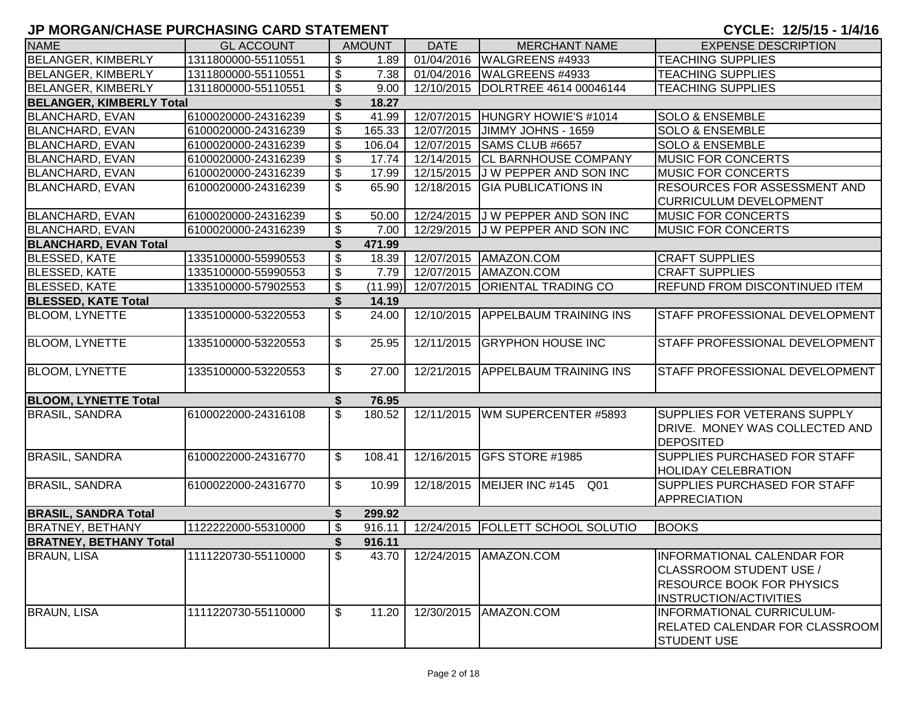| <b>NAME</b>                     | <b>GL ACCOUNT</b>   |                           | <b>AMOUNT</b> | <b>DATE</b>             | <b>MERCHANT NAME</b>                | <b>EXPENSE DESCRIPTION</b>                                                                                                        |
|---------------------------------|---------------------|---------------------------|---------------|-------------------------|-------------------------------------|-----------------------------------------------------------------------------------------------------------------------------------|
| <b>BELANGER, KIMBERLY</b>       | 1311800000-55110551 | \$                        | 1.89          | $\overline{01}/04/2016$ | WALGREENS #4933                     | <b>TEACHING SUPPLIES</b>                                                                                                          |
| <b>BELANGER, KIMBERLY</b>       | 1311800000-55110551 | $\boldsymbol{\mathsf{S}}$ | 7.38          | 01/04/2016              | WALGREENS #4933                     | <b>TEACHING SUPPLIES</b>                                                                                                          |
| <b>BELANGER, KIMBERLY</b>       | 1311800000-55110551 | \$                        | 9.00          | 12/10/2015              | DOLRTREE 4614 00046144              | <b>TEACHING SUPPLIES</b>                                                                                                          |
| <b>BELANGER, KIMBERLY Total</b> |                     | \$                        | 18.27         |                         |                                     |                                                                                                                                   |
| <b>BLANCHARD, EVAN</b>          | 6100020000-24316239 | \$                        | 41.99         | 12/07/2015              | HUNGRY HOWIE'S #1014                | <b>SOLO &amp; ENSEMBLE</b>                                                                                                        |
| <b>BLANCHARD, EVAN</b>          | 6100020000-24316239 | \$                        | 165.33        | 12/07/2015              | JIMMY JOHNS - 1659                  | <b>SOLO &amp; ENSEMBLE</b>                                                                                                        |
| <b>BLANCHARD, EVAN</b>          | 6100020000-24316239 | \$                        | 106.04        | 12/07/2015              | SAMS CLUB #6657                     | <b>SOLO &amp; ENSEMBLE</b>                                                                                                        |
| <b>BLANCHARD, EVAN</b>          | 6100020000-24316239 | \$                        | 17.74         | 12/14/2015              | <b>CL BARNHOUSE COMPANY</b>         | <b>MUSIC FOR CONCERTS</b>                                                                                                         |
| <b>BLANCHARD, EVAN</b>          | 6100020000-24316239 | \$                        | 17.99         | 12/15/2015              | J W PEPPER AND SON INC              | <b>MUSIC FOR CONCERTS</b>                                                                                                         |
| <b>BLANCHARD, EVAN</b>          | 6100020000-24316239 | \$                        | 65.90         | 12/18/2015              | <b>GIA PUBLICATIONS IN</b>          | RESOURCES FOR ASSESSMENT AND                                                                                                      |
|                                 |                     |                           |               |                         |                                     | <b>CURRICULUM DEVELOPMENT</b>                                                                                                     |
| <b>BLANCHARD, EVAN</b>          | 6100020000-24316239 | \$                        | 50.00         |                         | 12/24/2015 J W PEPPER AND SON INC   | <b>MUSIC FOR CONCERTS</b>                                                                                                         |
| <b>BLANCHARD, EVAN</b>          | 6100020000-24316239 | \$                        | 7.00          |                         | 12/29/2015 J W PEPPER AND SON INC   | <b>MUSIC FOR CONCERTS</b>                                                                                                         |
| <b>BLANCHARD, EVAN Total</b>    |                     | \$                        | 471.99        |                         |                                     |                                                                                                                                   |
| <b>BLESSED, KATE</b>            | 1335100000-55990553 | \$                        | 18.39         | 12/07/2015              | AMAZON.COM                          | <b>CRAFT SUPPLIES</b>                                                                                                             |
| <b>BLESSED, KATE</b>            | 1335100000-55990553 | \$                        | 7.79          | 12/07/2015              | AMAZON.COM                          | <b>CRAFT SUPPLIES</b>                                                                                                             |
| <b>BLESSED, KATE</b>            | 1335100000-57902553 | \$                        | (11.99)       | 12/07/2015              | <b>ORIENTAL TRADING CO</b>          | <b>REFUND FROM DISCONTINUED ITEM</b>                                                                                              |
| <b>BLESSED, KATE Total</b>      |                     | \$                        | 14.19         |                         |                                     |                                                                                                                                   |
| <b>BLOOM, LYNETTE</b>           | 1335100000-53220553 | \$                        | 24.00         | 12/10/2015              | <b>APPELBAUM TRAINING INS</b>       | <b>STAFF PROFESSIONAL DEVELOPMENT</b>                                                                                             |
| <b>BLOOM, LYNETTE</b>           | 1335100000-53220553 | \$                        | 25.95         | 12/11/2015              | <b>GRYPHON HOUSE INC</b>            | STAFF PROFESSIONAL DEVELOPMENT                                                                                                    |
| <b>BLOOM, LYNETTE</b>           | 1335100000-53220553 | \$                        | 27.00         | 12/21/2015              | <b>APPELBAUM TRAINING INS</b>       | STAFF PROFESSIONAL DEVELOPMENT                                                                                                    |
| <b>BLOOM, LYNETTE Total</b>     |                     | \$                        | 76.95         |                         |                                     |                                                                                                                                   |
| <b>BRASIL, SANDRA</b>           | 6100022000-24316108 | \$                        | 180.52        | 12/11/2015              | WM SUPERCENTER #5893                | SUPPLIES FOR VETERANS SUPPLY<br>DRIVE. MONEY WAS COLLECTED AND<br><b>DEPOSITED</b>                                                |
| <b>BRASIL, SANDRA</b>           | 6100022000-24316770 | \$                        | 108.41        | 12/16/2015              | <b>GFS STORE #1985</b>              | SUPPLIES PURCHASED FOR STAFF<br><b>HOLIDAY CELEBRATION</b>                                                                        |
| <b>BRASIL, SANDRA</b>           | 6100022000-24316770 | \$                        | 10.99         | 12/18/2015              | MEIJER INC #145<br>Q01              | SUPPLIES PURCHASED FOR STAFF<br><b>APPRECIATION</b>                                                                               |
| <b>BRASIL, SANDRA Total</b>     |                     | \$                        | 299.92        |                         |                                     |                                                                                                                                   |
| <b>BRATNEY, BETHANY</b>         | 1122222000-55310000 | \$                        | 916.11        |                         | 12/24/2015   FOLLETT SCHOOL SOLUTIO | <b>BOOKS</b>                                                                                                                      |
| <b>BRATNEY, BETHANY Total</b>   |                     | \$                        | 916.11        |                         |                                     |                                                                                                                                   |
| <b>BRAUN, LISA</b>              | 1111220730-55110000 | \$                        | 43.70         |                         | 12/24/2015   AMAZON.COM             | <b>INFORMATIONAL CALENDAR FOR</b><br>CLASSROOM STUDENT USE /<br><b>RESOURCE BOOK FOR PHYSICS</b><br><b>INSTRUCTION/ACTIVITIES</b> |
| <b>BRAUN, LISA</b>              | 1111220730-55110000 | \$                        | 11.20         | 12/30/2015              | AMAZON.COM                          | <b>INFORMATIONAL CURRICULUM-</b><br><b>RELATED CALENDAR FOR CLASSROOM</b><br><b>STUDENT USE</b>                                   |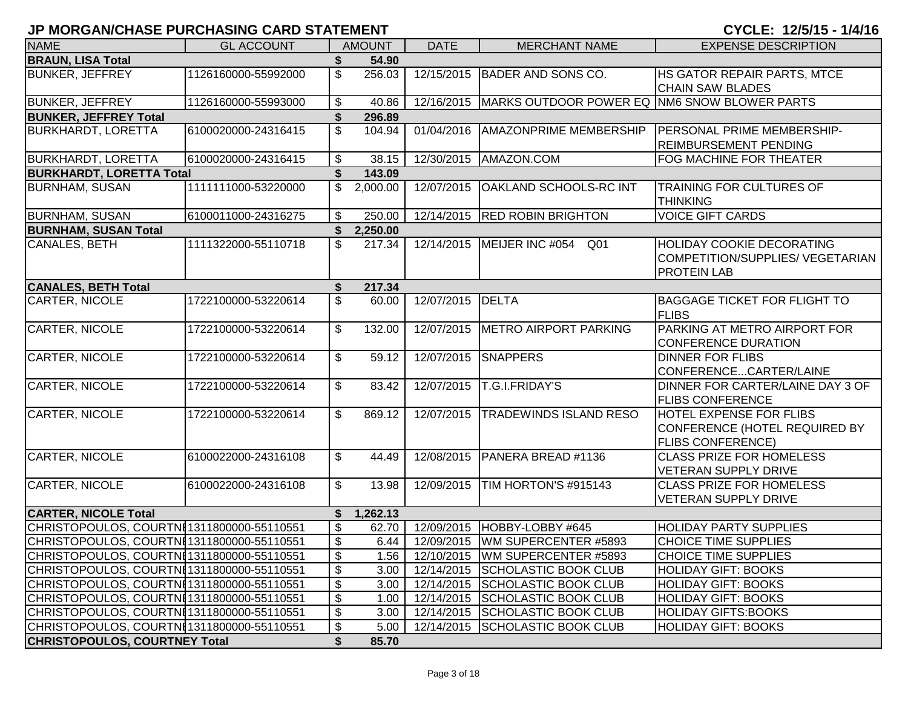| <b>NAME</b><br><b>DATE</b><br><b>MERCHANT NAME</b><br><b>GL ACCOUNT</b><br><b>AMOUNT</b><br><b>EXPENSE DESCRIPTION</b><br><b>BRAUN, LISA Total</b><br>54.90<br>\$<br>1126160000-55992000<br>HS GATOR REPAIR PARTS, MTCE<br><b>BUNKER, JEFFREY</b><br>256.03<br>12/15/2015<br><b>BADER AND SONS CO.</b><br><b>CHAIN SAW BLADES</b><br><b>BUNKER, JEFFREY</b><br>12/16/2015 MARKS OUTDOOR POWER EQ NM6 SNOW BLOWER PARTS<br>1126160000-55993000<br>\$<br>40.86<br><b>BUNKER, JEFFREY Total</b><br>296.89<br>6100020000-24316415<br>\$<br><b>AMAZONPRIME MEMBERSHIP</b><br><b>BURKHARDT, LORETTA</b><br>104.94<br>01/04/2016<br><b>PERSONAL PRIME MEMBERSHIP-</b><br><b>REIMBURSEMENT PENDING</b><br><b>BURKHARDT, LORETTA</b><br>6100020000-24316415<br>\$<br>38.15<br>12/30/2015   AMAZON.COM<br><b>FOG MACHINE FOR THEATER</b><br><b>BURKHARDT, LORETTA Total</b><br>S<br>143.09<br>1111111000-53220000<br>\$<br>12/07/2015<br><b>OAKLAND SCHOOLS-RC INT</b><br><b>TRAINING FOR CULTURES OF</b><br><b>BURNHAM, SUSAN</b><br>2,000.00<br><b>THINKING</b><br><b>BURNHAM, SUSAN</b><br>250.00<br>12/14/2015 RED ROBIN BRIGHTON<br><b>VOICE GIFT CARDS</b><br>6100011000-24316275<br>\$<br><b>BURNHAM, SUSAN Total</b><br>\$<br>2,250.00<br>1111322000-55110718<br>CANALES, BETH<br>\$<br>12/14/2015   MEIJER INC #054<br><b>HOLIDAY COOKIE DECORATING</b><br>217.34<br>Q01<br>COMPETITION/SUPPLIES/ VEGETARIAN<br><b>PROTEIN LAB</b><br><b>CANALES, BETH Total</b><br>\$<br>217.34<br><b>CARTER, NICOLE</b><br>\$<br>12/07/2015<br><b>DELTA</b><br>1722100000-53220614<br><b>BAGGAGE TICKET FOR FLIGHT TO</b><br>60.00 |
|---------------------------------------------------------------------------------------------------------------------------------------------------------------------------------------------------------------------------------------------------------------------------------------------------------------------------------------------------------------------------------------------------------------------------------------------------------------------------------------------------------------------------------------------------------------------------------------------------------------------------------------------------------------------------------------------------------------------------------------------------------------------------------------------------------------------------------------------------------------------------------------------------------------------------------------------------------------------------------------------------------------------------------------------------------------------------------------------------------------------------------------------------------------------------------------------------------------------------------------------------------------------------------------------------------------------------------------------------------------------------------------------------------------------------------------------------------------------------------------------------------------------------------------------------------------------------------------------------------------------|
|                                                                                                                                                                                                                                                                                                                                                                                                                                                                                                                                                                                                                                                                                                                                                                                                                                                                                                                                                                                                                                                                                                                                                                                                                                                                                                                                                                                                                                                                                                                                                                                                                     |
|                                                                                                                                                                                                                                                                                                                                                                                                                                                                                                                                                                                                                                                                                                                                                                                                                                                                                                                                                                                                                                                                                                                                                                                                                                                                                                                                                                                                                                                                                                                                                                                                                     |
|                                                                                                                                                                                                                                                                                                                                                                                                                                                                                                                                                                                                                                                                                                                                                                                                                                                                                                                                                                                                                                                                                                                                                                                                                                                                                                                                                                                                                                                                                                                                                                                                                     |
|                                                                                                                                                                                                                                                                                                                                                                                                                                                                                                                                                                                                                                                                                                                                                                                                                                                                                                                                                                                                                                                                                                                                                                                                                                                                                                                                                                                                                                                                                                                                                                                                                     |
|                                                                                                                                                                                                                                                                                                                                                                                                                                                                                                                                                                                                                                                                                                                                                                                                                                                                                                                                                                                                                                                                                                                                                                                                                                                                                                                                                                                                                                                                                                                                                                                                                     |
|                                                                                                                                                                                                                                                                                                                                                                                                                                                                                                                                                                                                                                                                                                                                                                                                                                                                                                                                                                                                                                                                                                                                                                                                                                                                                                                                                                                                                                                                                                                                                                                                                     |
|                                                                                                                                                                                                                                                                                                                                                                                                                                                                                                                                                                                                                                                                                                                                                                                                                                                                                                                                                                                                                                                                                                                                                                                                                                                                                                                                                                                                                                                                                                                                                                                                                     |
|                                                                                                                                                                                                                                                                                                                                                                                                                                                                                                                                                                                                                                                                                                                                                                                                                                                                                                                                                                                                                                                                                                                                                                                                                                                                                                                                                                                                                                                                                                                                                                                                                     |
|                                                                                                                                                                                                                                                                                                                                                                                                                                                                                                                                                                                                                                                                                                                                                                                                                                                                                                                                                                                                                                                                                                                                                                                                                                                                                                                                                                                                                                                                                                                                                                                                                     |
|                                                                                                                                                                                                                                                                                                                                                                                                                                                                                                                                                                                                                                                                                                                                                                                                                                                                                                                                                                                                                                                                                                                                                                                                                                                                                                                                                                                                                                                                                                                                                                                                                     |
|                                                                                                                                                                                                                                                                                                                                                                                                                                                                                                                                                                                                                                                                                                                                                                                                                                                                                                                                                                                                                                                                                                                                                                                                                                                                                                                                                                                                                                                                                                                                                                                                                     |
|                                                                                                                                                                                                                                                                                                                                                                                                                                                                                                                                                                                                                                                                                                                                                                                                                                                                                                                                                                                                                                                                                                                                                                                                                                                                                                                                                                                                                                                                                                                                                                                                                     |
|                                                                                                                                                                                                                                                                                                                                                                                                                                                                                                                                                                                                                                                                                                                                                                                                                                                                                                                                                                                                                                                                                                                                                                                                                                                                                                                                                                                                                                                                                                                                                                                                                     |
|                                                                                                                                                                                                                                                                                                                                                                                                                                                                                                                                                                                                                                                                                                                                                                                                                                                                                                                                                                                                                                                                                                                                                                                                                                                                                                                                                                                                                                                                                                                                                                                                                     |
|                                                                                                                                                                                                                                                                                                                                                                                                                                                                                                                                                                                                                                                                                                                                                                                                                                                                                                                                                                                                                                                                                                                                                                                                                                                                                                                                                                                                                                                                                                                                                                                                                     |
|                                                                                                                                                                                                                                                                                                                                                                                                                                                                                                                                                                                                                                                                                                                                                                                                                                                                                                                                                                                                                                                                                                                                                                                                                                                                                                                                                                                                                                                                                                                                                                                                                     |
|                                                                                                                                                                                                                                                                                                                                                                                                                                                                                                                                                                                                                                                                                                                                                                                                                                                                                                                                                                                                                                                                                                                                                                                                                                                                                                                                                                                                                                                                                                                                                                                                                     |
|                                                                                                                                                                                                                                                                                                                                                                                                                                                                                                                                                                                                                                                                                                                                                                                                                                                                                                                                                                                                                                                                                                                                                                                                                                                                                                                                                                                                                                                                                                                                                                                                                     |
|                                                                                                                                                                                                                                                                                                                                                                                                                                                                                                                                                                                                                                                                                                                                                                                                                                                                                                                                                                                                                                                                                                                                                                                                                                                                                                                                                                                                                                                                                                                                                                                                                     |
| <b>FLIBS</b>                                                                                                                                                                                                                                                                                                                                                                                                                                                                                                                                                                                                                                                                                                                                                                                                                                                                                                                                                                                                                                                                                                                                                                                                                                                                                                                                                                                                                                                                                                                                                                                                        |
| <b>CARTER, NICOLE</b><br>METRO AIRPORT PARKING<br>PARKING AT METRO AIRPORT FOR<br>\$<br>12/07/2015<br>1722100000-53220614<br>132.00                                                                                                                                                                                                                                                                                                                                                                                                                                                                                                                                                                                                                                                                                                                                                                                                                                                                                                                                                                                                                                                                                                                                                                                                                                                                                                                                                                                                                                                                                 |
| <b>CONFERENCE DURATION</b>                                                                                                                                                                                                                                                                                                                                                                                                                                                                                                                                                                                                                                                                                                                                                                                                                                                                                                                                                                                                                                                                                                                                                                                                                                                                                                                                                                                                                                                                                                                                                                                          |
| <b>CARTER, NICOLE</b><br>\$<br><b>SNAPPERS</b><br>1722100000-53220614<br>12/07/2015<br><b>DINNER FOR FLIBS</b><br>59.12                                                                                                                                                                                                                                                                                                                                                                                                                                                                                                                                                                                                                                                                                                                                                                                                                                                                                                                                                                                                                                                                                                                                                                                                                                                                                                                                                                                                                                                                                             |
| CONFERENCECARTER/LAINE                                                                                                                                                                                                                                                                                                                                                                                                                                                                                                                                                                                                                                                                                                                                                                                                                                                                                                                                                                                                                                                                                                                                                                                                                                                                                                                                                                                                                                                                                                                                                                                              |
| <b>CARTER, NICOLE</b><br>\$<br>12/07/2015<br>T.G.I.FRIDAY'S<br>1722100000-53220614<br>83.42<br>DINNER FOR CARTER/LAINE DAY 3 OF                                                                                                                                                                                                                                                                                                                                                                                                                                                                                                                                                                                                                                                                                                                                                                                                                                                                                                                                                                                                                                                                                                                                                                                                                                                                                                                                                                                                                                                                                     |
| <b>FLIBS CONFERENCE</b>                                                                                                                                                                                                                                                                                                                                                                                                                                                                                                                                                                                                                                                                                                                                                                                                                                                                                                                                                                                                                                                                                                                                                                                                                                                                                                                                                                                                                                                                                                                                                                                             |
| <b>CARTER, NICOLE</b><br>\$<br>869.12<br>12/07/2015<br><b>TRADEWINDS ISLAND RESO</b><br>1722100000-53220614<br><b>HOTEL EXPENSE FOR FLIBS</b>                                                                                                                                                                                                                                                                                                                                                                                                                                                                                                                                                                                                                                                                                                                                                                                                                                                                                                                                                                                                                                                                                                                                                                                                                                                                                                                                                                                                                                                                       |
| CONFERENCE (HOTEL REQUIRED BY                                                                                                                                                                                                                                                                                                                                                                                                                                                                                                                                                                                                                                                                                                                                                                                                                                                                                                                                                                                                                                                                                                                                                                                                                                                                                                                                                                                                                                                                                                                                                                                       |
| <b>FLIBS CONFERENCE)</b>                                                                                                                                                                                                                                                                                                                                                                                                                                                                                                                                                                                                                                                                                                                                                                                                                                                                                                                                                                                                                                                                                                                                                                                                                                                                                                                                                                                                                                                                                                                                                                                            |
| <b>CARTER, NICOLE</b><br>\$<br>44.49<br>12/08/2015<br>PANERA BREAD #1136<br><b>CLASS PRIZE FOR HOMELESS</b><br>6100022000-24316108                                                                                                                                                                                                                                                                                                                                                                                                                                                                                                                                                                                                                                                                                                                                                                                                                                                                                                                                                                                                                                                                                                                                                                                                                                                                                                                                                                                                                                                                                  |
| <b>VETERAN SUPPLY DRIVE</b>                                                                                                                                                                                                                                                                                                                                                                                                                                                                                                                                                                                                                                                                                                                                                                                                                                                                                                                                                                                                                                                                                                                                                                                                                                                                                                                                                                                                                                                                                                                                                                                         |
| <b>CARTER, NICOLE</b><br>\$<br>12/09/2015   TIM HORTON'S #915143<br>6100022000-24316108<br>13.98<br><b>CLASS PRIZE FOR HOMELESS</b>                                                                                                                                                                                                                                                                                                                                                                                                                                                                                                                                                                                                                                                                                                                                                                                                                                                                                                                                                                                                                                                                                                                                                                                                                                                                                                                                                                                                                                                                                 |
| <b>VETERAN SUPPLY DRIVE</b>                                                                                                                                                                                                                                                                                                                                                                                                                                                                                                                                                                                                                                                                                                                                                                                                                                                                                                                                                                                                                                                                                                                                                                                                                                                                                                                                                                                                                                                                                                                                                                                         |
| <b>CARTER, NICOLE Total</b><br>1,262.13<br>\$                                                                                                                                                                                                                                                                                                                                                                                                                                                                                                                                                                                                                                                                                                                                                                                                                                                                                                                                                                                                                                                                                                                                                                                                                                                                                                                                                                                                                                                                                                                                                                       |
| CHRISTOPOULOS, COURTNI1311800000-55110551<br>\$<br>12/09/2015<br>HOBBY-LOBBY #645<br><b>HOLIDAY PARTY SUPPLIES</b><br>62.70                                                                                                                                                                                                                                                                                                                                                                                                                                                                                                                                                                                                                                                                                                                                                                                                                                                                                                                                                                                                                                                                                                                                                                                                                                                                                                                                                                                                                                                                                         |
| $\overline{\mathcal{S}}$<br>CHRISTOPOULOS, COURTNI1311800000-55110551<br>6.44<br>12/09/2015   WM SUPERCENTER #5893<br><b>CHOICE TIME SUPPLIES</b>                                                                                                                                                                                                                                                                                                                                                                                                                                                                                                                                                                                                                                                                                                                                                                                                                                                                                                                                                                                                                                                                                                                                                                                                                                                                                                                                                                                                                                                                   |
| CHRISTOPOULOS, COURTNI1311800000-55110551<br>\$<br>1.56<br>12/10/2015   WM SUPERCENTER #5893<br><b>CHOICE TIME SUPPLIES</b>                                                                                                                                                                                                                                                                                                                                                                                                                                                                                                                                                                                                                                                                                                                                                                                                                                                                                                                                                                                                                                                                                                                                                                                                                                                                                                                                                                                                                                                                                         |
| \$<br>CHRISTOPOULOS, COURTNI1311800000-55110551<br>3.00<br>12/14/2015 SCHOLASTIC BOOK CLUB<br><b>HOLIDAY GIFT: BOOKS</b>                                                                                                                                                                                                                                                                                                                                                                                                                                                                                                                                                                                                                                                                                                                                                                                                                                                                                                                                                                                                                                                                                                                                                                                                                                                                                                                                                                                                                                                                                            |
| \$<br>CHRISTOPOULOS, COURTNI1311800000-55110551<br>12/14/2015 SCHOLASTIC BOOK CLUB<br><b>HOLIDAY GIFT: BOOKS</b><br>3.00                                                                                                                                                                                                                                                                                                                                                                                                                                                                                                                                                                                                                                                                                                                                                                                                                                                                                                                                                                                                                                                                                                                                                                                                                                                                                                                                                                                                                                                                                            |
| $\boldsymbol{\hat{\varphi}}$<br>CHRISTOPOULOS, COURTNI1311800000-55110551<br>12/14/2015 SCHOLASTIC BOOK CLUB<br><b>HOLIDAY GIFT: BOOKS</b><br>1.00                                                                                                                                                                                                                                                                                                                                                                                                                                                                                                                                                                                                                                                                                                                                                                                                                                                                                                                                                                                                                                                                                                                                                                                                                                                                                                                                                                                                                                                                  |
| \$<br>CHRISTOPOULOS, COURTNI1311800000-55110551<br>3.00<br>12/14/2015 SCHOLASTIC BOOK CLUB<br><b>HOLIDAY GIFTS:BOOKS</b>                                                                                                                                                                                                                                                                                                                                                                                                                                                                                                                                                                                                                                                                                                                                                                                                                                                                                                                                                                                                                                                                                                                                                                                                                                                                                                                                                                                                                                                                                            |
| \$<br>CHRISTOPOULOS, COURTNI1311800000-55110551<br>12/14/2015 SCHOLASTIC BOOK CLUB<br>5.00<br><b>HOLIDAY GIFT: BOOKS</b>                                                                                                                                                                                                                                                                                                                                                                                                                                                                                                                                                                                                                                                                                                                                                                                                                                                                                                                                                                                                                                                                                                                                                                                                                                                                                                                                                                                                                                                                                            |
| <b>CHRISTOPOULOS, COURTNEY Total</b><br>\$<br>85.70                                                                                                                                                                                                                                                                                                                                                                                                                                                                                                                                                                                                                                                                                                                                                                                                                                                                                                                                                                                                                                                                                                                                                                                                                                                                                                                                                                                                                                                                                                                                                                 |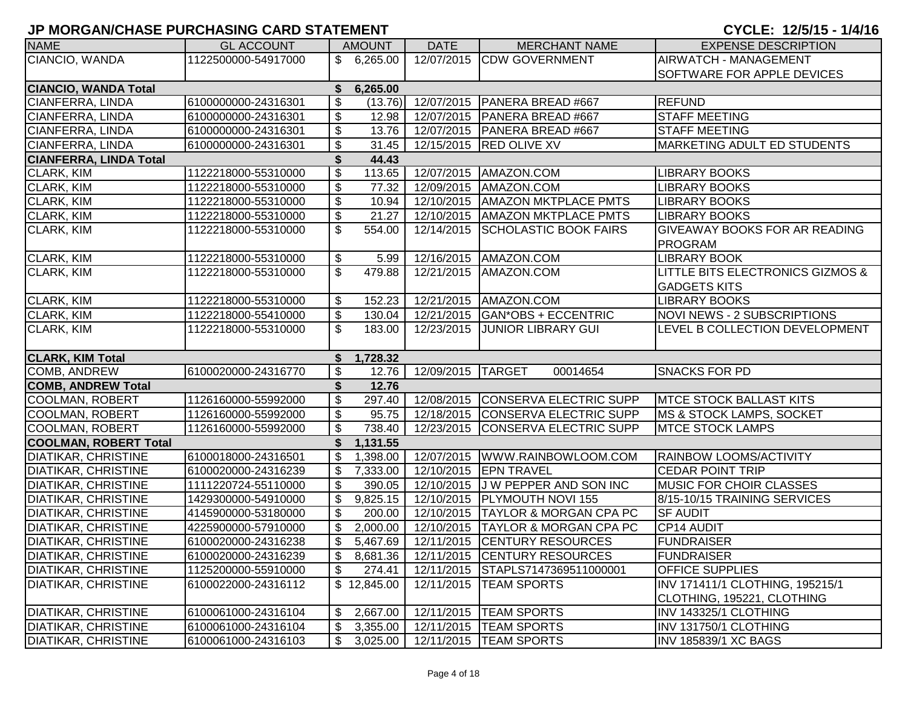| <b>NAME</b>                   | <b>GL ACCOUNT</b>   |                           | <b>AMOUNT</b>   | <b>DATE</b>          | <b>MERCHANT NAME</b>                    | <b>EXPENSE DESCRIPTION</b>         |
|-------------------------------|---------------------|---------------------------|-----------------|----------------------|-----------------------------------------|------------------------------------|
| CIANCIO, WANDA                | 1122500000-54917000 |                           | \$6,265.00      |                      | 12/07/2015 CDW GOVERNMENT               | AIRWATCH - MANAGEMENT              |
|                               |                     |                           |                 |                      |                                         | SOFTWARE FOR APPLE DEVICES         |
| <b>CIANCIO, WANDA Total</b>   |                     | \$                        | 6,265.00        |                      |                                         |                                    |
| CIANFERRA, LINDA              | 6100000000-24316301 | \$                        |                 | $(13.76)$ 12/07/2015 | PANERA BREAD #667                       | <b>REFUND</b>                      |
| CIANFERRA, LINDA              | 6100000000-24316301 | $\boldsymbol{\mathsf{S}}$ | 12.98           | 12/07/2015           | PANERA BREAD #667                       | <b>STAFF MEETING</b>               |
| <b>CIANFERRA, LINDA</b>       | 6100000000-24316301 | \$                        | 13.76           |                      | 12/07/2015   PANERA BREAD #667          | <b>STAFF MEETING</b>               |
| CIANFERRA, LINDA              | 6100000000-24316301 | \$                        | 31.45           |                      | 12/15/2015 RED OLIVE XV                 | <b>MARKETING ADULT ED STUDENTS</b> |
| <b>CIANFERRA, LINDA Total</b> |                     |                           |                 |                      |                                         |                                    |
| CLARK, KIM                    | 1122218000-55310000 | $\boldsymbol{\mathsf{S}}$ | 44.43<br>113.65 | 12/07/2015           | AMAZON.COM                              | <b>LIBRARY BOOKS</b>               |
| CLARK, KIM                    | 1122218000-55310000 | $\boldsymbol{\mathsf{S}}$ | 77.32           | 12/09/2015           | AMAZON.COM                              | <b>LIBRARY BOOKS</b>               |
| <b>CLARK, KIM</b>             | 1122218000-55310000 | \$                        | 10.94           | 12/10/2015           | <b>AMAZON MKTPLACE PMTS</b>             | <b>LIBRARY BOOKS</b>               |
| <b>CLARK, KIM</b>             | 1122218000-55310000 | \$                        | 21.27           | 12/10/2015           | <b>AMAZON MKTPLACE PMTS</b>             | <b>LIBRARY BOOKS</b>               |
| <b>CLARK, KIM</b>             | 1122218000-55310000 | \$                        | 554.00          | 12/14/2015           | <b>SCHOLASTIC BOOK FAIRS</b>            | GIVEAWAY BOOKS FOR AR READING      |
|                               |                     |                           |                 |                      |                                         | <b>PROGRAM</b>                     |
| <b>CLARK, KIM</b>             | 1122218000-55310000 | \$                        | 5.99            |                      | 12/16/2015   AMAZON.COM                 | <b>LIBRARY BOOK</b>                |
| <b>CLARK, KIM</b>             | 1122218000-55310000 | \$                        | 479.88          | 12/21/2015           | AMAZON.COM                              | LITTLE BITS ELECTRONICS GIZMOS &   |
|                               |                     |                           |                 |                      |                                         | <b>GADGETS KITS</b>                |
| CLARK, KIM                    | 1122218000-55310000 | \$                        | 152.23          |                      | 12/21/2015   AMAZON.COM                 | <b>LIBRARY BOOKS</b>               |
| <b>CLARK, KIM</b>             | 1122218000-55410000 | \$                        | 130.04          |                      | 12/21/2015 GAN*OBS + ECCENTRIC          | <b>NOVI NEWS - 2 SUBSCRIPTIONS</b> |
| <b>CLARK, KIM</b>             | 1122218000-55310000 | \$                        | 183.00          | 12/23/2015           | <b>JUNIOR LIBRARY GUI</b>               | LEVEL B COLLECTION DEVELOPMENT     |
|                               |                     |                           |                 |                      |                                         |                                    |
| <b>CLARK, KIM Total</b>       |                     | \$                        | 1,728.32        |                      |                                         |                                    |
| COMB, ANDREW                  | 6100020000-24316770 | $\boldsymbol{\mathsf{S}}$ | 12.76           | 12/09/2015 TARGET    | 00014654                                | <b>SNACKS FOR PD</b>               |
| <b>COMB, ANDREW Total</b>     |                     | \$                        | 12.76           |                      |                                         |                                    |
| <b>COOLMAN, ROBERT</b>        | 1126160000-55992000 | $\overline{\mathbf{3}}$   | 297.40          |                      | 12/08/2015 CONSERVA ELECTRIC SUPP       | <b>MTCE STOCK BALLAST KITS</b>     |
| COOLMAN, ROBERT               | 1126160000-55992000 | $\boldsymbol{\mathsf{S}}$ | 95.75           |                      | 12/18/2015 CONSERVA ELECTRIC SUPP       | MS & STOCK LAMPS, SOCKET           |
| COOLMAN, ROBERT               | 1126160000-55992000 | \$                        | 738.40          |                      | 12/23/2015 CONSERVA ELECTRIC SUPP       | <b>MTCE STOCK LAMPS</b>            |
| <b>COOLMAN, ROBERT Total</b>  |                     | \$                        | 1,131.55        |                      |                                         |                                    |
| DIATIKAR, CHRISTINE           | 6100018000-24316501 | \$                        | 1,398.00        |                      | 12/07/2015   WWW.RAINBOWLOOM.COM        | RAINBOW LOOMS/ACTIVITY             |
| DIATIKAR, CHRISTINE           | 6100020000-24316239 | \$                        | 7,333.00        | 12/10/2015           | <b>EPN TRAVEL</b>                       | <b>CEDAR POINT TRIP</b>            |
| DIATIKAR, CHRISTINE           | 1111220724-55110000 | \$                        | 390.05          |                      | 12/10/2015 J W PEPPER AND SON INC       | <b>MUSIC FOR CHOIR CLASSES</b>     |
| <b>DIATIKAR, CHRISTINE</b>    | 1429300000-54910000 | $\mathfrak{S}$            | 9,825.15        |                      | 12/10/2015 PLYMOUTH NOVI 155            | 8/15-10/15 TRAINING SERVICES       |
| <b>DIATIKAR, CHRISTINE</b>    | 4145900000-53180000 | \$                        | 200.00          |                      | 12/10/2015 TAYLOR & MORGAN CPA PC       | <b>SF AUDIT</b>                    |
| <b>DIATIKAR, CHRISTINE</b>    | 4225900000-57910000 | \$                        | 2,000.00        |                      | 12/10/2015 TAYLOR & MORGAN CPA PC       | CP14 AUDIT                         |
| <b>DIATIKAR, CHRISTINE</b>    | 6100020000-24316238 | $\mathfrak{S}$            | 5,467.69        |                      | 12/11/2015 CENTURY RESOURCES            | <b>FUNDRAISER</b>                  |
| DIATIKAR, CHRISTINE           | 6100020000-24316239 | \$                        |                 |                      | 8,681.36   12/11/2015 CENTURY RESOURCES | <b>FUNDRAISER</b>                  |
| <b>DIATIKAR, CHRISTINE</b>    | 1125200000-55910000 | \$                        | 274.41          | 12/11/2015           | STAPLS7147369511000001                  | OFFICE SUPPLIES                    |
| <b>DIATIKAR, CHRISTINE</b>    | 6100022000-24316112 |                           | \$12,845.00     | 12/11/2015           | <b>TEAM SPORTS</b>                      | INV 171411/1 CLOTHING, 195215/1    |
|                               |                     |                           |                 |                      |                                         | CLOTHING, 195221, CLOTHING         |
| <b>DIATIKAR, CHRISTINE</b>    | 6100061000-24316104 | \$                        | 2,667.00        |                      | 12/11/2015   TEAM SPORTS                | INV 143325/1 CLOTHING              |
| <b>DIATIKAR, CHRISTINE</b>    | 6100061000-24316104 | \$                        | 3,355.00        |                      | 12/11/2015   TEAM SPORTS                | INV 131750/1 CLOTHING              |
| <b>DIATIKAR, CHRISTINE</b>    | 6100061000-24316103 | \$                        |                 |                      | 3,025.00   12/11/2015   TEAM SPORTS     | <b>INV 185839/1 XC BAGS</b>        |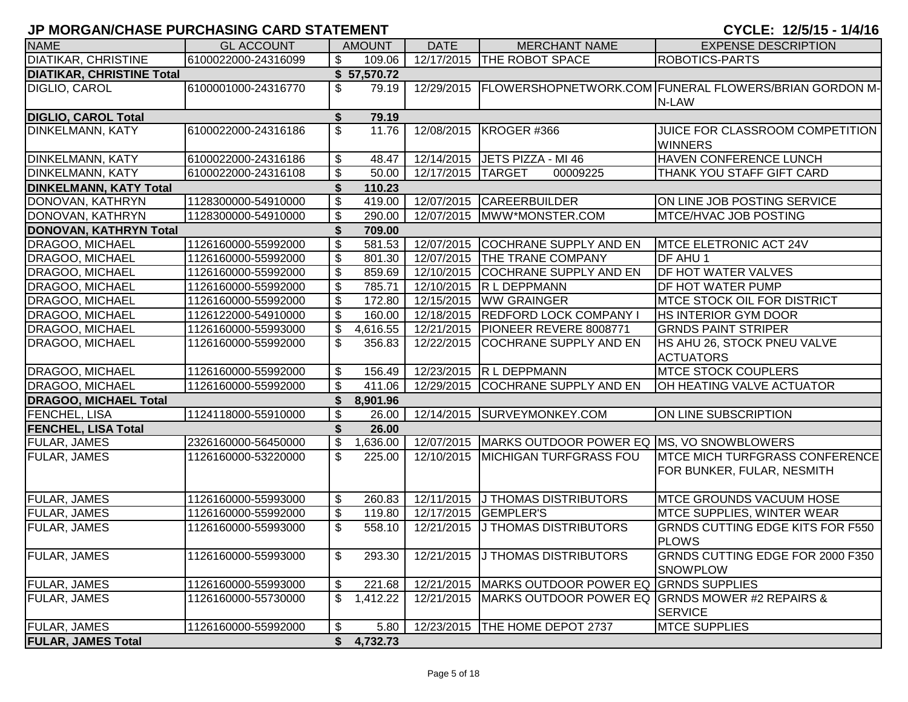| <b>NAME</b>                      | <b>GL ACCOUNT</b>   |                          | <b>AMOUNT</b> | <b>DATE</b> | <b>MERCHANT NAME</b>                      | <b>EXPENSE DESCRIPTION</b>                                           |
|----------------------------------|---------------------|--------------------------|---------------|-------------|-------------------------------------------|----------------------------------------------------------------------|
| <b>DIATIKAR, CHRISTINE</b>       | 6100022000-24316099 | \$                       | 109.06        |             | 12/17/2015 THE ROBOT SPACE                | <b>ROBOTICS-PARTS</b>                                                |
| <b>DIATIKAR, CHRISTINE Total</b> |                     |                          | \$57,570.72   |             |                                           |                                                                      |
| <b>DIGLIO, CAROL</b>             | 6100001000-24316770 | \$                       | 79.19         | 12/29/2015  |                                           | FLOWERSHOPNETWORK.COM FUNERAL FLOWERS/BRIAN GORDON M-<br>N-LAW       |
| <b>DIGLIO, CAROL Total</b>       |                     | \$                       | 79.19         |             |                                           |                                                                      |
| <b>DINKELMANN, KATY</b>          | 6100022000-24316186 | \$                       | 11.76         | 12/08/2015  | KROGER #366                               | JUICE FOR CLASSROOM COMPETITION<br><b>WINNERS</b>                    |
| <b>DINKELMANN, KATY</b>          | 6100022000-24316186 | \$                       | 48.47         | 12/14/2015  | JETS PIZZA - MI 46                        | HAVEN CONFERENCE LUNCH                                               |
| <b>DINKELMANN, KATY</b>          | 6100022000-24316108 | \$                       | 50.00         | 12/17/2015  | <b>TARGET</b><br>00009225                 | THANK YOU STAFF GIFT CARD                                            |
| <b>DINKELMANN, KATY Total</b>    |                     | \$                       | 110.23        |             |                                           |                                                                      |
| DONOVAN, KATHRYN                 | 1128300000-54910000 | \$                       | 419.00        | 12/07/2015  | <b>CAREERBUILDER</b>                      | ON LINE JOB POSTING SERVICE                                          |
| DONOVAN, KATHRYN                 | 1128300000-54910000 | \$                       | 290.00        | 12/07/2015  | IMWW*MONSTER.COM                          | MTCE/HVAC JOB POSTING                                                |
| <b>DONOVAN, KATHRYN Total</b>    |                     | \$                       | 709.00        |             |                                           |                                                                      |
| DRAGOO, MICHAEL                  | 1126160000-55992000 | \$                       | 581.53        | 12/07/2015  | <b>COCHRANE SUPPLY AND EN</b>             | MTCE ELETRONIC ACT 24V                                               |
| DRAGOO, MICHAEL                  | 1126160000-55992000 | \$                       | 801.30        | 12/07/2015  | <b>THE TRANE COMPANY</b>                  | <b>DF AHU 1</b>                                                      |
| DRAGOO, MICHAEL                  | 1126160000-55992000 | \$                       | 859.69        | 12/10/2015  | <b>COCHRANE SUPPLY AND EN</b>             | <b>DF HOT WATER VALVES</b>                                           |
| <b>DRAGOO, MICHAEL</b>           | 1126160000-55992000 | \$                       | 785.71        | 12/10/2015  | R L DEPPMANN                              | <b>DF HOT WATER PUMP</b>                                             |
| <b>DRAGOO, MICHAEL</b>           | 1126160000-55992000 | $\overline{\mathcal{S}}$ | 172.80        | 12/15/2015  | <b>WW GRAINGER</b>                        | <b>IMTCE STOCK OIL FOR DISTRICT</b>                                  |
| <b>DRAGOO, MICHAEL</b>           | 1126122000-54910000 | \$                       | 160.00        | 12/18/2015  | <b>REDFORD LOCK COMPANY I</b>             | <b>HS INTERIOR GYM DOOR</b>                                          |
| <b>DRAGOO, MICHAEL</b>           | 1126160000-55993000 | \$                       | 4,616.55      | 12/21/2015  | PIONEER REVERE 8008771                    | <b>GRNDS PAINT STRIPER</b>                                           |
| <b>DRAGOO, MICHAEL</b>           | 1126160000-55992000 | \$                       | 356.83        | 12/22/2015  | COCHRANE SUPPLY AND EN                    | <b>HS AHU 26, STOCK PNEU VALVE</b><br><b>ACTUATORS</b>               |
| DRAGOO, MICHAEL                  | 1126160000-55992000 | \$                       | 156.49        | 12/23/2015  | R L DEPPMANN                              | <b>MTCE STOCK COUPLERS</b>                                           |
| <b>DRAGOO, MICHAEL</b>           | 1126160000-55992000 | \$                       | 411.06        | 12/29/2015  | <b>COCHRANE SUPPLY AND EN</b>             | OH HEATING VALVE ACTUATOR                                            |
| <b>DRAGOO, MICHAEL Total</b>     |                     | \$                       | 8,901.96      |             |                                           |                                                                      |
| FENCHEL, LISA                    | 1124118000-55910000 | \$                       | 26.00         |             | 12/14/2015 SURVEYMONKEY.COM               | ON LINE SUBSCRIPTION                                                 |
| <b>FENCHEL, LISA Total</b>       |                     | \$                       | 26.00         |             |                                           |                                                                      |
| <b>FULAR, JAMES</b>              | 2326160000-56450000 | \$                       | 1,636.00      | 12/07/2015  | MARKS OUTDOOR POWER EQ MS, VO SNOWBLOWERS |                                                                      |
| <b>FULAR, JAMES</b>              | 1126160000-53220000 | \$                       | 225.00        | 12/10/2015  | <b>MICHIGAN TURFGRASS FOU</b>             | <b>IMTCE MICH TURFGRASS CONFERENCE</b><br>FOR BUNKER, FULAR, NESMITH |
| <b>FULAR, JAMES</b>              | 1126160000-55993000 | \$                       | 260.83        | 12/11/2015  | <b>J THOMAS DISTRIBUTORS</b>              | <b>IMTCE GROUNDS VACUUM HOSE</b>                                     |
| <b>FULAR, JAMES</b>              | 1126160000-55992000 | \$                       | 119.80        | 12/17/2015  | <b>GEMPLER'S</b>                          | <b>MTCE SUPPLIES, WINTER WEAR</b>                                    |
| <b>FULAR, JAMES</b>              | 1126160000-55993000 | \$                       | 558.10        | 12/21/2015  | J THOMAS DISTRIBUTORS                     | <b>GRNDS CUTTING EDGE KITS FOR F550</b><br><b>PLOWS</b>              |
| <b>FULAR, JAMES</b>              | 1126160000-55993000 | \$                       | 293.30        |             | 12/21/2015 J THOMAS DISTRIBUTORS          | GRNDS CUTTING EDGE FOR 2000 F350<br><b>SNOWPLOW</b>                  |
| <b>FULAR, JAMES</b>              | 1126160000-55993000 | \$                       | 221.68        | 12/21/2015  | MARKS OUTDOOR POWER EQ GRNDS SUPPLIES     |                                                                      |
| <b>FULAR, JAMES</b>              | 1126160000-55730000 | \$                       | 1,412.22      | 12/21/2015  |                                           | MARKS OUTDOOR POWER EQ GRNDS MOWER #2 REPAIRS &<br><b>SERVICE</b>    |
| <b>FULAR, JAMES</b>              | 1126160000-55992000 | \$                       | 5.80          | 12/23/2015  | THE HOME DEPOT 2737                       | <b>MTCE SUPPLIES</b>                                                 |
| <b>FULAR, JAMES Total</b>        |                     | \$                       | 4,732.73      |             |                                           |                                                                      |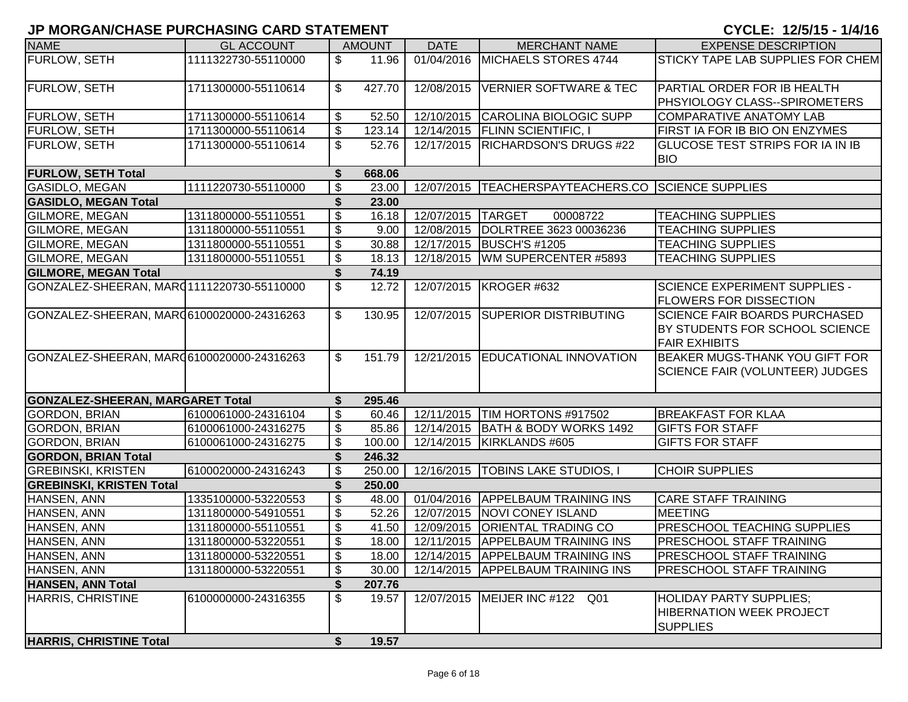| וויום וויום כווי של שווש מוזטות ושווט ושמות ושווטות וע |                     |                           |                    |                   |                                                | VIVLLI I <i>l</i> viiv<br>.                                                                    |
|--------------------------------------------------------|---------------------|---------------------------|--------------------|-------------------|------------------------------------------------|------------------------------------------------------------------------------------------------|
| <b>NAME</b>                                            | <b>GL ACCOUNT</b>   |                           | <b>AMOUNT</b>      | <b>DATE</b>       | <b>MERCHANT NAME</b>                           | <b>EXPENSE DESCRIPTION</b>                                                                     |
| FURLOW, SETH                                           | 1111322730-55110000 | $\mathfrak{S}$            | 11.96              | 01/04/2016        | MICHAELS STORES 4744                           | STICKY TAPE LAB SUPPLIES FOR CHEM                                                              |
| <b>FURLOW, SETH</b>                                    | 1711300000-55110614 | $\mathfrak{S}$            | 427.70             | 12/08/2015        | <b>VERNIER SOFTWARE &amp; TEC</b>              | PARTIAL ORDER FOR IB HEALTH<br>PHSYIOLOGY CLASS--SPIROMETERS                                   |
| <b>FURLOW, SETH</b>                                    | 1711300000-55110614 | \$                        | 52.50              |                   | 12/10/2015 CAROLINA BIOLOGIC SUPP              | COMPARATIVE ANATOMY LAB                                                                        |
| <b>FURLOW, SETH</b>                                    | 1711300000-55110614 | \$                        | 123.14             |                   | 12/14/2015   FLINN SCIENTIFIC, I               | FIRST IA FOR IB BIO ON ENZYMES                                                                 |
| <b>FURLOW, SETH</b>                                    | 1711300000-55110614 | \$                        | 52.76              | 12/17/2015        | <b>RICHARDSON'S DRUGS #22</b>                  | <b>GLUCOSE TEST STRIPS FOR IA IN IB</b><br><b>BIO</b>                                          |
| <b>FURLOW, SETH Total</b>                              |                     | \$                        | 668.06             |                   |                                                |                                                                                                |
| <b>GASIDLO, MEGAN</b>                                  | 1111220730-55110000 | \$                        | 23.00              | 12/07/2015        | <b>TEACHERSPAYTEACHERS.CO SCIENCE SUPPLIES</b> |                                                                                                |
| <b>GASIDLO, MEGAN Total</b>                            |                     | \$                        | 23.00              |                   |                                                |                                                                                                |
| <b>GILMORE, MEGAN</b>                                  | 1311800000-55110551 | $\overline{\mathbf{3}}$   | 16.18              | 12/07/2015 TARGET | 00008722                                       | <b>TEACHING SUPPLIES</b>                                                                       |
| <b>GILMORE, MEGAN</b>                                  | 1311800000-55110551 | $\overline{\mathbf{3}}$   | 9.00               |                   | 12/08/2015 DOLRTREE 3623 00036236              | <b>TEACHING SUPPLIES</b>                                                                       |
| <b>GILMORE, MEGAN</b>                                  | 1311800000-55110551 | $\overline{\mathbf{s}}$   | 30.88              |                   | 12/17/2015 BUSCH'S #1205                       | <b>TEACHING SUPPLIES</b>                                                                       |
| <b>GILMORE, MEGAN</b>                                  | 1311800000-55110551 | \$                        | $\overline{18.13}$ |                   | 12/18/2015   WM SUPERCENTER #5893              | <b>TEACHING SUPPLIES</b>                                                                       |
| <b>GILMORE, MEGAN Total</b>                            |                     | \$                        | 74.19              |                   |                                                |                                                                                                |
| GONZALEZ-SHEERAN, MARQ1111220730-55110000              |                     | $\overline{\mathcal{S}}$  | 12.72              |                   | 12/07/2015   KROGER #632                       | <b>SCIENCE EXPERIMENT SUPPLIES -</b><br><b>FLOWERS FOR DISSECTION</b>                          |
| GONZALEZ-SHEERAN, MAR06100020000-24316263              |                     | $\mathfrak{S}$            | 130.95             |                   | 12/07/2015 SUPERIOR DISTRIBUTING               | <b>SCIENCE FAIR BOARDS PURCHASED</b><br>BY STUDENTS FOR SCHOOL SCIENCE<br><b>FAIR EXHIBITS</b> |
| GONZALEZ-SHEERAN, MAR 6100020000-24316263              |                     | \$                        | 151.79             |                   | 12/21/2015 EDUCATIONAL INNOVATION              | <b>BEAKER MUGS-THANK YOU GIFT FOR</b><br><b>SCIENCE FAIR (VOLUNTEER) JUDGES</b>                |
| <b>GONZALEZ-SHEERAN, MARGARET Total</b>                |                     | S                         | 295.46             |                   |                                                |                                                                                                |
| <b>GORDON, BRIAN</b>                                   | 6100061000-24316104 | \$                        | 60.46              | 12/11/2015        | TIM HORTONS #917502                            | <b>BREAKFAST FOR KLAA</b>                                                                      |
| <b>GORDON, BRIAN</b>                                   | 6100061000-24316275 | \$                        | 85.86              |                   | 12/14/2015 BATH & BODY WORKS 1492              | <b>GIFTS FOR STAFF</b>                                                                         |
| <b>GORDON, BRIAN</b>                                   | 6100061000-24316275 | \$                        | 100.00             |                   | 12/14/2015   KIRKLANDS #605                    | <b>GIFTS FOR STAFF</b>                                                                         |
| <b>GORDON, BRIAN Total</b>                             |                     | \$                        | 246.32             |                   |                                                |                                                                                                |
| <b>GREBINSKI, KRISTEN</b>                              | 6100020000-24316243 | $\boldsymbol{\mathsf{S}}$ | 250.00             |                   | 12/16/2015   TOBINS LAKE STUDIOS, I            | <b>CHOIR SUPPLIES</b>                                                                          |
| <b>GREBINSKI, KRISTEN Total</b>                        |                     | \$                        | 250.00             |                   |                                                |                                                                                                |
| HANSEN, ANN                                            | 1335100000-53220553 | \$                        | 48.00              | 01/04/2016        | <b>APPELBAUM TRAINING INS</b>                  | <b>CARE STAFF TRAINING</b>                                                                     |
| HANSEN, ANN                                            | 1311800000-54910551 | $\boldsymbol{\mathsf{S}}$ | 52.26              | 12/07/2015        | NOVI CONEY ISLAND                              | MEETING                                                                                        |
| HANSEN, ANN                                            | 1311800000-55110551 | $\boldsymbol{\mathsf{S}}$ | 41.50              | 12/09/2015        | <b>ORIENTAL TRADING CO</b>                     | <b>PRESCHOOL TEACHING SUPPLIES</b>                                                             |
| HANSEN, ANN                                            | 1311800000-53220551 | \$                        | 18.00              |                   | 12/11/2015 APPELBAUM TRAINING INS              | <b>PRESCHOOL STAFF TRAINING</b>                                                                |
| HANSEN, ANN                                            | 1311800000-53220551 | \$                        | 18.00              |                   | 12/14/2015 APPELBAUM TRAINING INS              | <b>PRESCHOOL STAFF TRAINING</b>                                                                |
| HANSEN, ANN                                            | 1311800000-53220551 | \$                        | 30.00              |                   | 12/14/2015 APPELBAUM TRAINING INS              | PRESCHOOL STAFF TRAINING                                                                       |
| <b>HANSEN, ANN Total</b>                               |                     | \$                        | 207.76             |                   |                                                |                                                                                                |
| <b>HARRIS, CHRISTINE</b>                               | 6100000000-24316355 | \$                        | 19.57              |                   | 12/07/2015   MEIJER INC #122 Q01               | <b>HOLIDAY PARTY SUPPLIES:</b><br><b>HIBERNATION WEEK PROJECT</b><br><b>SUPPLIES</b>           |
| <b>HARRIS, CHRISTINE Total</b>                         |                     | \$                        | 19.57              |                   |                                                |                                                                                                |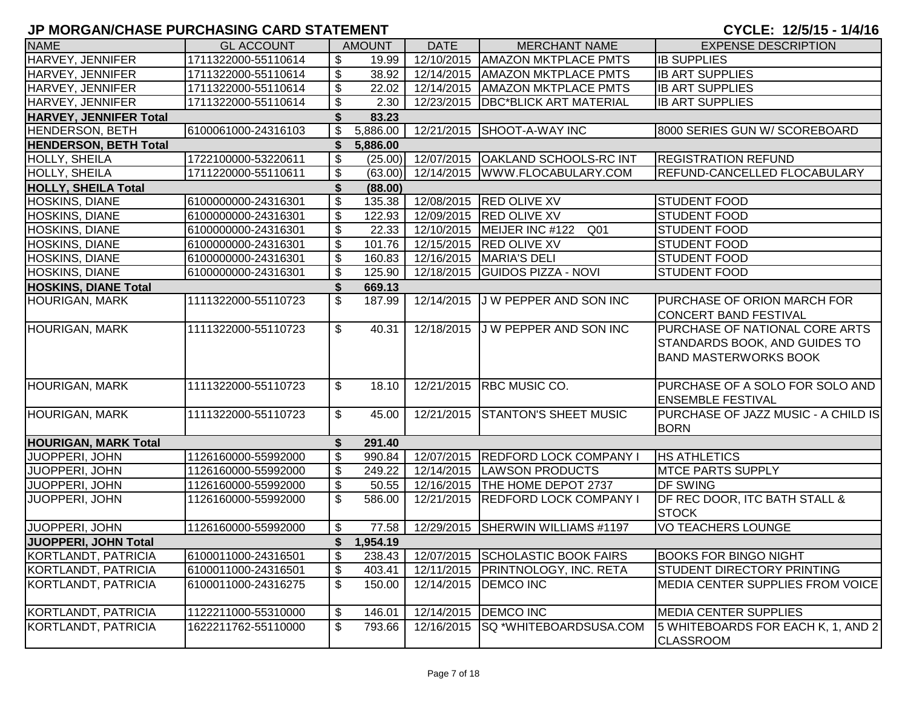| <b>NAME</b>                   | <b>GL ACCOUNT</b>   |                           | <b>AMOUNT</b> | <b>DATE</b> | <b>MERCHANT NAME</b>                   | <b>EXPENSE DESCRIPTION</b>                                                                             |
|-------------------------------|---------------------|---------------------------|---------------|-------------|----------------------------------------|--------------------------------------------------------------------------------------------------------|
| HARVEY, JENNIFER              | 1711322000-55110614 | \$                        | 19.99         | 12/10/2015  | <b>AMAZON MKTPLACE PMTS</b>            | <b>IB SUPPLIES</b>                                                                                     |
| HARVEY, JENNIFER              | 1711322000-55110614 | \$                        | 38.92         | 12/14/2015  | <b>AMAZON MKTPLACE PMTS</b>            | <b>IB ART SUPPLIES</b>                                                                                 |
| HARVEY, JENNIFER              | 1711322000-55110614 | \$                        | 22.02         | 12/14/2015  | <b>AMAZON MKTPLACE PMTS</b>            | <b>IB ART SUPPLIES</b>                                                                                 |
| HARVEY, JENNIFER              | 1711322000-55110614 | \$                        | 2.30          | 12/23/2015  | <b>DBC*BLICK ART MATERIAL</b>          | <b>IB ART SUPPLIES</b>                                                                                 |
| <b>HARVEY, JENNIFER Total</b> |                     | \$                        | 83.23         |             |                                        |                                                                                                        |
| HENDERSON, BETH               | 6100061000-24316103 | \$                        | 5,886.00      |             | 12/21/2015 SHOOT-A-WAY INC             | 8000 SERIES GUN W/ SCOREBOARD                                                                          |
| <b>HENDERSON, BETH Total</b>  |                     | \$                        | 5,886.00      |             |                                        |                                                                                                        |
| HOLLY, SHEILA                 | 1722100000-53220611 | \$                        | (25.00)       |             | 12/07/2015   OAKLAND SCHOOLS-RC INT    | <b>REGISTRATION REFUND</b>                                                                             |
| HOLLY, SHEILA                 | 1711220000-55110611 | \$                        | (63.00)       |             | 12/14/2015   WWW.FLOCABULARY.COM       | REFUND-CANCELLED FLOCABULARY                                                                           |
| <b>HOLLY, SHEILA Total</b>    |                     | \$                        | (88.00)       |             |                                        |                                                                                                        |
| HOSKINS, DIANE                | 6100000000-24316301 | \$                        | 135.38        | 12/08/2015  | <b>RED OLIVE XV</b>                    | <b>STUDENT FOOD</b>                                                                                    |
| HOSKINS, DIANE                | 6100000000-24316301 | \$                        | 122.93        | 12/09/2015  | <b>RED OLIVE XV</b>                    | <b>STUDENT FOOD</b>                                                                                    |
| HOSKINS, DIANE                | 6100000000-24316301 | $\boldsymbol{\mathsf{S}}$ | 22.33         | 12/10/2015  | MEIJER INC #122<br>Q01                 | <b>STUDENT FOOD</b>                                                                                    |
| HOSKINS, DIANE                | 6100000000-24316301 | \$                        | 101.76        | 12/15/2015  | <b>RED OLIVE XV</b>                    | <b>STUDENT FOOD</b>                                                                                    |
| HOSKINS, DIANE                | 6100000000-24316301 | \$                        | 160.83        | 12/16/2015  | <b>MARIA'S DELI</b>                    | <b>STUDENT FOOD</b>                                                                                    |
| HOSKINS, DIANE                | 6100000000-24316301 | $\boldsymbol{\mathsf{S}}$ | 125.90        | 12/18/2015  | <b>GUIDOS PIZZA - NOVI</b>             | <b>STUDENT FOOD</b>                                                                                    |
| <b>HOSKINS, DIANE Total</b>   |                     | \$                        | 669.13        |             |                                        |                                                                                                        |
| <b>HOURIGAN, MARK</b>         | 1111322000-55110723 | \$                        | 187.99        | 12/14/2015  | J W PEPPER AND SON INC                 | PURCHASE OF ORION MARCH FOR<br><b>CONCERT BAND FESTIVAL</b>                                            |
| HOURIGAN, MARK                | 1111322000-55110723 | \$                        | 40.31         | 12/18/2015  | J W PEPPER AND SON INC                 | PURCHASE OF NATIONAL CORE ARTS<br><b>STANDARDS BOOK, AND GUIDES TO</b><br><b>BAND MASTERWORKS BOOK</b> |
| <b>HOURIGAN, MARK</b>         | 1111322000-55110723 | \$                        | 18.10         | 12/21/2015  | <b>RBC MUSIC CO.</b>                   | PURCHASE OF A SOLO FOR SOLO AND<br><b>ENSEMBLE FESTIVAL</b>                                            |
| HOURIGAN, MARK                | 1111322000-55110723 | \$                        | 45.00         |             | 12/21/2015 STANTON'S SHEET MUSIC       | PURCHASE OF JAZZ MUSIC - A CHILD IS<br><b>BORN</b>                                                     |
| <b>HOURIGAN, MARK Total</b>   |                     | \$                        | 291.40        |             |                                        |                                                                                                        |
| JUOPPERI, JOHN                | 1126160000-55992000 | $\boldsymbol{\mathsf{S}}$ | 990.84        | 12/07/2015  | <b>REDFORD LOCK COMPANY I</b>          | <b>HS ATHLETICS</b>                                                                                    |
| JUOPPERI, JOHN                | 1126160000-55992000 | \$                        | 249.22        |             | 12/14/2015  LAWSON PRODUCTS            | <b>MTCE PARTS SUPPLY</b>                                                                               |
| JUOPPERI, JOHN                | 1126160000-55992000 | \$                        | 50.55         |             | 12/16/2015   THE HOME DEPOT 2737       | <b>DF SWING</b>                                                                                        |
| JUOPPERI, JOHN                | 1126160000-55992000 | \$                        | 586.00        | 12/21/2015  | <b>REDFORD LOCK COMPANY I</b>          | DF REC DOOR, ITC BATH STALL &<br><b>STOCK</b>                                                          |
| JUOPPERI, JOHN                | 1126160000-55992000 | \$                        | 77.58         |             | 12/29/2015 SHERWIN WILLIAMS #1197      | <b>VO TEACHERS LOUNGE</b>                                                                              |
| <b>JUOPPERI, JOHN Total</b>   |                     | \$                        | 1,954.19      |             |                                        |                                                                                                        |
| KORTLANDT, PATRICIA           | 6100011000-24316501 | \$                        | 238.43        |             | 12/07/2015 SCHOLASTIC BOOK FAIRS       | <b>BOOKS FOR BINGO NIGHT</b>                                                                           |
| KORTLANDT, PATRICIA           | 6100011000-24316501 | \$                        | 403.41        |             | 12/11/2015   PRINTNOLOGY, INC. RETA    | <b>STUDENT DIRECTORY PRINTING</b>                                                                      |
| KORTLANDT, PATRICIA           | 6100011000-24316275 | \$                        | 150.00        |             | 12/14/2015   DEMCO INC                 | MEDIA CENTER SUPPLIES FROM VOICE                                                                       |
| KORTLANDT, PATRICIA           | 1122211000-55310000 | \$                        | 146.01        |             | 12/14/2015   DEMCO INC                 | <b>MEDIA CENTER SUPPLIES</b>                                                                           |
| KORTLANDT, PATRICIA           | 1622211762-55110000 | $\mathfrak{L}$            | 793.66        |             | 12/16/2015   SQ * WHITE BOARD SUSA.COM | 5 WHITEBOARDS FOR EACH K, 1, AND 2<br><b>CLASSROOM</b>                                                 |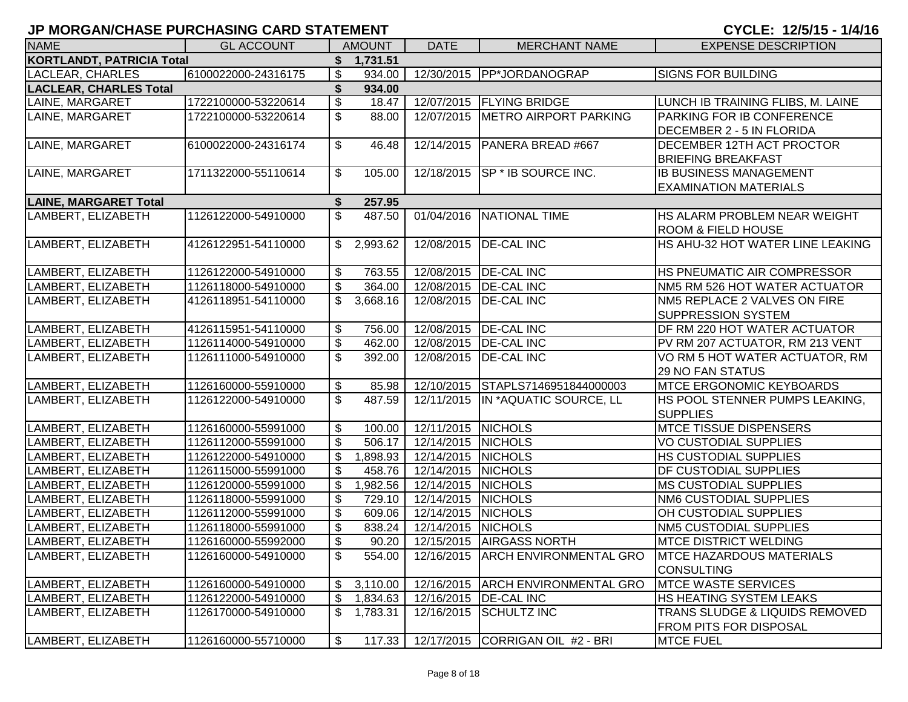| JF MURGAN/CHASE FURCHASING CARD STATEMENT |                     |                                    |                    | UIULE: 14/3/13 - 1/4/10                      |                                   |  |  |
|-------------------------------------------|---------------------|------------------------------------|--------------------|----------------------------------------------|-----------------------------------|--|--|
| <b>NAME</b>                               | <b>GL ACCOUNT</b>   | <b>AMOUNT</b>                      | <b>DATE</b>        | <b>MERCHANT NAME</b>                         | <b>EXPENSE DESCRIPTION</b>        |  |  |
| <b>KORTLANDT, PATRICIA Total</b>          |                     | \$1,731.51                         |                    |                                              |                                   |  |  |
| LACLEAR, CHARLES                          | 6100022000-24316175 | \$<br>934.00                       |                    | 12/30/2015   PP*JORDANOGRAP                  | <b>SIGNS FOR BUILDING</b>         |  |  |
| <b>LACLEAR, CHARLES Total</b>             |                     | \$<br>934.00                       |                    |                                              |                                   |  |  |
| LAINE, MARGARET                           | 1722100000-53220614 | \$<br>18.47                        |                    | 12/07/2015   FLYING BRIDGE                   | LUNCH IB TRAINING FLIBS, M. LAINE |  |  |
| LAINE, MARGARET                           | 1722100000-53220614 | \$<br>88.00                        | 12/07/2015         | <b>METRO AIRPORT PARKING</b>                 | PARKING FOR IB CONFERENCE         |  |  |
|                                           |                     |                                    |                    |                                              | DECEMBER 2 - 5 IN FLORIDA         |  |  |
| LAINE, MARGARET                           | 6100022000-24316174 | \$<br>46.48                        | 12/14/2015         | <b>PANERA BREAD #667</b>                     | DECEMBER 12TH ACT PROCTOR         |  |  |
|                                           |                     |                                    |                    |                                              | <b>BRIEFING BREAKFAST</b>         |  |  |
| LAINE, MARGARET                           | 1711322000-55110614 | \$<br>105.00                       |                    | 12/18/2015   SP * IB SOURCE INC.             | <b>IB BUSINESS MANAGEMENT</b>     |  |  |
|                                           |                     |                                    |                    |                                              | <b>EXAMINATION MATERIALS</b>      |  |  |
| <b>LAINE, MARGARET Total</b>              |                     | 257.95<br>\$                       |                    |                                              |                                   |  |  |
| LAMBERT, ELIZABETH                        | 1126122000-54910000 | $\mathfrak{S}$<br>487.50           |                    | 01/04/2016 NATIONAL TIME                     | HS ALARM PROBLEM NEAR WEIGHT      |  |  |
|                                           |                     |                                    |                    |                                              | <b>ROOM &amp; FIELD HOUSE</b>     |  |  |
| LAMBERT, ELIZABETH                        | 4126122951-54110000 | \$2,993.62                         |                    | 12/08/2015   DE-CAL INC                      | HS AHU-32 HOT WATER LINE LEAKING  |  |  |
|                                           |                     |                                    |                    |                                              |                                   |  |  |
| LAMBERT, ELIZABETH                        | 1126122000-54910000 | \$<br>763.55                       |                    | 12/08/2015   DE-CAL INC                      | HS PNEUMATIC AIR COMPRESSOR       |  |  |
| LAMBERT, ELIZABETH                        | 1126118000-54910000 | $\overline{\mathcal{S}}$<br>364.00 |                    | 12/08/2015   DE-CAL INC                      | NM5 RM 526 HOT WATER ACTUATOR     |  |  |
| LAMBERT, ELIZABETH                        | 4126118951-54110000 | \$<br>3,668.16                     |                    | 12/08/2015   DE-CAL INC                      | NM5 REPLACE 2 VALVES ON FIRE      |  |  |
|                                           |                     |                                    |                    |                                              | SUPPRESSION SYSTEM                |  |  |
| LAMBERT, ELIZABETH                        | 4126115951-54110000 | \$<br>756.00                       |                    | 12/08/2015   DE-CAL INC                      | DF RM 220 HOT WATER ACTUATOR      |  |  |
| LAMBERT, ELIZABETH                        | 1126114000-54910000 | \$<br>462.00                       |                    | 12/08/2015   DE-CAL INC                      | PV RM 207 ACTUATOR, RM 213 VENT   |  |  |
| LAMBERT, ELIZABETH                        | 1126111000-54910000 | \$<br>392.00                       |                    | 12/08/2015   DE-CAL INC                      | VO RM 5 HOT WATER ACTUATOR, RM    |  |  |
|                                           |                     |                                    |                    |                                              | 29 NO FAN STATUS                  |  |  |
| LAMBERT, ELIZABETH                        | 1126160000-55910000 | \$<br>85.98                        |                    | 12/10/2015 STAPLS7146951844000003            | <b>MTCE ERGONOMIC KEYBOARDS</b>   |  |  |
| LAMBERT, ELIZABETH                        | 1126122000-54910000 | \$<br>487.59                       |                    | 12/11/2015 IN *AQUATIC SOURCE, LL            | HS POOL STENNER PUMPS LEAKING,    |  |  |
|                                           |                     |                                    |                    |                                              | <b>SUPPLIES</b>                   |  |  |
| LAMBERT, ELIZABETH                        | 1126160000-55991000 | \$<br>100.00                       | 12/11/2015 NICHOLS |                                              | <b>MTCE TISSUE DISPENSERS</b>     |  |  |
| LAMBERT, ELIZABETH                        | 1126112000-55991000 | \$<br>506.17                       | 12/14/2015 NICHOLS |                                              | <b>VO CUSTODIAL SUPPLIES</b>      |  |  |
| LAMBERT, ELIZABETH                        | 1126122000-54910000 | \$<br>1,898.93                     | 12/14/2015 NICHOLS |                                              | HS CUSTODIAL SUPPLIES             |  |  |
| LAMBERT, ELIZABETH                        | 1126115000-55991000 | \$<br>458.76                       | 12/14/2015 NICHOLS |                                              | DF CUSTODIAL SUPPLIES             |  |  |
| LAMBERT, ELIZABETH                        | 1126120000-55991000 | \$<br>1,982.56                     | 12/14/2015 NICHOLS |                                              | <b>MS CUSTODIAL SUPPLIES</b>      |  |  |
| LAMBERT, ELIZABETH                        | 1126118000-55991000 | \$<br>729.10                       | 12/14/2015 NICHOLS |                                              | NM6 CUSTODIAL SUPPLIES            |  |  |
| LAMBERT, ELIZABETH                        | 1126112000-55991000 | \$<br>609.06                       | 12/14/2015 NICHOLS |                                              | OH CUSTODIAL SUPPLIES             |  |  |
| LAMBERT, ELIZABETH                        | 1126118000-55991000 | \$<br>838.24                       | 12/14/2015 NICHOLS |                                              | <b>NM5 CUSTODIAL SUPPLIES</b>     |  |  |
| LAMBERT, ELIZABETH                        | 1126160000-55992000 | \$<br>90.20                        |                    | 12/15/2015 AIRGASS NORTH                     | <b>MTCE DISTRICT WELDING</b>      |  |  |
| LAMBERT, ELIZABETH                        | 1126160000-54910000 | $\mathfrak{S}$                     |                    | 554.00   12/16/2015   ARCH ENVIRONMENTAL GRO | <b>MTCE HAZARDOUS MATERIALS</b>   |  |  |

LAMBERT, ELIZABETH 1126170000-54910000 \$ 1,783.31 12/16/2015 SCHULTZ INC TRANS SLUDGE & LIQUIDS REMOVED

LAMBERT, ELIZABETH 1126160000-54910000 \$ 3,110.00 12/16/2015 ARCH ENVIRONMENTAL GRO MTCE WASTE SERVICES LAMBERT, ELIZABETH 1126122000-54910000 \\$ 1,834.63 \did 12/16/2015 DE-CAL INC HS HEATING SYSTEM LEAKS

LAMBERT, ELIZABETH 1126160000-55710000 \ \$ 117.33 | 12/17/2015 CORRIGAN OIL #2 - BRI

CONSULTING

FROM PITS FOR DISPOSAL<br>MTCE FUEL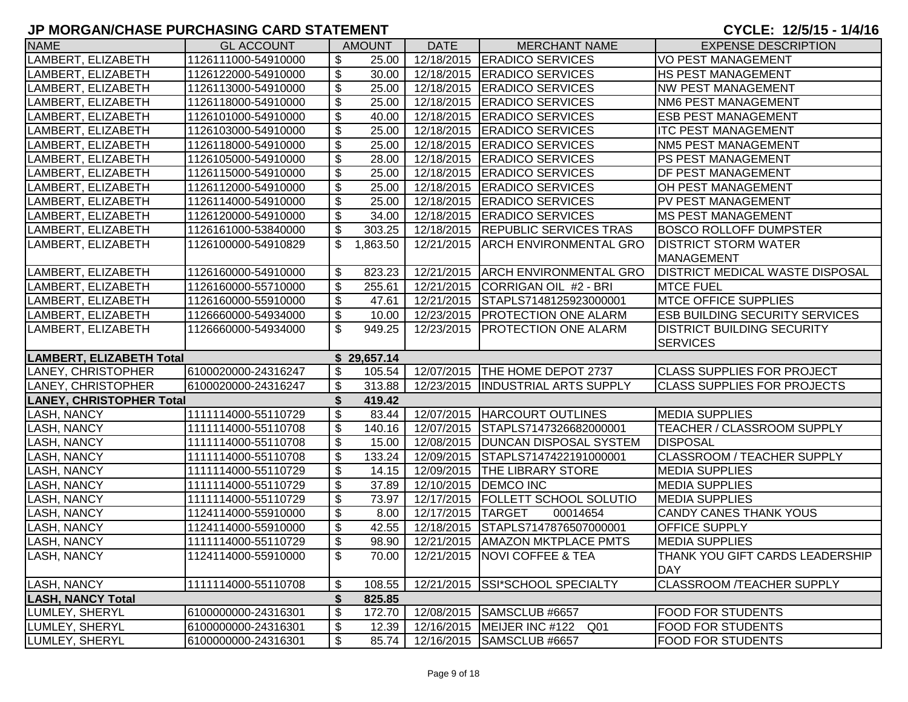| \$<br>12/18/2015 ERADICO SERVICES<br>LAMBERT, ELIZABETH<br>1126111000-54910000<br>25.00<br><b>VO PEST MANAGEMENT</b><br>$\boldsymbol{\mathsf{S}}$<br>LAMBERT, ELIZABETH<br>1126122000-54910000<br>30.00<br>12/18/2015 ERADICO SERVICES<br><b>HS PEST MANAGEMENT</b><br>\$<br>12/18/2015 ERADICO SERVICES<br>LAMBERT, ELIZABETH<br>1126113000-54910000<br>25.00<br><b>NW PEST MANAGEMENT</b><br>$\boldsymbol{\mathsf{S}}$<br>LAMBERT, ELIZABETH<br>12/18/2015   ERADICO SERVICES<br><b>NM6 PEST MANAGEMENT</b><br>1126118000-54910000<br>25.00<br>\$<br>LAMBERT, ELIZABETH<br>1126101000-54910000<br>40.00<br>12/18/2015   ERADICO SERVICES<br><b>ESB PEST MANAGEMENT</b><br>\$<br>LAMBERT, ELIZABETH<br>1126103000-54910000<br>25.00<br>12/18/2015   ERADICO SERVICES<br><b>ITC PEST MANAGEMENT</b><br>\$<br>12/18/2015   ERADICO SERVICES<br>LAMBERT, ELIZABETH<br>25.00<br><b>NM5 PEST MANAGEMENT</b><br>1126118000-54910000<br>\$<br>12/18/2015   ERADICO SERVICES<br>LAMBERT, ELIZABETH<br>1126105000-54910000<br>28.00<br>PS PEST MANAGEMENT<br>\$<br>12/18/2015 ERADICO SERVICES<br>LAMBERT, ELIZABETH<br>1126115000-54910000<br>25.00<br><b>DF PEST MANAGEMENT</b><br>\$<br>LAMBERT, ELIZABETH<br>25.00<br>12/18/2015 ERADICO SERVICES<br><b>OH PEST MANAGEMENT</b><br>1126112000-54910000<br>\$<br>LAMBERT, ELIZABETH<br>25.00<br>12/18/2015 ERADICO SERVICES<br>PV PEST MANAGEMENT<br>1126114000-54910000<br>\$<br>LAMBERT, ELIZABETH<br>12/18/2015 ERADICO SERVICES<br><b>MS PEST MANAGEMENT</b><br>1126120000-54910000<br>34.00<br>\$<br>LAMBERT, ELIZABETH<br>303.25<br>12/18/2015  REPUBLIC SERVICES TRAS<br><b>BOSCO ROLLOFF DUMPSTER</b><br>1126161000-53840000<br>LAMBERT, ELIZABETH<br>\$<br>12/21/2015<br><b>ARCH ENVIRONMENTAL GRO</b><br><b>DISTRICT STORM WATER</b><br>1126100000-54910829<br>1,863.50<br><b>MANAGEMENT</b><br>LAMBERT, ELIZABETH<br>\$<br>823.23<br>12/21/2015 ARCH ENVIRONMENTAL GRO<br><b>DISTRICT MEDICAL WASTE DISPOSAL</b><br>1126160000-54910000<br>LAMBERT, ELIZABETH<br>\$<br>CORRIGAN OIL #2 - BRI<br><b>MTCE FUEL</b><br>1126160000-55710000<br>255.61<br>12/21/2015<br>\$<br>LAMBERT, ELIZABETH<br>12/21/2015 STAPLS7148125923000001<br><b>MTCE OFFICE SUPPLIES</b><br>1126160000-55910000<br>47.61<br>$\boldsymbol{\mathsf{S}}$<br>LAMBERT, ELIZABETH<br>10.00<br>12/23/2015   PROTECTION ONE ALARM<br><b>ESB BUILDING SECURITY SERVICES</b><br>1126660000-54934000<br>$\mathfrak{L}$<br>949.25<br><b>DISTRICT BUILDING SECURITY</b><br>LAMBERT, ELIZABETH<br>12/23/2015   PROTECTION ONE ALARM<br>1126660000-54934000<br><b>SERVICES</b><br>LAMBERT, ELIZABETH Total<br>\$29,657.14<br>LANEY, CHRISTOPHER<br>12/07/2015 THE HOME DEPOT 2737<br>6100020000-24316247<br>\$<br><b>CLASS SUPPLIES FOR PROJECT</b><br>105.54<br>LANEY, CHRISTOPHER<br>$\boldsymbol{\mathsf{S}}$<br>313.88<br>12/23/2015  INDUSTRIAL ARTS SUPPLY<br><b>CLASS SUPPLIES FOR PROJECTS</b><br>6100020000-24316247<br><b>LANEY, CHRISTOPHER Total</b><br>\$<br>419.42<br>$\boldsymbol{\mathsf{S}}$<br><b>LASH, NANCY</b><br>1111114000-55110729<br>83.44<br>12/07/2015   HARCOURT OUTLINES<br><b>MEDIA SUPPLIES</b><br>$\boldsymbol{\mathsf{S}}$<br><b>LASH, NANCY</b><br>1111114000-55110708<br>140.16<br>12/07/2015 STAPLS7147326682000001<br><b>TEACHER / CLASSROOM SUPPLY</b><br>\$<br><b>LASH, NANCY</b><br>15.00<br>12/08/2015   DUNCAN DISPOSAL SYSTEM<br><b>DISPOSAL</b><br>1111114000-55110708<br>$\boldsymbol{\mathsf{S}}$<br><b>LASH, NANCY</b><br>12/09/2015 STAPLS7147422191000001<br>CLASSROOM / TEACHER SUPPLY<br>1111114000-55110708<br>133.24<br>$\boldsymbol{\mathsf{S}}$<br>LASH, NANCY<br>14.15<br>12/09/2015   THE LIBRARY STORE<br>1111114000-55110729<br><b>MEDIA SUPPLIES</b><br>$\boldsymbol{\mathsf{S}}$<br>LASH, NANCY<br>37.89<br>12/10/2015   DEMCO INC<br><b>MEDIA SUPPLIES</b><br>1111114000-55110729<br>\$<br>12/17/2015   FOLLETT SCHOOL SOLUTIO<br>73.97<br><b>MEDIA SUPPLIES</b><br>LASH, NANCY<br>1111114000-55110729<br>$\boldsymbol{\mathsf{S}}$<br>8.00<br>12/17/2015 TARGET<br><b>CANDY CANES THANK YOUS</b><br><b>LASH, NANCY</b><br>1124114000-55910000<br>00014654<br>\$<br>42.55<br>12/18/2015 STAPLS7147876507000001<br><b>OFFICE SUPPLY</b><br><b>LASH, NANCY</b><br>1124114000-55910000<br>$\mathfrak{S}$<br><b>LASH, NANCY</b><br>98.90<br>12/21/2015   AMAZON MKTPLACE PMTS<br><b>MEDIA SUPPLIES</b><br>1111114000-55110729<br><b>LASH, NANCY</b><br>1124114000-55910000<br>\$<br>70.00   12/21/2015   NOVI COFFEE & TEA<br><b>DAY</b><br><b>LASH, NANCY</b><br>12/21/2015 SSI*SCHOOL SPECIALTY<br>1111114000-55110708<br>108.55<br><b>CLASSROOM /TEACHER SUPPLY</b><br>\$<br><b>LASH, NANCY Total</b><br>825.85<br>$\frac{1}{2}$<br>LUMLEY, SHERYL<br>172.70<br>12/08/2015 SAMSCLUB #6657<br><b>FOOD FOR STUDENTS</b><br>6100000000-24316301<br>LUMLEY, SHERYL<br>\$<br>12.39<br>12/16/2015   MEIJER INC #122<br><b>FOOD FOR STUDENTS</b><br>6100000000-24316301<br>Q01 | <b>NAME</b> | <b>GL ACCOUNT</b> |  | <b>AMOUNT</b> | <b>DATE</b> | <b>MERCHANT NAME</b> | <b>EXPENSE DESCRIPTION</b>      |  |
|---------------------------------------------------------------------------------------------------------------------------------------------------------------------------------------------------------------------------------------------------------------------------------------------------------------------------------------------------------------------------------------------------------------------------------------------------------------------------------------------------------------------------------------------------------------------------------------------------------------------------------------------------------------------------------------------------------------------------------------------------------------------------------------------------------------------------------------------------------------------------------------------------------------------------------------------------------------------------------------------------------------------------------------------------------------------------------------------------------------------------------------------------------------------------------------------------------------------------------------------------------------------------------------------------------------------------------------------------------------------------------------------------------------------------------------------------------------------------------------------------------------------------------------------------------------------------------------------------------------------------------------------------------------------------------------------------------------------------------------------------------------------------------------------------------------------------------------------------------------------------------------------------------------------------------------------------------------------------------------------------------------------------------------------------------------------------------------------------------------------------------------------------------------------------------------------------------------------------------------------------------------------------------------------------------------------------------------------------------------------------------------------------------------------------------------------------------------------------------------------------------------------------------------------------------------------------------------------------------------------------------------------------------------------------------------------------------------------------------------------------------------------------------------------------------------------------------------------------------------------------------------------------------------------------------------------------------------------------------------------------------------------------------------------------------------------------------------------------------------------------------------------------------------------------------------------------------------------------------------------------------------------------------------------------------------------------------------------------------------------------------------------------------------------------------------------------------------------------------------------------------------------------------------------------------------------------------------------------------------------------------------------------------------------------------------------------------------------------------------------------------------------------------------------------------------------------------------------------------------------------------------------------------------------------------------------------------------------------------------------------------------------------------------------------------------------------------------------------------------------------------------------------------------------------------------------------------------------------------------------------------------------------------------------------------------------------------------------------------------------------------------------------------------------------------------------------------------------------------------------------------------------------------------------------------------------------------------------------------------------------------------------------------------------------------------------------------------------------------------------------------------------------------------------------------------------------------------------------------------------------------------------------------------------------------------------------|-------------|-------------------|--|---------------|-------------|----------------------|---------------------------------|--|
|                                                                                                                                                                                                                                                                                                                                                                                                                                                                                                                                                                                                                                                                                                                                                                                                                                                                                                                                                                                                                                                                                                                                                                                                                                                                                                                                                                                                                                                                                                                                                                                                                                                                                                                                                                                                                                                                                                                                                                                                                                                                                                                                                                                                                                                                                                                                                                                                                                                                                                                                                                                                                                                                                                                                                                                                                                                                                                                                                                                                                                                                                                                                                                                                                                                                                                                                                                                                                                                                                                                                                                                                                                                                                                                                                                                                                                                                                                                                                                                                                                                                                                                                                                                                                                                                                                                                                                                                                                                                                                                                                                                                                                                                                                                                                                                                                                                                                                                                                   |             |                   |  |               |             |                      |                                 |  |
|                                                                                                                                                                                                                                                                                                                                                                                                                                                                                                                                                                                                                                                                                                                                                                                                                                                                                                                                                                                                                                                                                                                                                                                                                                                                                                                                                                                                                                                                                                                                                                                                                                                                                                                                                                                                                                                                                                                                                                                                                                                                                                                                                                                                                                                                                                                                                                                                                                                                                                                                                                                                                                                                                                                                                                                                                                                                                                                                                                                                                                                                                                                                                                                                                                                                                                                                                                                                                                                                                                                                                                                                                                                                                                                                                                                                                                                                                                                                                                                                                                                                                                                                                                                                                                                                                                                                                                                                                                                                                                                                                                                                                                                                                                                                                                                                                                                                                                                                                   |             |                   |  |               |             |                      |                                 |  |
|                                                                                                                                                                                                                                                                                                                                                                                                                                                                                                                                                                                                                                                                                                                                                                                                                                                                                                                                                                                                                                                                                                                                                                                                                                                                                                                                                                                                                                                                                                                                                                                                                                                                                                                                                                                                                                                                                                                                                                                                                                                                                                                                                                                                                                                                                                                                                                                                                                                                                                                                                                                                                                                                                                                                                                                                                                                                                                                                                                                                                                                                                                                                                                                                                                                                                                                                                                                                                                                                                                                                                                                                                                                                                                                                                                                                                                                                                                                                                                                                                                                                                                                                                                                                                                                                                                                                                                                                                                                                                                                                                                                                                                                                                                                                                                                                                                                                                                                                                   |             |                   |  |               |             |                      |                                 |  |
|                                                                                                                                                                                                                                                                                                                                                                                                                                                                                                                                                                                                                                                                                                                                                                                                                                                                                                                                                                                                                                                                                                                                                                                                                                                                                                                                                                                                                                                                                                                                                                                                                                                                                                                                                                                                                                                                                                                                                                                                                                                                                                                                                                                                                                                                                                                                                                                                                                                                                                                                                                                                                                                                                                                                                                                                                                                                                                                                                                                                                                                                                                                                                                                                                                                                                                                                                                                                                                                                                                                                                                                                                                                                                                                                                                                                                                                                                                                                                                                                                                                                                                                                                                                                                                                                                                                                                                                                                                                                                                                                                                                                                                                                                                                                                                                                                                                                                                                                                   |             |                   |  |               |             |                      |                                 |  |
|                                                                                                                                                                                                                                                                                                                                                                                                                                                                                                                                                                                                                                                                                                                                                                                                                                                                                                                                                                                                                                                                                                                                                                                                                                                                                                                                                                                                                                                                                                                                                                                                                                                                                                                                                                                                                                                                                                                                                                                                                                                                                                                                                                                                                                                                                                                                                                                                                                                                                                                                                                                                                                                                                                                                                                                                                                                                                                                                                                                                                                                                                                                                                                                                                                                                                                                                                                                                                                                                                                                                                                                                                                                                                                                                                                                                                                                                                                                                                                                                                                                                                                                                                                                                                                                                                                                                                                                                                                                                                                                                                                                                                                                                                                                                                                                                                                                                                                                                                   |             |                   |  |               |             |                      |                                 |  |
|                                                                                                                                                                                                                                                                                                                                                                                                                                                                                                                                                                                                                                                                                                                                                                                                                                                                                                                                                                                                                                                                                                                                                                                                                                                                                                                                                                                                                                                                                                                                                                                                                                                                                                                                                                                                                                                                                                                                                                                                                                                                                                                                                                                                                                                                                                                                                                                                                                                                                                                                                                                                                                                                                                                                                                                                                                                                                                                                                                                                                                                                                                                                                                                                                                                                                                                                                                                                                                                                                                                                                                                                                                                                                                                                                                                                                                                                                                                                                                                                                                                                                                                                                                                                                                                                                                                                                                                                                                                                                                                                                                                                                                                                                                                                                                                                                                                                                                                                                   |             |                   |  |               |             |                      |                                 |  |
|                                                                                                                                                                                                                                                                                                                                                                                                                                                                                                                                                                                                                                                                                                                                                                                                                                                                                                                                                                                                                                                                                                                                                                                                                                                                                                                                                                                                                                                                                                                                                                                                                                                                                                                                                                                                                                                                                                                                                                                                                                                                                                                                                                                                                                                                                                                                                                                                                                                                                                                                                                                                                                                                                                                                                                                                                                                                                                                                                                                                                                                                                                                                                                                                                                                                                                                                                                                                                                                                                                                                                                                                                                                                                                                                                                                                                                                                                                                                                                                                                                                                                                                                                                                                                                                                                                                                                                                                                                                                                                                                                                                                                                                                                                                                                                                                                                                                                                                                                   |             |                   |  |               |             |                      |                                 |  |
|                                                                                                                                                                                                                                                                                                                                                                                                                                                                                                                                                                                                                                                                                                                                                                                                                                                                                                                                                                                                                                                                                                                                                                                                                                                                                                                                                                                                                                                                                                                                                                                                                                                                                                                                                                                                                                                                                                                                                                                                                                                                                                                                                                                                                                                                                                                                                                                                                                                                                                                                                                                                                                                                                                                                                                                                                                                                                                                                                                                                                                                                                                                                                                                                                                                                                                                                                                                                                                                                                                                                                                                                                                                                                                                                                                                                                                                                                                                                                                                                                                                                                                                                                                                                                                                                                                                                                                                                                                                                                                                                                                                                                                                                                                                                                                                                                                                                                                                                                   |             |                   |  |               |             |                      |                                 |  |
|                                                                                                                                                                                                                                                                                                                                                                                                                                                                                                                                                                                                                                                                                                                                                                                                                                                                                                                                                                                                                                                                                                                                                                                                                                                                                                                                                                                                                                                                                                                                                                                                                                                                                                                                                                                                                                                                                                                                                                                                                                                                                                                                                                                                                                                                                                                                                                                                                                                                                                                                                                                                                                                                                                                                                                                                                                                                                                                                                                                                                                                                                                                                                                                                                                                                                                                                                                                                                                                                                                                                                                                                                                                                                                                                                                                                                                                                                                                                                                                                                                                                                                                                                                                                                                                                                                                                                                                                                                                                                                                                                                                                                                                                                                                                                                                                                                                                                                                                                   |             |                   |  |               |             |                      |                                 |  |
|                                                                                                                                                                                                                                                                                                                                                                                                                                                                                                                                                                                                                                                                                                                                                                                                                                                                                                                                                                                                                                                                                                                                                                                                                                                                                                                                                                                                                                                                                                                                                                                                                                                                                                                                                                                                                                                                                                                                                                                                                                                                                                                                                                                                                                                                                                                                                                                                                                                                                                                                                                                                                                                                                                                                                                                                                                                                                                                                                                                                                                                                                                                                                                                                                                                                                                                                                                                                                                                                                                                                                                                                                                                                                                                                                                                                                                                                                                                                                                                                                                                                                                                                                                                                                                                                                                                                                                                                                                                                                                                                                                                                                                                                                                                                                                                                                                                                                                                                                   |             |                   |  |               |             |                      |                                 |  |
|                                                                                                                                                                                                                                                                                                                                                                                                                                                                                                                                                                                                                                                                                                                                                                                                                                                                                                                                                                                                                                                                                                                                                                                                                                                                                                                                                                                                                                                                                                                                                                                                                                                                                                                                                                                                                                                                                                                                                                                                                                                                                                                                                                                                                                                                                                                                                                                                                                                                                                                                                                                                                                                                                                                                                                                                                                                                                                                                                                                                                                                                                                                                                                                                                                                                                                                                                                                                                                                                                                                                                                                                                                                                                                                                                                                                                                                                                                                                                                                                                                                                                                                                                                                                                                                                                                                                                                                                                                                                                                                                                                                                                                                                                                                                                                                                                                                                                                                                                   |             |                   |  |               |             |                      |                                 |  |
|                                                                                                                                                                                                                                                                                                                                                                                                                                                                                                                                                                                                                                                                                                                                                                                                                                                                                                                                                                                                                                                                                                                                                                                                                                                                                                                                                                                                                                                                                                                                                                                                                                                                                                                                                                                                                                                                                                                                                                                                                                                                                                                                                                                                                                                                                                                                                                                                                                                                                                                                                                                                                                                                                                                                                                                                                                                                                                                                                                                                                                                                                                                                                                                                                                                                                                                                                                                                                                                                                                                                                                                                                                                                                                                                                                                                                                                                                                                                                                                                                                                                                                                                                                                                                                                                                                                                                                                                                                                                                                                                                                                                                                                                                                                                                                                                                                                                                                                                                   |             |                   |  |               |             |                      |                                 |  |
|                                                                                                                                                                                                                                                                                                                                                                                                                                                                                                                                                                                                                                                                                                                                                                                                                                                                                                                                                                                                                                                                                                                                                                                                                                                                                                                                                                                                                                                                                                                                                                                                                                                                                                                                                                                                                                                                                                                                                                                                                                                                                                                                                                                                                                                                                                                                                                                                                                                                                                                                                                                                                                                                                                                                                                                                                                                                                                                                                                                                                                                                                                                                                                                                                                                                                                                                                                                                                                                                                                                                                                                                                                                                                                                                                                                                                                                                                                                                                                                                                                                                                                                                                                                                                                                                                                                                                                                                                                                                                                                                                                                                                                                                                                                                                                                                                                                                                                                                                   |             |                   |  |               |             |                      |                                 |  |
|                                                                                                                                                                                                                                                                                                                                                                                                                                                                                                                                                                                                                                                                                                                                                                                                                                                                                                                                                                                                                                                                                                                                                                                                                                                                                                                                                                                                                                                                                                                                                                                                                                                                                                                                                                                                                                                                                                                                                                                                                                                                                                                                                                                                                                                                                                                                                                                                                                                                                                                                                                                                                                                                                                                                                                                                                                                                                                                                                                                                                                                                                                                                                                                                                                                                                                                                                                                                                                                                                                                                                                                                                                                                                                                                                                                                                                                                                                                                                                                                                                                                                                                                                                                                                                                                                                                                                                                                                                                                                                                                                                                                                                                                                                                                                                                                                                                                                                                                                   |             |                   |  |               |             |                      |                                 |  |
|                                                                                                                                                                                                                                                                                                                                                                                                                                                                                                                                                                                                                                                                                                                                                                                                                                                                                                                                                                                                                                                                                                                                                                                                                                                                                                                                                                                                                                                                                                                                                                                                                                                                                                                                                                                                                                                                                                                                                                                                                                                                                                                                                                                                                                                                                                                                                                                                                                                                                                                                                                                                                                                                                                                                                                                                                                                                                                                                                                                                                                                                                                                                                                                                                                                                                                                                                                                                                                                                                                                                                                                                                                                                                                                                                                                                                                                                                                                                                                                                                                                                                                                                                                                                                                                                                                                                                                                                                                                                                                                                                                                                                                                                                                                                                                                                                                                                                                                                                   |             |                   |  |               |             |                      |                                 |  |
|                                                                                                                                                                                                                                                                                                                                                                                                                                                                                                                                                                                                                                                                                                                                                                                                                                                                                                                                                                                                                                                                                                                                                                                                                                                                                                                                                                                                                                                                                                                                                                                                                                                                                                                                                                                                                                                                                                                                                                                                                                                                                                                                                                                                                                                                                                                                                                                                                                                                                                                                                                                                                                                                                                                                                                                                                                                                                                                                                                                                                                                                                                                                                                                                                                                                                                                                                                                                                                                                                                                                                                                                                                                                                                                                                                                                                                                                                                                                                                                                                                                                                                                                                                                                                                                                                                                                                                                                                                                                                                                                                                                                                                                                                                                                                                                                                                                                                                                                                   |             |                   |  |               |             |                      |                                 |  |
|                                                                                                                                                                                                                                                                                                                                                                                                                                                                                                                                                                                                                                                                                                                                                                                                                                                                                                                                                                                                                                                                                                                                                                                                                                                                                                                                                                                                                                                                                                                                                                                                                                                                                                                                                                                                                                                                                                                                                                                                                                                                                                                                                                                                                                                                                                                                                                                                                                                                                                                                                                                                                                                                                                                                                                                                                                                                                                                                                                                                                                                                                                                                                                                                                                                                                                                                                                                                                                                                                                                                                                                                                                                                                                                                                                                                                                                                                                                                                                                                                                                                                                                                                                                                                                                                                                                                                                                                                                                                                                                                                                                                                                                                                                                                                                                                                                                                                                                                                   |             |                   |  |               |             |                      |                                 |  |
|                                                                                                                                                                                                                                                                                                                                                                                                                                                                                                                                                                                                                                                                                                                                                                                                                                                                                                                                                                                                                                                                                                                                                                                                                                                                                                                                                                                                                                                                                                                                                                                                                                                                                                                                                                                                                                                                                                                                                                                                                                                                                                                                                                                                                                                                                                                                                                                                                                                                                                                                                                                                                                                                                                                                                                                                                                                                                                                                                                                                                                                                                                                                                                                                                                                                                                                                                                                                                                                                                                                                                                                                                                                                                                                                                                                                                                                                                                                                                                                                                                                                                                                                                                                                                                                                                                                                                                                                                                                                                                                                                                                                                                                                                                                                                                                                                                                                                                                                                   |             |                   |  |               |             |                      |                                 |  |
|                                                                                                                                                                                                                                                                                                                                                                                                                                                                                                                                                                                                                                                                                                                                                                                                                                                                                                                                                                                                                                                                                                                                                                                                                                                                                                                                                                                                                                                                                                                                                                                                                                                                                                                                                                                                                                                                                                                                                                                                                                                                                                                                                                                                                                                                                                                                                                                                                                                                                                                                                                                                                                                                                                                                                                                                                                                                                                                                                                                                                                                                                                                                                                                                                                                                                                                                                                                                                                                                                                                                                                                                                                                                                                                                                                                                                                                                                                                                                                                                                                                                                                                                                                                                                                                                                                                                                                                                                                                                                                                                                                                                                                                                                                                                                                                                                                                                                                                                                   |             |                   |  |               |             |                      |                                 |  |
|                                                                                                                                                                                                                                                                                                                                                                                                                                                                                                                                                                                                                                                                                                                                                                                                                                                                                                                                                                                                                                                                                                                                                                                                                                                                                                                                                                                                                                                                                                                                                                                                                                                                                                                                                                                                                                                                                                                                                                                                                                                                                                                                                                                                                                                                                                                                                                                                                                                                                                                                                                                                                                                                                                                                                                                                                                                                                                                                                                                                                                                                                                                                                                                                                                                                                                                                                                                                                                                                                                                                                                                                                                                                                                                                                                                                                                                                                                                                                                                                                                                                                                                                                                                                                                                                                                                                                                                                                                                                                                                                                                                                                                                                                                                                                                                                                                                                                                                                                   |             |                   |  |               |             |                      |                                 |  |
|                                                                                                                                                                                                                                                                                                                                                                                                                                                                                                                                                                                                                                                                                                                                                                                                                                                                                                                                                                                                                                                                                                                                                                                                                                                                                                                                                                                                                                                                                                                                                                                                                                                                                                                                                                                                                                                                                                                                                                                                                                                                                                                                                                                                                                                                                                                                                                                                                                                                                                                                                                                                                                                                                                                                                                                                                                                                                                                                                                                                                                                                                                                                                                                                                                                                                                                                                                                                                                                                                                                                                                                                                                                                                                                                                                                                                                                                                                                                                                                                                                                                                                                                                                                                                                                                                                                                                                                                                                                                                                                                                                                                                                                                                                                                                                                                                                                                                                                                                   |             |                   |  |               |             |                      |                                 |  |
|                                                                                                                                                                                                                                                                                                                                                                                                                                                                                                                                                                                                                                                                                                                                                                                                                                                                                                                                                                                                                                                                                                                                                                                                                                                                                                                                                                                                                                                                                                                                                                                                                                                                                                                                                                                                                                                                                                                                                                                                                                                                                                                                                                                                                                                                                                                                                                                                                                                                                                                                                                                                                                                                                                                                                                                                                                                                                                                                                                                                                                                                                                                                                                                                                                                                                                                                                                                                                                                                                                                                                                                                                                                                                                                                                                                                                                                                                                                                                                                                                                                                                                                                                                                                                                                                                                                                                                                                                                                                                                                                                                                                                                                                                                                                                                                                                                                                                                                                                   |             |                   |  |               |             |                      |                                 |  |
|                                                                                                                                                                                                                                                                                                                                                                                                                                                                                                                                                                                                                                                                                                                                                                                                                                                                                                                                                                                                                                                                                                                                                                                                                                                                                                                                                                                                                                                                                                                                                                                                                                                                                                                                                                                                                                                                                                                                                                                                                                                                                                                                                                                                                                                                                                                                                                                                                                                                                                                                                                                                                                                                                                                                                                                                                                                                                                                                                                                                                                                                                                                                                                                                                                                                                                                                                                                                                                                                                                                                                                                                                                                                                                                                                                                                                                                                                                                                                                                                                                                                                                                                                                                                                                                                                                                                                                                                                                                                                                                                                                                                                                                                                                                                                                                                                                                                                                                                                   |             |                   |  |               |             |                      |                                 |  |
|                                                                                                                                                                                                                                                                                                                                                                                                                                                                                                                                                                                                                                                                                                                                                                                                                                                                                                                                                                                                                                                                                                                                                                                                                                                                                                                                                                                                                                                                                                                                                                                                                                                                                                                                                                                                                                                                                                                                                                                                                                                                                                                                                                                                                                                                                                                                                                                                                                                                                                                                                                                                                                                                                                                                                                                                                                                                                                                                                                                                                                                                                                                                                                                                                                                                                                                                                                                                                                                                                                                                                                                                                                                                                                                                                                                                                                                                                                                                                                                                                                                                                                                                                                                                                                                                                                                                                                                                                                                                                                                                                                                                                                                                                                                                                                                                                                                                                                                                                   |             |                   |  |               |             |                      |                                 |  |
|                                                                                                                                                                                                                                                                                                                                                                                                                                                                                                                                                                                                                                                                                                                                                                                                                                                                                                                                                                                                                                                                                                                                                                                                                                                                                                                                                                                                                                                                                                                                                                                                                                                                                                                                                                                                                                                                                                                                                                                                                                                                                                                                                                                                                                                                                                                                                                                                                                                                                                                                                                                                                                                                                                                                                                                                                                                                                                                                                                                                                                                                                                                                                                                                                                                                                                                                                                                                                                                                                                                                                                                                                                                                                                                                                                                                                                                                                                                                                                                                                                                                                                                                                                                                                                                                                                                                                                                                                                                                                                                                                                                                                                                                                                                                                                                                                                                                                                                                                   |             |                   |  |               |             |                      |                                 |  |
|                                                                                                                                                                                                                                                                                                                                                                                                                                                                                                                                                                                                                                                                                                                                                                                                                                                                                                                                                                                                                                                                                                                                                                                                                                                                                                                                                                                                                                                                                                                                                                                                                                                                                                                                                                                                                                                                                                                                                                                                                                                                                                                                                                                                                                                                                                                                                                                                                                                                                                                                                                                                                                                                                                                                                                                                                                                                                                                                                                                                                                                                                                                                                                                                                                                                                                                                                                                                                                                                                                                                                                                                                                                                                                                                                                                                                                                                                                                                                                                                                                                                                                                                                                                                                                                                                                                                                                                                                                                                                                                                                                                                                                                                                                                                                                                                                                                                                                                                                   |             |                   |  |               |             |                      |                                 |  |
|                                                                                                                                                                                                                                                                                                                                                                                                                                                                                                                                                                                                                                                                                                                                                                                                                                                                                                                                                                                                                                                                                                                                                                                                                                                                                                                                                                                                                                                                                                                                                                                                                                                                                                                                                                                                                                                                                                                                                                                                                                                                                                                                                                                                                                                                                                                                                                                                                                                                                                                                                                                                                                                                                                                                                                                                                                                                                                                                                                                                                                                                                                                                                                                                                                                                                                                                                                                                                                                                                                                                                                                                                                                                                                                                                                                                                                                                                                                                                                                                                                                                                                                                                                                                                                                                                                                                                                                                                                                                                                                                                                                                                                                                                                                                                                                                                                                                                                                                                   |             |                   |  |               |             |                      |                                 |  |
|                                                                                                                                                                                                                                                                                                                                                                                                                                                                                                                                                                                                                                                                                                                                                                                                                                                                                                                                                                                                                                                                                                                                                                                                                                                                                                                                                                                                                                                                                                                                                                                                                                                                                                                                                                                                                                                                                                                                                                                                                                                                                                                                                                                                                                                                                                                                                                                                                                                                                                                                                                                                                                                                                                                                                                                                                                                                                                                                                                                                                                                                                                                                                                                                                                                                                                                                                                                                                                                                                                                                                                                                                                                                                                                                                                                                                                                                                                                                                                                                                                                                                                                                                                                                                                                                                                                                                                                                                                                                                                                                                                                                                                                                                                                                                                                                                                                                                                                                                   |             |                   |  |               |             |                      |                                 |  |
|                                                                                                                                                                                                                                                                                                                                                                                                                                                                                                                                                                                                                                                                                                                                                                                                                                                                                                                                                                                                                                                                                                                                                                                                                                                                                                                                                                                                                                                                                                                                                                                                                                                                                                                                                                                                                                                                                                                                                                                                                                                                                                                                                                                                                                                                                                                                                                                                                                                                                                                                                                                                                                                                                                                                                                                                                                                                                                                                                                                                                                                                                                                                                                                                                                                                                                                                                                                                                                                                                                                                                                                                                                                                                                                                                                                                                                                                                                                                                                                                                                                                                                                                                                                                                                                                                                                                                                                                                                                                                                                                                                                                                                                                                                                                                                                                                                                                                                                                                   |             |                   |  |               |             |                      |                                 |  |
|                                                                                                                                                                                                                                                                                                                                                                                                                                                                                                                                                                                                                                                                                                                                                                                                                                                                                                                                                                                                                                                                                                                                                                                                                                                                                                                                                                                                                                                                                                                                                                                                                                                                                                                                                                                                                                                                                                                                                                                                                                                                                                                                                                                                                                                                                                                                                                                                                                                                                                                                                                                                                                                                                                                                                                                                                                                                                                                                                                                                                                                                                                                                                                                                                                                                                                                                                                                                                                                                                                                                                                                                                                                                                                                                                                                                                                                                                                                                                                                                                                                                                                                                                                                                                                                                                                                                                                                                                                                                                                                                                                                                                                                                                                                                                                                                                                                                                                                                                   |             |                   |  |               |             |                      |                                 |  |
|                                                                                                                                                                                                                                                                                                                                                                                                                                                                                                                                                                                                                                                                                                                                                                                                                                                                                                                                                                                                                                                                                                                                                                                                                                                                                                                                                                                                                                                                                                                                                                                                                                                                                                                                                                                                                                                                                                                                                                                                                                                                                                                                                                                                                                                                                                                                                                                                                                                                                                                                                                                                                                                                                                                                                                                                                                                                                                                                                                                                                                                                                                                                                                                                                                                                                                                                                                                                                                                                                                                                                                                                                                                                                                                                                                                                                                                                                                                                                                                                                                                                                                                                                                                                                                                                                                                                                                                                                                                                                                                                                                                                                                                                                                                                                                                                                                                                                                                                                   |             |                   |  |               |             |                      |                                 |  |
|                                                                                                                                                                                                                                                                                                                                                                                                                                                                                                                                                                                                                                                                                                                                                                                                                                                                                                                                                                                                                                                                                                                                                                                                                                                                                                                                                                                                                                                                                                                                                                                                                                                                                                                                                                                                                                                                                                                                                                                                                                                                                                                                                                                                                                                                                                                                                                                                                                                                                                                                                                                                                                                                                                                                                                                                                                                                                                                                                                                                                                                                                                                                                                                                                                                                                                                                                                                                                                                                                                                                                                                                                                                                                                                                                                                                                                                                                                                                                                                                                                                                                                                                                                                                                                                                                                                                                                                                                                                                                                                                                                                                                                                                                                                                                                                                                                                                                                                                                   |             |                   |  |               |             |                      |                                 |  |
|                                                                                                                                                                                                                                                                                                                                                                                                                                                                                                                                                                                                                                                                                                                                                                                                                                                                                                                                                                                                                                                                                                                                                                                                                                                                                                                                                                                                                                                                                                                                                                                                                                                                                                                                                                                                                                                                                                                                                                                                                                                                                                                                                                                                                                                                                                                                                                                                                                                                                                                                                                                                                                                                                                                                                                                                                                                                                                                                                                                                                                                                                                                                                                                                                                                                                                                                                                                                                                                                                                                                                                                                                                                                                                                                                                                                                                                                                                                                                                                                                                                                                                                                                                                                                                                                                                                                                                                                                                                                                                                                                                                                                                                                                                                                                                                                                                                                                                                                                   |             |                   |  |               |             |                      |                                 |  |
|                                                                                                                                                                                                                                                                                                                                                                                                                                                                                                                                                                                                                                                                                                                                                                                                                                                                                                                                                                                                                                                                                                                                                                                                                                                                                                                                                                                                                                                                                                                                                                                                                                                                                                                                                                                                                                                                                                                                                                                                                                                                                                                                                                                                                                                                                                                                                                                                                                                                                                                                                                                                                                                                                                                                                                                                                                                                                                                                                                                                                                                                                                                                                                                                                                                                                                                                                                                                                                                                                                                                                                                                                                                                                                                                                                                                                                                                                                                                                                                                                                                                                                                                                                                                                                                                                                                                                                                                                                                                                                                                                                                                                                                                                                                                                                                                                                                                                                                                                   |             |                   |  |               |             |                      |                                 |  |
|                                                                                                                                                                                                                                                                                                                                                                                                                                                                                                                                                                                                                                                                                                                                                                                                                                                                                                                                                                                                                                                                                                                                                                                                                                                                                                                                                                                                                                                                                                                                                                                                                                                                                                                                                                                                                                                                                                                                                                                                                                                                                                                                                                                                                                                                                                                                                                                                                                                                                                                                                                                                                                                                                                                                                                                                                                                                                                                                                                                                                                                                                                                                                                                                                                                                                                                                                                                                                                                                                                                                                                                                                                                                                                                                                                                                                                                                                                                                                                                                                                                                                                                                                                                                                                                                                                                                                                                                                                                                                                                                                                                                                                                                                                                                                                                                                                                                                                                                                   |             |                   |  |               |             |                      |                                 |  |
|                                                                                                                                                                                                                                                                                                                                                                                                                                                                                                                                                                                                                                                                                                                                                                                                                                                                                                                                                                                                                                                                                                                                                                                                                                                                                                                                                                                                                                                                                                                                                                                                                                                                                                                                                                                                                                                                                                                                                                                                                                                                                                                                                                                                                                                                                                                                                                                                                                                                                                                                                                                                                                                                                                                                                                                                                                                                                                                                                                                                                                                                                                                                                                                                                                                                                                                                                                                                                                                                                                                                                                                                                                                                                                                                                                                                                                                                                                                                                                                                                                                                                                                                                                                                                                                                                                                                                                                                                                                                                                                                                                                                                                                                                                                                                                                                                                                                                                                                                   |             |                   |  |               |             |                      |                                 |  |
|                                                                                                                                                                                                                                                                                                                                                                                                                                                                                                                                                                                                                                                                                                                                                                                                                                                                                                                                                                                                                                                                                                                                                                                                                                                                                                                                                                                                                                                                                                                                                                                                                                                                                                                                                                                                                                                                                                                                                                                                                                                                                                                                                                                                                                                                                                                                                                                                                                                                                                                                                                                                                                                                                                                                                                                                                                                                                                                                                                                                                                                                                                                                                                                                                                                                                                                                                                                                                                                                                                                                                                                                                                                                                                                                                                                                                                                                                                                                                                                                                                                                                                                                                                                                                                                                                                                                                                                                                                                                                                                                                                                                                                                                                                                                                                                                                                                                                                                                                   |             |                   |  |               |             |                      | THANK YOU GIFT CARDS LEADERSHIP |  |
|                                                                                                                                                                                                                                                                                                                                                                                                                                                                                                                                                                                                                                                                                                                                                                                                                                                                                                                                                                                                                                                                                                                                                                                                                                                                                                                                                                                                                                                                                                                                                                                                                                                                                                                                                                                                                                                                                                                                                                                                                                                                                                                                                                                                                                                                                                                                                                                                                                                                                                                                                                                                                                                                                                                                                                                                                                                                                                                                                                                                                                                                                                                                                                                                                                                                                                                                                                                                                                                                                                                                                                                                                                                                                                                                                                                                                                                                                                                                                                                                                                                                                                                                                                                                                                                                                                                                                                                                                                                                                                                                                                                                                                                                                                                                                                                                                                                                                                                                                   |             |                   |  |               |             |                      |                                 |  |
|                                                                                                                                                                                                                                                                                                                                                                                                                                                                                                                                                                                                                                                                                                                                                                                                                                                                                                                                                                                                                                                                                                                                                                                                                                                                                                                                                                                                                                                                                                                                                                                                                                                                                                                                                                                                                                                                                                                                                                                                                                                                                                                                                                                                                                                                                                                                                                                                                                                                                                                                                                                                                                                                                                                                                                                                                                                                                                                                                                                                                                                                                                                                                                                                                                                                                                                                                                                                                                                                                                                                                                                                                                                                                                                                                                                                                                                                                                                                                                                                                                                                                                                                                                                                                                                                                                                                                                                                                                                                                                                                                                                                                                                                                                                                                                                                                                                                                                                                                   |             |                   |  |               |             |                      |                                 |  |
|                                                                                                                                                                                                                                                                                                                                                                                                                                                                                                                                                                                                                                                                                                                                                                                                                                                                                                                                                                                                                                                                                                                                                                                                                                                                                                                                                                                                                                                                                                                                                                                                                                                                                                                                                                                                                                                                                                                                                                                                                                                                                                                                                                                                                                                                                                                                                                                                                                                                                                                                                                                                                                                                                                                                                                                                                                                                                                                                                                                                                                                                                                                                                                                                                                                                                                                                                                                                                                                                                                                                                                                                                                                                                                                                                                                                                                                                                                                                                                                                                                                                                                                                                                                                                                                                                                                                                                                                                                                                                                                                                                                                                                                                                                                                                                                                                                                                                                                                                   |             |                   |  |               |             |                      |                                 |  |
| LUMLEY, SHERYL<br>\$<br>85.74<br>12/16/2015 SAMSCLUB #6657<br><b>FOOD FOR STUDENTS</b><br>6100000000-24316301                                                                                                                                                                                                                                                                                                                                                                                                                                                                                                                                                                                                                                                                                                                                                                                                                                                                                                                                                                                                                                                                                                                                                                                                                                                                                                                                                                                                                                                                                                                                                                                                                                                                                                                                                                                                                                                                                                                                                                                                                                                                                                                                                                                                                                                                                                                                                                                                                                                                                                                                                                                                                                                                                                                                                                                                                                                                                                                                                                                                                                                                                                                                                                                                                                                                                                                                                                                                                                                                                                                                                                                                                                                                                                                                                                                                                                                                                                                                                                                                                                                                                                                                                                                                                                                                                                                                                                                                                                                                                                                                                                                                                                                                                                                                                                                                                                     |             |                   |  |               |             |                      |                                 |  |
|                                                                                                                                                                                                                                                                                                                                                                                                                                                                                                                                                                                                                                                                                                                                                                                                                                                                                                                                                                                                                                                                                                                                                                                                                                                                                                                                                                                                                                                                                                                                                                                                                                                                                                                                                                                                                                                                                                                                                                                                                                                                                                                                                                                                                                                                                                                                                                                                                                                                                                                                                                                                                                                                                                                                                                                                                                                                                                                                                                                                                                                                                                                                                                                                                                                                                                                                                                                                                                                                                                                                                                                                                                                                                                                                                                                                                                                                                                                                                                                                                                                                                                                                                                                                                                                                                                                                                                                                                                                                                                                                                                                                                                                                                                                                                                                                                                                                                                                                                   |             |                   |  |               |             |                      |                                 |  |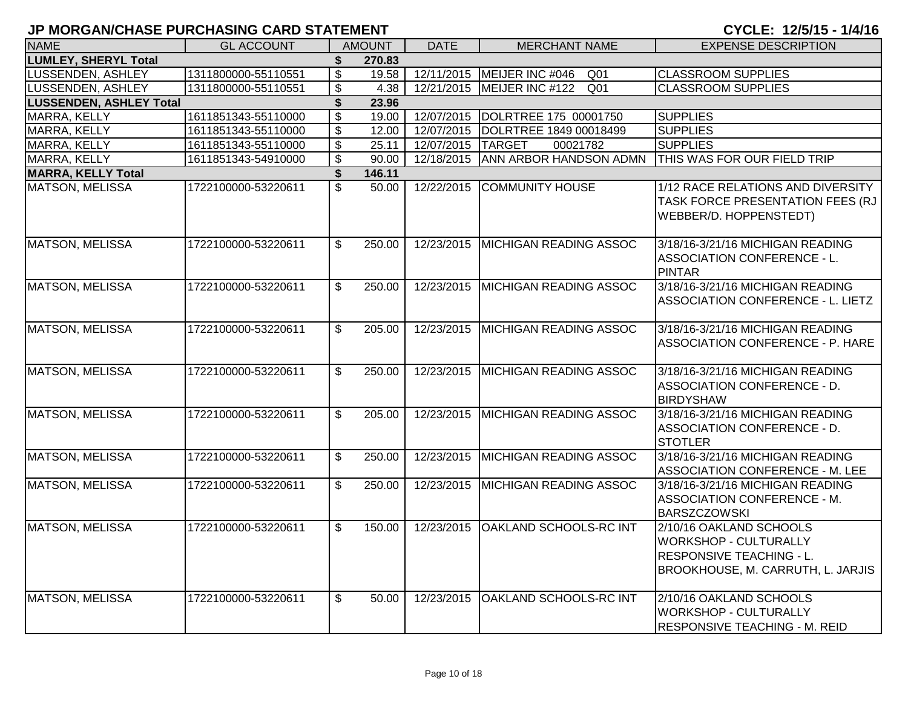|  |  |  |  | CYCLE: 12/5/15 - 1/4/16 |  |  |  |  |  |  |  |
|--|--|--|--|-------------------------|--|--|--|--|--|--|--|
|--|--|--|--|-------------------------|--|--|--|--|--|--|--|

| <b>NAME</b>                    | <b>GL ACCOUNT</b>   |                           | <b>AMOUNT</b> | <b>DATE</b>       | <b>MERCHANT NAME</b>               | <b>EXPENSE DESCRIPTION</b>                                                                                                      |
|--------------------------------|---------------------|---------------------------|---------------|-------------------|------------------------------------|---------------------------------------------------------------------------------------------------------------------------------|
| <b>LUMLEY, SHERYL Total</b>    |                     | \$                        | 270.83        |                   |                                    |                                                                                                                                 |
| LUSSENDEN, ASHLEY              | 1311800000-55110551 | $\mathfrak{S}$            | 19.58         |                   | 12/11/2015   MEIJER INC #046 Q01   | <b>CLASSROOM SUPPLIES</b>                                                                                                       |
| LUSSENDEN, ASHLEY              | 1311800000-55110551 | $\boldsymbol{\mathsf{S}}$ | 4.38          | 12/21/2015        | MEIJER INC #122<br>Q <sub>01</sub> | <b>CLASSROOM SUPPLIES</b>                                                                                                       |
| <b>LUSSENDEN, ASHLEY Total</b> |                     | \$                        | 23.96         |                   |                                    |                                                                                                                                 |
| MARRA, KELLY                   | 1611851343-55110000 | $\boldsymbol{\mathsf{S}}$ | 19.00         |                   | 12/07/2015  DOLRTREE 175 00001750  | <b>SUPPLIES</b>                                                                                                                 |
| MARRA, KELLY                   | 1611851343-55110000 | $\overline{\$}$           | 12.00         |                   | 12/07/2015 DOLRTREE 1849 00018499  | <b>SUPPLIES</b>                                                                                                                 |
| MARRA, KELLY                   | 1611851343-55110000 | $\overline{\mathcal{S}}$  | 25.11         | 12/07/2015 TARGET | 00021782                           | <b>SUPPLIES</b>                                                                                                                 |
| <b>MARRA, KELLY</b>            | 1611851343-54910000 | $\overline{\mathbf{e}}$   | 90.00         | 12/18/2015        | ANN ARBOR HANDSON ADMN             | THIS WAS FOR OUR FIELD TRIP                                                                                                     |
| <b>MARRA, KELLY Total</b>      |                     | \$                        | 146.11        |                   |                                    |                                                                                                                                 |
| <b>MATSON, MELISSA</b>         | 1722100000-53220611 | $\overline{\mathcal{S}}$  | 50.00         | 12/22/2015        | <b>COMMUNITY HOUSE</b>             | 1/12 RACE RELATIONS AND DIVERSITY<br>TASK FORCE PRESENTATION FEES (RJ<br>WEBBER/D. HOPPENSTEDT)                                 |
| <b>MATSON, MELISSA</b>         | 1722100000-53220611 | \$                        | 250.00        | 12/23/2015        | <b>MICHIGAN READING ASSOC</b>      | 3/18/16-3/21/16 MICHIGAN READING<br>ASSOCIATION CONFERENCE - L.<br><b>PINTAR</b>                                                |
| <b>MATSON, MELISSA</b>         | 1722100000-53220611 | \$                        | 250.00        |                   | 12/23/2015 MICHIGAN READING ASSOC  | 3/18/16-3/21/16 MICHIGAN READING<br><b>ASSOCIATION CONFERENCE - L. LIETZ</b>                                                    |
| <b>MATSON, MELISSA</b>         | 1722100000-53220611 | $\mathfrak{L}$            | 205.00        | 12/23/2015        | MICHIGAN READING ASSOC             | 3/18/16-3/21/16 MICHIGAN READING<br>ASSOCIATION CONFERENCE - P. HARE                                                            |
| <b>MATSON, MELISSA</b>         | 1722100000-53220611 | $\mathfrak{L}$            | 250.00        | 12/23/2015        | <b>MICHIGAN READING ASSOC</b>      | 3/18/16-3/21/16 MICHIGAN READING<br>ASSOCIATION CONFERENCE - D.<br><b>BIRDYSHAW</b>                                             |
| <b>MATSON, MELISSA</b>         | 1722100000-53220611 | \$                        | 205.00        |                   | 12/23/2015 MICHIGAN READING ASSOC  | 3/18/16-3/21/16 MICHIGAN READING<br>ASSOCIATION CONFERENCE - D.<br><b>STOTLER</b>                                               |
| <b>MATSON, MELISSA</b>         | 1722100000-53220611 | $\mathfrak{L}$            | 250.00        | 12/23/2015        | <b>MICHIGAN READING ASSOC</b>      | 3/18/16-3/21/16 MICHIGAN READING<br>ASSOCIATION CONFERENCE - M. LEE                                                             |
| MATSON, MELISSA                | 1722100000-53220611 | \$                        | 250.00        | 12/23/2015        | MICHIGAN READING ASSOC             | 3/18/16-3/21/16 MICHIGAN READING<br>ASSOCIATION CONFERENCE - M.<br><b>BARSZCZOWSKI</b>                                          |
| MATSON, MELISSA                | 1722100000-53220611 | $\mathfrak{L}$            | 150.00        | 12/23/2015        | <b>OAKLAND SCHOOLS-RC INT</b>      | 2/10/16 OAKLAND SCHOOLS<br><b>WORKSHOP - CULTURALLY</b><br><b>RESPONSIVE TEACHING - L.</b><br>BROOKHOUSE, M. CARRUTH, L. JARJIS |
| <b>MATSON, MELISSA</b>         | 1722100000-53220611 | \$                        | 50.00         | 12/23/2015        | OAKLAND SCHOOLS-RC INT             | 2/10/16 OAKLAND SCHOOLS<br><b>WORKSHOP - CULTURALLY</b><br>RESPONSIVE TEACHING - M. REID                                        |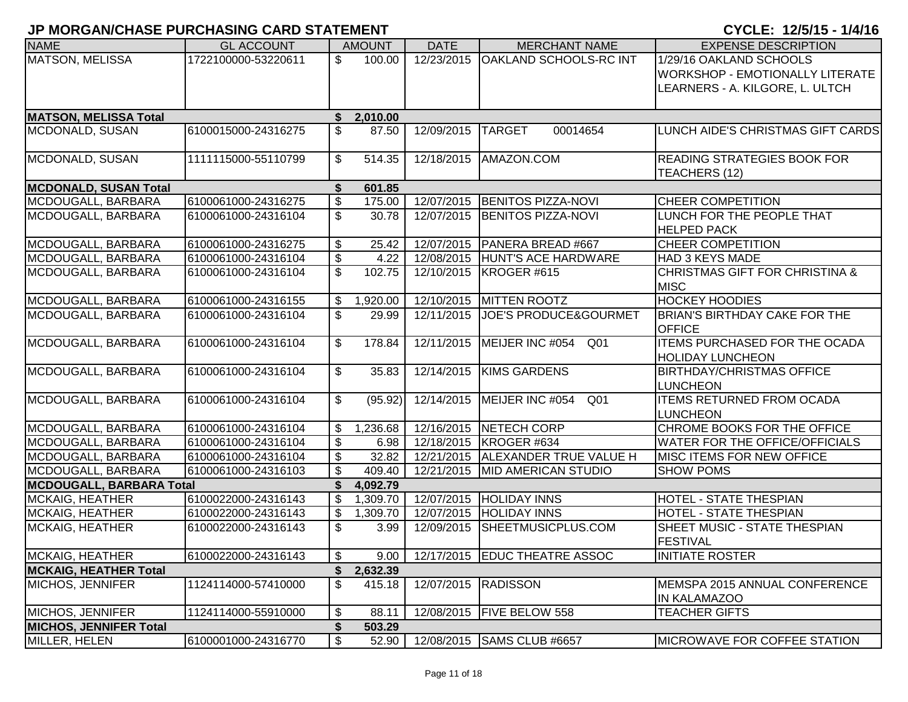| <b>NAME</b>                     | <b>GL ACCOUNT</b>   |    | <b>AMOUNT</b> | <b>DATE</b> | <b>MERCHANT NAME</b>                | <b>EXPENSE DESCRIPTION</b>                |
|---------------------------------|---------------------|----|---------------|-------------|-------------------------------------|-------------------------------------------|
| <b>MATSON, MELISSA</b>          | 1722100000-53220611 | \$ | 100.00        | 12/23/2015  | <b>OAKLAND SCHOOLS-RC INT</b>       | 1/29/16 OAKLAND SCHOOLS                   |
|                                 |                     |    |               |             |                                     | <b>WORKSHOP - EMOTIONALLY LITERATE</b>    |
|                                 |                     |    |               |             |                                     | LEARNERS - A. KILGORE, L. ULTCH           |
|                                 |                     |    |               |             |                                     |                                           |
| <b>MATSON, MELISSA Total</b>    |                     | \$ | 2,010.00      |             |                                     |                                           |
| MCDONALD, SUSAN                 | 6100015000-24316275 | \$ | 87.50         | 12/09/2015  | <b>TARGET</b><br>00014654           | LUNCH AIDE'S CHRISTMAS GIFT CARDS         |
|                                 |                     |    |               |             |                                     |                                           |
| MCDONALD, SUSAN                 | 1111115000-55110799 | \$ | 514.35        | 12/18/2015  | AMAZON.COM                          | <b>READING STRATEGIES BOOK FOR</b>        |
|                                 |                     |    |               |             |                                     | TEACHERS (12)                             |
| <b>MCDONALD, SUSAN Total</b>    |                     | S  | 601.85        |             |                                     |                                           |
| MCDOUGALL, BARBARA              | 6100061000-24316275 | \$ | 175.00        | 12/07/2015  | <b>BENITOS PIZZA-NOVI</b>           | <b>CHEER COMPETITION</b>                  |
| MCDOUGALL, BARBARA              | 6100061000-24316104 | \$ | 30.78         | 12/07/2015  | <b>BENITOS PIZZA-NOVI</b>           | LUNCH FOR THE PEOPLE THAT                 |
|                                 |                     |    |               |             |                                     | <b>HELPED PACK</b>                        |
| MCDOUGALL, BARBARA              | 6100061000-24316275 | \$ | 25.42         | 12/07/2015  | PANERA BREAD #667                   | <b>CHEER COMPETITION</b>                  |
| MCDOUGALL, BARBARA              | 6100061000-24316104 | \$ | 4.22          | 12/08/2015  | HUNT'S ACE HARDWARE                 | <b>HAD 3 KEYS MADE</b>                    |
| MCDOUGALL, BARBARA              | 6100061000-24316104 | \$ | 102.75        | 12/10/2015  | KROGER#615                          | <b>CHRISTMAS GIFT FOR CHRISTINA &amp;</b> |
|                                 |                     |    |               |             |                                     | <b>MISC</b>                               |
| MCDOUGALL, BARBARA              | 6100061000-24316155 | \$ | 1,920.00      |             | 12/10/2015 MITTEN ROOTZ             | <b>HOCKEY HOODIES</b>                     |
| MCDOUGALL, BARBARA              | 6100061000-24316104 | \$ | 29.99         | 12/11/2015  | <b>JOE'S PRODUCE&amp;GOURMET</b>    | BRIAN'S BIRTHDAY CAKE FOR THE             |
|                                 |                     |    |               |             |                                     | <b>OFFICE</b>                             |
| MCDOUGALL, BARBARA              | 6100061000-24316104 | \$ | 178.84        | 12/11/2015  | MEIJER INC #054<br>Q01              | <b>ITEMS PURCHASED FOR THE OCADA</b>      |
|                                 |                     |    |               |             |                                     | <b>HOLIDAY LUNCHEON</b>                   |
| MCDOUGALL, BARBARA              | 6100061000-24316104 | \$ | 35.83         | 12/14/2015  | <b>KIMS GARDENS</b>                 | <b>BIRTHDAY/CHRISTMAS OFFICE</b>          |
|                                 |                     |    |               |             |                                     | <b>LUNCHEON</b>                           |
| MCDOUGALL, BARBARA              | 6100061000-24316104 | \$ | (95.92)       | 12/14/2015  | MEIJER INC #054<br>Q01              | <b>ITEMS RETURNED FROM OCADA</b>          |
|                                 |                     |    |               |             |                                     | <b>LUNCHEON</b>                           |
| MCDOUGALL, BARBARA              | 6100061000-24316104 | \$ | 1,236.68      | 12/16/2015  | NETECH CORP                         | CHROME BOOKS FOR THE OFFICE               |
| MCDOUGALL, BARBARA              | 6100061000-24316104 | \$ | 6.98          |             | 12/18/2015   KROGER #634            | WATER FOR THE OFFICE/OFFICIALS            |
| MCDOUGALL, BARBARA              | 6100061000-24316104 | \$ | 32.82         |             | 12/21/2015   ALEXANDER TRUE VALUE H | MISC ITEMS FOR NEW OFFICE                 |
| MCDOUGALL, BARBARA              | 6100061000-24316103 | \$ | 409.40        |             | 12/21/2015   MID AMERICAN STUDIO    | <b>SHOW POMS</b>                          |
| <b>MCDOUGALL, BARBARA Total</b> |                     | \$ | 4,092.79      |             |                                     |                                           |
| MCKAIG, HEATHER                 | 6100022000-24316143 | \$ | 1,309.70      | 12/07/2015  | <b>HOLIDAY INNS</b>                 | HOTEL - STATE THESPIAN                    |
| <b>MCKAIG, HEATHER</b>          | 6100022000-24316143 | \$ | 1,309.70      |             | 12/07/2015 HOLIDAY INNS             | HOTEL - STATE THESPIAN                    |
| <b>MCKAIG, HEATHER</b>          | 6100022000-24316143 | \$ | 3.99          | 12/09/2015  | SHEETMUSICPLUS.COM                  | SHEET MUSIC - STATE THESPIAN              |
|                                 |                     |    |               |             |                                     | <b>FESTIVAL</b>                           |
| <b>MCKAIG, HEATHER</b>          | 6100022000-24316143 | \$ | 9.00          |             | 12/17/2015   EDUC THEATRE ASSOC     | <b>INITIATE ROSTER</b>                    |
| <b>MCKAIG, HEATHER Total</b>    |                     | \$ | 2,632.39      |             |                                     |                                           |
| MICHOS, JENNIFER                | 1124114000-57410000 | \$ | 415.18        | 12/07/2015  | <b>RADISSON</b>                     | MEMSPA 2015 ANNUAL CONFERENCE             |
|                                 |                     |    |               |             |                                     | <b>IN KALAMAZOO</b>                       |
| MICHOS, JENNIFER                | 1124114000-55910000 | \$ | 88.11         | 12/08/2015  | <b>FIVE BELOW 558</b>               | <b>TEACHER GIFTS</b>                      |
| <b>MICHOS, JENNIFER Total</b>   |                     |    | 503.29        |             |                                     |                                           |
| MILLER, HELEN                   | 6100001000-24316770 | \$ | 52.90         |             | 12/08/2015 SAMS CLUB #6657          | <b>MICROWAVE FOR COFFEE STATION</b>       |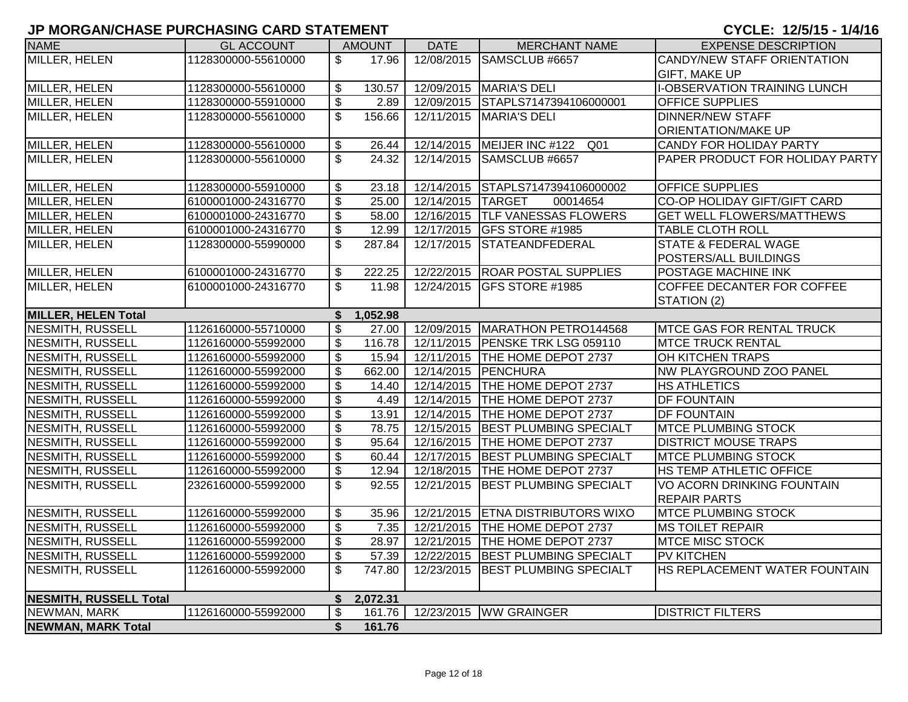| MILLER, HELEN<br>1128300000-55610000<br>12/08/2015<br>SAMSCLUB #6657<br>CANDY/NEW STAFF ORIENTATION<br>\$<br>17.96<br><b>GIFT, MAKE UP</b><br>MILLER, HELEN<br><b>I-OBSERVATION TRAINING LUNCH</b><br>1128300000-55610000<br>$\boldsymbol{\mathsf{S}}$<br>130.57<br>12/09/2015   MARIA'S DELI<br>$\boldsymbol{\mathsf{S}}$<br>12/09/2015 STAPLS7147394106000001<br><b>OFFICE SUPPLIES</b><br>MILLER, HELEN<br>1128300000-55910000<br>2.89<br>$\mathfrak{L}$<br>156.66<br>12/11/2015<br>MARIA'S DELI<br>MILLER, HELEN<br>1128300000-55610000<br><b>DINNER/NEW STAFF</b><br><b>ORIENTATION/MAKE UP</b><br>MILLER, HELEN<br>\$<br>12/14/2015<br>1128300000-55610000<br>26.44<br>MEIJER INC #122 Q01<br><b>CANDY FOR HOLIDAY PARTY</b><br>$\overline{\mathcal{S}}$<br>MILLER, HELEN<br>24.32<br>12/14/2015 SAMSCLUB #6657<br>PAPER PRODUCT FOR HOLIDAY PARTY<br>1128300000-55610000 |
|---------------------------------------------------------------------------------------------------------------------------------------------------------------------------------------------------------------------------------------------------------------------------------------------------------------------------------------------------------------------------------------------------------------------------------------------------------------------------------------------------------------------------------------------------------------------------------------------------------------------------------------------------------------------------------------------------------------------------------------------------------------------------------------------------------------------------------------------------------------------------------|
|                                                                                                                                                                                                                                                                                                                                                                                                                                                                                                                                                                                                                                                                                                                                                                                                                                                                                 |
|                                                                                                                                                                                                                                                                                                                                                                                                                                                                                                                                                                                                                                                                                                                                                                                                                                                                                 |
|                                                                                                                                                                                                                                                                                                                                                                                                                                                                                                                                                                                                                                                                                                                                                                                                                                                                                 |
|                                                                                                                                                                                                                                                                                                                                                                                                                                                                                                                                                                                                                                                                                                                                                                                                                                                                                 |
|                                                                                                                                                                                                                                                                                                                                                                                                                                                                                                                                                                                                                                                                                                                                                                                                                                                                                 |
|                                                                                                                                                                                                                                                                                                                                                                                                                                                                                                                                                                                                                                                                                                                                                                                                                                                                                 |
|                                                                                                                                                                                                                                                                                                                                                                                                                                                                                                                                                                                                                                                                                                                                                                                                                                                                                 |
|                                                                                                                                                                                                                                                                                                                                                                                                                                                                                                                                                                                                                                                                                                                                                                                                                                                                                 |
|                                                                                                                                                                                                                                                                                                                                                                                                                                                                                                                                                                                                                                                                                                                                                                                                                                                                                 |
| MILLER, HELEN<br>1128300000-55910000<br>\$<br>12/14/2015 STAPLS7147394106000002<br><b>OFFICE SUPPLIES</b><br>23.18                                                                                                                                                                                                                                                                                                                                                                                                                                                                                                                                                                                                                                                                                                                                                              |
| $\overline{\$}$<br>MILLER, HELEN<br>25.00<br>6100001000-24316770<br>12/14/2015 TARGET<br>CO-OP HOLIDAY GIFT/GIFT CARD<br>00014654                                                                                                                                                                                                                                                                                                                                                                                                                                                                                                                                                                                                                                                                                                                                               |
| $\overline{\mathbf{e}}$<br>58.00<br>MILLER, HELEN<br>6100001000-24316770<br>12/16/2015 TLF VANESSAS FLOWERS<br><b>GET WELL FLOWERS/MATTHEWS</b>                                                                                                                                                                                                                                                                                                                                                                                                                                                                                                                                                                                                                                                                                                                                 |
| $\overline{\mathbf{e}}$<br>12.99<br>12/17/2015 GFS STORE #1985<br>MILLER, HELEN<br>6100001000-24316770<br><b>TABLE CLOTH ROLL</b>                                                                                                                                                                                                                                                                                                                                                                                                                                                                                                                                                                                                                                                                                                                                               |
| 287.84<br>MILLER, HELEN<br>1128300000-55990000<br>\$<br>12/17/2015<br><b>STATEANDFEDERAL</b><br><b>STATE &amp; FEDERAL WAGE</b>                                                                                                                                                                                                                                                                                                                                                                                                                                                                                                                                                                                                                                                                                                                                                 |
| <b>POSTERS/ALL BUILDINGS</b>                                                                                                                                                                                                                                                                                                                                                                                                                                                                                                                                                                                                                                                                                                                                                                                                                                                    |
| MILLER, HELEN<br>12/22/2015 ROAR POSTAL SUPPLIES<br>6100001000-24316770<br>$\mathfrak{s}$<br>222.25<br><b>POSTAGE MACHINE INK</b>                                                                                                                                                                                                                                                                                                                                                                                                                                                                                                                                                                                                                                                                                                                                               |
| $\overline{\mathcal{S}}$<br>MILLER, HELEN<br>6100001000-24316770<br>11.98<br>12/24/2015 GFS STORE #1985<br>COFFEE DECANTER FOR COFFEE                                                                                                                                                                                                                                                                                                                                                                                                                                                                                                                                                                                                                                                                                                                                           |
| STATION (2)                                                                                                                                                                                                                                                                                                                                                                                                                                                                                                                                                                                                                                                                                                                                                                                                                                                                     |
| <b>MILLER, HELEN Total</b><br>1,052.98<br>\$                                                                                                                                                                                                                                                                                                                                                                                                                                                                                                                                                                                                                                                                                                                                                                                                                                    |
| $\overline{\mathcal{S}}$<br><b>NESMITH, RUSSELL</b><br>12/09/2015   MARATHON PETRO144568<br>1126160000-55710000<br>27.00<br><b>MTCE GAS FOR RENTAL TRUCK</b>                                                                                                                                                                                                                                                                                                                                                                                                                                                                                                                                                                                                                                                                                                                    |
| $\overline{\mathcal{S}}$<br><b>NESMITH, RUSSELL</b><br>116.78<br>12/11/2015 PENSKE TRK LSG 059110<br>1126160000-55992000<br><b>MTCE TRUCK RENTAL</b>                                                                                                                                                                                                                                                                                                                                                                                                                                                                                                                                                                                                                                                                                                                            |
| $\overline{\mathbf{S}}$<br>15.94<br>12/11/2015 THE HOME DEPOT 2737<br><b>NESMITH, RUSSELL</b><br>1126160000-55992000<br>OH KITCHEN TRAPS                                                                                                                                                                                                                                                                                                                                                                                                                                                                                                                                                                                                                                                                                                                                        |
| \$<br><b>NESMITH, RUSSELL</b><br>1126160000-55992000<br>662.00<br>12/14/2015 PENCHURA<br>NW PLAYGROUND ZOO PANEL                                                                                                                                                                                                                                                                                                                                                                                                                                                                                                                                                                                                                                                                                                                                                                |
| \$<br>12/14/2015 THE HOME DEPOT 2737<br><b>NESMITH, RUSSELL</b><br>1126160000-55992000<br>14.40<br><b>HS ATHLETICS</b>                                                                                                                                                                                                                                                                                                                                                                                                                                                                                                                                                                                                                                                                                                                                                          |
| $\overline{\$}$<br><b>NESMITH, RUSSELL</b><br>1126160000-55992000<br>4.49<br>12/14/2015 THE HOME DEPOT 2737<br><b>DF FOUNTAIN</b>                                                                                                                                                                                                                                                                                                                                                                                                                                                                                                                                                                                                                                                                                                                                               |
| $\overline{\mathbf{e}}$<br>12/14/2015 THE HOME DEPOT 2737<br><b>NESMITH, RUSSELL</b><br>1126160000-55992000<br>13.91<br><b>DF FOUNTAIN</b>                                                                                                                                                                                                                                                                                                                                                                                                                                                                                                                                                                                                                                                                                                                                      |
| \$<br>78.75<br>12/15/2015 BEST PLUMBING SPECIALT<br>NESMITH, RUSSELL<br><b>MTCE PLUMBING STOCK</b><br>1126160000-55992000                                                                                                                                                                                                                                                                                                                                                                                                                                                                                                                                                                                                                                                                                                                                                       |
| \$<br>95.64<br>12/16/2015 THE HOME DEPOT 2737<br><b>NESMITH, RUSSELL</b><br>1126160000-55992000<br><b>DISTRICT MOUSE TRAPS</b>                                                                                                                                                                                                                                                                                                                                                                                                                                                                                                                                                                                                                                                                                                                                                  |
| <b>NESMITH, RUSSELL</b><br>$\boldsymbol{\mathsf{S}}$<br>12/17/2015 BEST PLUMBING SPECIALT<br>1126160000-55992000<br>60.44<br><b>MTCE PLUMBING STOCK</b>                                                                                                                                                                                                                                                                                                                                                                                                                                                                                                                                                                                                                                                                                                                         |
| $\overline{\mathbf{e}}$<br><b>NESMITH, RUSSELL</b><br>12.94<br>12/18/2015 THE HOME DEPOT 2737<br>HS TEMP ATHLETIC OFFICE<br>1126160000-55992000                                                                                                                                                                                                                                                                                                                                                                                                                                                                                                                                                                                                                                                                                                                                 |
| <b>NESMITH, RUSSELL</b><br>\$<br>92.55<br>12/21/2015<br><b>BEST PLUMBING SPECIALT</b><br>2326160000-55992000<br>VO ACORN DRINKING FOUNTAIN                                                                                                                                                                                                                                                                                                                                                                                                                                                                                                                                                                                                                                                                                                                                      |
| <b>REPAIR PARTS</b>                                                                                                                                                                                                                                                                                                                                                                                                                                                                                                                                                                                                                                                                                                                                                                                                                                                             |
| NESMITH, RUSSELL<br>$\boldsymbol{\mathsf{S}}$<br>12/21/2015 ETNA DISTRIBUTORS WIXO<br>1126160000-55992000<br>35.96<br><b>MTCE PLUMBING STOCK</b>                                                                                                                                                                                                                                                                                                                                                                                                                                                                                                                                                                                                                                                                                                                                |
| $\overline{\mathcal{S}}$<br>12/21/2015 THE HOME DEPOT 2737<br><b>NESMITH, RUSSELL</b><br>1126160000-55992000<br>7.35<br><b>MS TOILET REPAIR</b>                                                                                                                                                                                                                                                                                                                                                                                                                                                                                                                                                                                                                                                                                                                                 |
| $\boldsymbol{\mathsf{S}}$<br><b>NESMITH, RUSSELL</b><br>28.97<br>12/21/2015   THE HOME DEPOT 2737<br><b>MTCE MISC STOCK</b><br>1126160000-55992000                                                                                                                                                                                                                                                                                                                                                                                                                                                                                                                                                                                                                                                                                                                              |
| $\boldsymbol{\mathsf{S}}$<br>57.39<br>12/22/2015 BEST PLUMBING SPECIALT<br><b>NESMITH, RUSSELL</b><br>1126160000-55992000<br><b>PV KITCHEN</b>                                                                                                                                                                                                                                                                                                                                                                                                                                                                                                                                                                                                                                                                                                                                  |
| \$<br>747.80<br>12/23/2015 BEST PLUMBING SPECIALT<br><b>HS REPLACEMENT WATER FOUNTAIN</b><br><b>NESMITH, RUSSELL</b><br>1126160000-55992000                                                                                                                                                                                                                                                                                                                                                                                                                                                                                                                                                                                                                                                                                                                                     |
| <b>NESMITH, RUSSELL Total</b><br>2,072.31<br>\$                                                                                                                                                                                                                                                                                                                                                                                                                                                                                                                                                                                                                                                                                                                                                                                                                                 |
| 1126160000-55992000<br>\$<br>12/23/2015 WW GRAINGER<br>NEWMAN, MARK<br>161.76<br><b>DISTRICT FILTERS</b>                                                                                                                                                                                                                                                                                                                                                                                                                                                                                                                                                                                                                                                                                                                                                                        |
| \$<br>161.76<br><b>NEWMAN, MARK Total</b>                                                                                                                                                                                                                                                                                                                                                                                                                                                                                                                                                                                                                                                                                                                                                                                                                                       |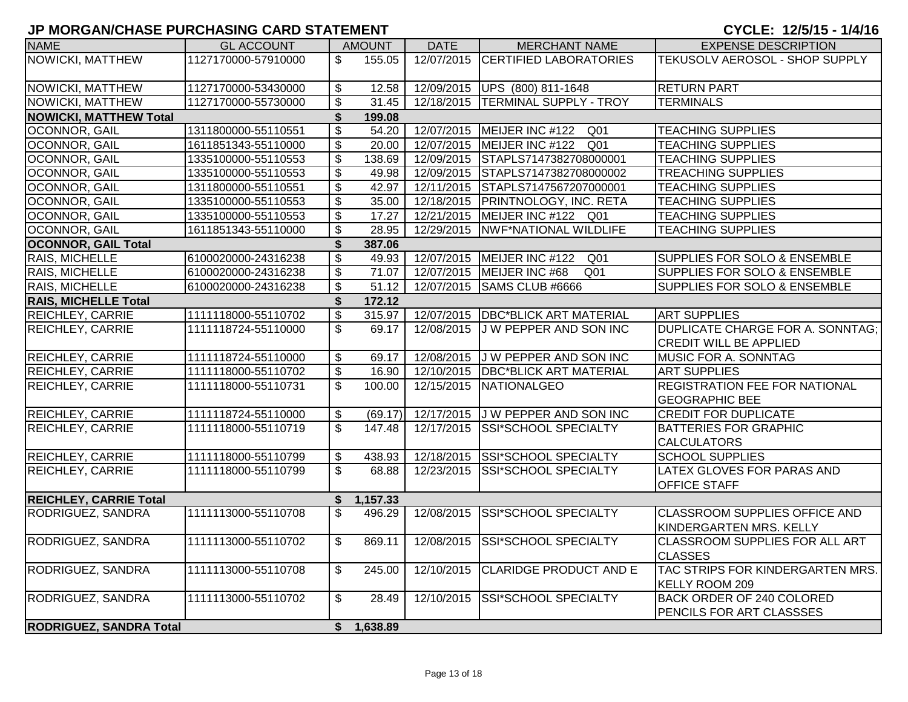| <b>NAME</b>                    | <b>GL ACCOUNT</b>   |                           | <b>AMOUNT</b>      | <b>DATE</b> | <b>MERCHANT NAME</b>                            | <b>EXPENSE DESCRIPTION</b>                                      |
|--------------------------------|---------------------|---------------------------|--------------------|-------------|-------------------------------------------------|-----------------------------------------------------------------|
| NOWICKI, MATTHEW               | 1127170000-57910000 | \$                        | 155.05             | 12/07/2015  | <b>CERTIFIED LABORATORIES</b>                   | TEKUSOLV AEROSOL - SHOP SUPPLY                                  |
|                                |                     |                           |                    |             |                                                 |                                                                 |
| NOWICKI, MATTHEW               | 1127170000-53430000 | $\boldsymbol{\mathsf{S}}$ | 12.58              |             | 12/09/2015 UPS (800) 811-1648                   | <b>RETURN PART</b>                                              |
| NOWICKI, MATTHEW               | 1127170000-55730000 | \$                        | 31.45              |             | 12/18/2015 TERMINAL SUPPLY - TROY               | <b>TERMINALS</b>                                                |
| <b>NOWICKI, MATTHEW Total</b>  |                     | \$                        | 199.08             |             |                                                 |                                                                 |
| OCONNOR, GAIL                  | 1311800000-55110551 | $\boldsymbol{\mathsf{S}}$ | 54.20              |             | 12/07/2015   MEIJER INC #122 Q01                | <b>TEACHING SUPPLIES</b>                                        |
| OCONNOR, GAIL                  | 1611851343-55110000 | $\overline{\mathcal{S}}$  | 20.00              |             | 12/07/2015   MEIJER INC #122 Q01                | <b>TEACHING SUPPLIES</b>                                        |
| OCONNOR, GAIL                  | 1335100000-55110553 | $\boldsymbol{\mathsf{S}}$ | 138.69             |             | 12/09/2015 STAPLS7147382708000001               | <b>TEACHING SUPPLIES</b>                                        |
| OCONNOR, GAIL                  | 1335100000-55110553 | $\overline{\mathbf{e}}$   | 49.98              |             | 12/09/2015 STAPLS7147382708000002               | <b>TREACHING SUPPLIES</b>                                       |
| OCONNOR, GAIL                  | 1311800000-55110551 | $\boldsymbol{\mathsf{S}}$ | 42.97              |             | 12/11/2015 STAPLS7147567207000001               | <b>TEACHING SUPPLIES</b>                                        |
| <b>OCONNOR, GAIL</b>           | 1335100000-55110553 | $\overline{\mathbf{e}}$   | 35.00              |             | 12/18/2015 PRINTNOLOGY, INC. RETA               | <b>TEACHING SUPPLIES</b>                                        |
| OCONNOR, GAIL                  | 1335100000-55110553 | $\overline{\mathbf{s}}$   | 17.27              |             | 12/21/2015 MEIJER INC #122 Q01                  | <b>TEACHING SUPPLIES</b>                                        |
| OCONNOR, GAIL                  | 1611851343-55110000 | $\overline{\$}$           | 28.95              |             | 12/29/2015 NWF*NATIONAL WILDLIFE                | <b>TEACHING SUPPLIES</b>                                        |
| <b>OCONNOR, GAIL Total</b>     |                     | \$                        | 387.06             |             |                                                 |                                                                 |
| RAIS, MICHELLE                 | 6100020000-24316238 | $\boldsymbol{\mathsf{S}}$ | 49.93              |             | 12/07/2015   MEIJER INC #122<br>Q <sub>01</sub> | <b>SUPPLIES FOR SOLO &amp; ENSEMBLE</b>                         |
| RAIS, MICHELLE                 | 6100020000-24316238 | $\overline{\mathbf{e}}$   | 71.07              |             | 12/07/2015 MEIJER INC #68<br>Q <sub>01</sub>    | <b>SUPPLIES FOR SOLO &amp; ENSEMBLE</b>                         |
| RAIS, MICHELLE                 | 6100020000-24316238 | $\overline{\mathbf{S}}$   | 51.12              |             | 12/07/2015 SAMS CLUB #6666                      | SUPPLIES FOR SOLO & ENSEMBLE                                    |
| <b>RAIS, MICHELLE Total</b>    |                     |                           | 172.12             |             |                                                 |                                                                 |
| REICHLEY, CARRIE               | 1111118000-55110702 | $\overline{\mathbf{G}}$   | 315.97             |             | 12/07/2015   DBC*BLICK ART MATERIAL             | <b>ART SUPPLIES</b>                                             |
| <b>REICHLEY, CARRIE</b>        | 1111118724-55110000 | $\overline{\mathcal{S}}$  | $\overline{69.17}$ |             | 12/08/2015 J W PEPPER AND SON INC               | <b>DUPLICATE CHARGE FOR A. SONNTAG;</b>                         |
|                                |                     |                           |                    |             |                                                 | <b>CREDIT WILL BE APPLIED</b>                                   |
| <b>REICHLEY, CARRIE</b>        | 1111118724-55110000 | \$                        | 69.17              |             | 12/08/2015 J W PEPPER AND SON INC               | <b>MUSIC FOR A. SONNTAG</b>                                     |
| REICHLEY, CARRIE               | 1111118000-55110702 | $\boldsymbol{\mathsf{S}}$ | 16.90              |             | 12/10/2015   DBC*BLICK ART MATERIAL             | <b>ART SUPPLIES</b>                                             |
| <b>REICHLEY, CARRIE</b>        | 1111118000-55110731 | $\overline{\mathcal{S}}$  | 100.00             |             | 12/15/2015 NATIONALGEO                          | <b>REGISTRATION FEE FOR NATIONAL</b>                            |
|                                |                     |                           |                    |             |                                                 | <b>GEOGRAPHIC BEE</b>                                           |
| REICHLEY, CARRIE               | 1111118724-55110000 | \$                        | (69.17)            |             | 12/17/2015 J W PEPPER AND SON INC               | <b>CREDIT FOR DUPLICATE</b>                                     |
| REICHLEY, CARRIE               | 1111118000-55110719 | $\overline{\mathcal{S}}$  | 147.48             | 12/17/2015  | SSI*SCHOOL SPECIALTY                            | <b>BATTERIES FOR GRAPHIC</b>                                    |
|                                |                     |                           |                    |             |                                                 | <b>CALCULATORS</b>                                              |
| REICHLEY, CARRIE               | 1111118000-55110799 | \$                        | 438.93             | 12/18/2015  | SSI*SCHOOL SPECIALTY                            | <b>SCHOOL SUPPLIES</b>                                          |
| <b>REICHLEY, CARRIE</b>        | 1111118000-55110799 | $\mathfrak{S}$            | 68.88              |             | 12/23/2015 SSI*SCHOOL SPECIALTY                 | LATEX GLOVES FOR PARAS AND                                      |
|                                |                     |                           |                    |             |                                                 | <b>OFFICE STAFF</b>                                             |
| <b>REICHLEY, CARRIE Total</b>  |                     | S.                        | 1,157.33           |             |                                                 |                                                                 |
| RODRIGUEZ, SANDRA              | 1111113000-55110708 | $\mathfrak{S}$            | 496.29             |             | 12/08/2015 SSI*SCHOOL SPECIALTY                 | <b>CLASSROOM SUPPLIES OFFICE AND</b><br>KINDERGARTEN MRS. KELLY |
| RODRIGUEZ, SANDRA              | 1111113000-55110702 | $\mathfrak{S}$            | 869.11             |             | 12/08/2015 SSI*SCHOOL SPECIALTY                 | <b>CLASSROOM SUPPLIES FOR ALL ART</b>                           |
|                                |                     |                           |                    |             |                                                 | <b>CLASSES</b>                                                  |
| RODRIGUEZ, SANDRA              | 1111113000-55110708 | $\mathfrak{L}$            | 245.00             |             | 12/10/2015 CLARIDGE PRODUCT AND E               | <b>TAC STRIPS FOR KINDERGARTEN MRS.</b>                         |
|                                |                     |                           |                    |             |                                                 | <b>KELLY ROOM 209</b>                                           |
| RODRIGUEZ, SANDRA              | 1111113000-55110702 | \$                        | 28.49              |             | 12/10/2015 SSI*SCHOOL SPECIALTY                 | <b>BACK ORDER OF 240 COLORED</b>                                |
|                                |                     |                           |                    |             |                                                 | PENCILS FOR ART CLASSSES                                        |
| <b>RODRIGUEZ, SANDRA Total</b> |                     |                           | \$1,638.89         |             |                                                 |                                                                 |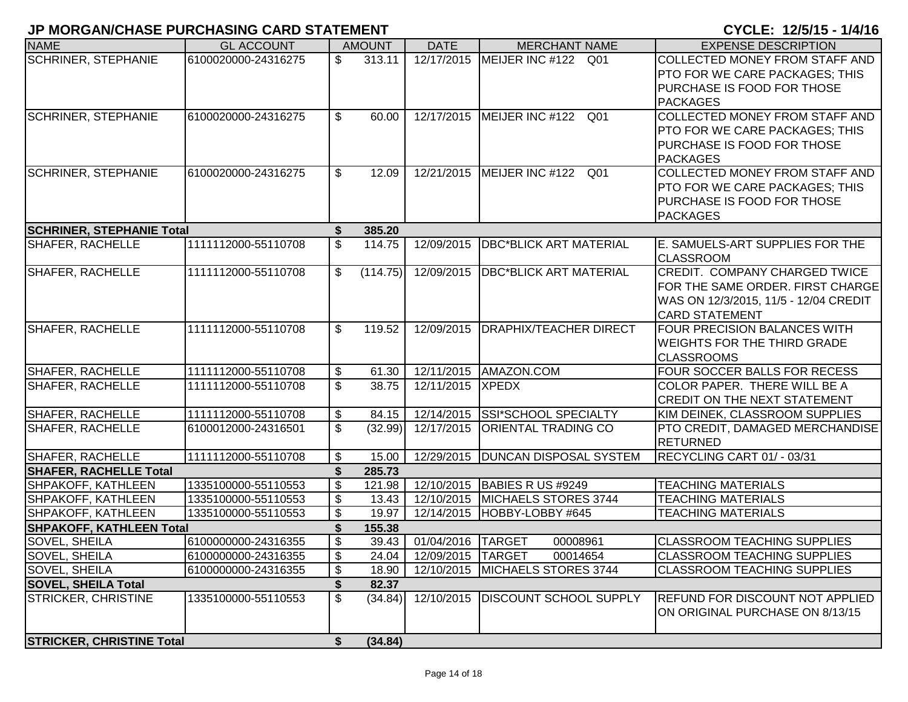| <b>NAME</b>                      | <b>GL ACCOUNT</b>   |                           | <b>AMOUNT</b> | <b>DATE</b>       | <b>MERCHANT NAME</b>                        | <b>EXPENSE DESCRIPTION</b>                                                |
|----------------------------------|---------------------|---------------------------|---------------|-------------------|---------------------------------------------|---------------------------------------------------------------------------|
| <b>SCHRINER, STEPHANIE</b>       | 6100020000-24316275 | \$                        | 313.11        |                   | 12/17/2015 MEIJER INC #122 Q01              | COLLECTED MONEY FROM STAFF AND                                            |
|                                  |                     |                           |               |                   |                                             | PTO FOR WE CARE PACKAGES; THIS                                            |
|                                  |                     |                           |               |                   |                                             | PURCHASE IS FOOD FOR THOSE                                                |
|                                  |                     |                           |               |                   |                                             | <b>PACKAGES</b>                                                           |
| <b>SCHRINER, STEPHANIE</b>       | 6100020000-24316275 | \$                        | 60.00         |                   | 12/17/2015   MEIJER INC #122 Q01            | <b>COLLECTED MONEY FROM STAFF AND</b>                                     |
|                                  |                     |                           |               |                   |                                             | PTO FOR WE CARE PACKAGES; THIS                                            |
|                                  |                     |                           |               |                   |                                             | PURCHASE IS FOOD FOR THOSE                                                |
|                                  |                     |                           |               |                   |                                             | <b>PACKAGES</b>                                                           |
| <b>SCHRINER, STEPHANIE</b>       | 6100020000-24316275 | \$                        | 12.09         | 12/21/2015        | MEIJER INC #122 Q01                         | COLLECTED MONEY FROM STAFF AND                                            |
|                                  |                     |                           |               |                   |                                             | PTO FOR WE CARE PACKAGES; THIS                                            |
|                                  |                     |                           |               |                   |                                             | PURCHASE IS FOOD FOR THOSE                                                |
|                                  |                     |                           |               |                   |                                             | <b>PACKAGES</b>                                                           |
| <b>SCHRINER, STEPHANIE Total</b> |                     | S                         | 385.20        |                   |                                             |                                                                           |
| <b>SHAFER, RACHELLE</b>          | 1111112000-55110708 | \$                        | 114.75        | 12/09/2015        | <b>DBC*BLICK ART MATERIAL</b>               | E. SAMUELS-ART SUPPLIES FOR THE                                           |
| <b>SHAFER, RACHELLE</b>          | 1111112000-55110708 | \$                        | (114.75)      | 12/09/2015        | <b>DBC*BLICK ART MATERIAL</b>               | <b>CLASSROOM</b><br>CREDIT. COMPANY CHARGED TWICE                         |
|                                  |                     |                           |               |                   |                                             | FOR THE SAME ORDER. FIRST CHARGE                                          |
|                                  |                     |                           |               |                   |                                             | WAS ON 12/3/2015, 11/5 - 12/04 CREDIT                                     |
|                                  |                     |                           |               |                   |                                             | <b>CARD STATEMENT</b>                                                     |
| <b>SHAFER, RACHELLE</b>          | 1111112000-55110708 | \$                        | 119.52        | 12/09/2015        | <b>DRAPHIX/TEACHER DIRECT</b>               | <b>FOUR PRECISION BALANCES WITH</b>                                       |
|                                  |                     |                           |               |                   |                                             | <b>WEIGHTS FOR THE THIRD GRADE</b>                                        |
|                                  |                     |                           |               |                   |                                             | <b>CLASSROOMS</b>                                                         |
| <b>SHAFER, RACHELLE</b>          | 1111112000-55110708 | $\boldsymbol{\mathsf{S}}$ | 61.30         |                   | 12/11/2015 AMAZON.COM                       | FOUR SOCCER BALLS FOR RECESS                                              |
| <b>SHAFER, RACHELLE</b>          | 1111112000-55110708 | \$                        | 38.75         | 12/11/2015 XPEDX  |                                             | COLOR PAPER. THERE WILL BE A                                              |
|                                  |                     |                           |               |                   |                                             | CREDIT ON THE NEXT STATEMENT                                              |
| <b>SHAFER, RACHELLE</b>          | 1111112000-55110708 | $\boldsymbol{\mathsf{S}}$ | 84.15         |                   | 12/14/2015 SSI*SCHOOL SPECIALTY             | KIM DEINEK, CLASSROOM SUPPLIES                                            |
| <b>SHAFER, RACHELLE</b>          | 6100012000-24316501 | \$                        | (32.99)       | 12/17/2015        | <b>ORIENTAL TRADING CO</b>                  | PTO CREDIT, DAMAGED MERCHANDISE                                           |
|                                  |                     |                           |               |                   |                                             | <b>RETURNED</b>                                                           |
| <b>SHAFER, RACHELLE</b>          | 1111112000-55110708 | \$                        | 15.00         |                   | 12/29/2015   DUNCAN DISPOSAL SYSTEM         | RECYCLING CART 01/ - 03/31                                                |
| <b>SHAFER, RACHELLE Total</b>    |                     | \$                        | 285.73        |                   |                                             |                                                                           |
| <b>SHPAKOFF, KATHLEEN</b>        | 1335100000-55110553 | $\boldsymbol{\mathsf{S}}$ | 121.98        |                   | 12/10/2015 BABIES R US #9249                | <b>TEACHING MATERIALS</b>                                                 |
| <b>SHPAKOFF, KATHLEEN</b>        | 1335100000-55110553 | $\mathfrak{F}$            | 13.43         |                   | 12/10/2015 MICHAELS STORES 3744             | <b>TEACHING MATERIALS</b>                                                 |
| SHPAKOFF, KATHLEEN               | 1335100000-55110553 | \$                        | 19.97         |                   | 12/14/2015  HOBBY-LOBBY #645                | <b>TEACHING MATERIALS</b>                                                 |
| <b>SHPAKOFF, KATHLEEN Total</b>  |                     | \$                        | 155.38        |                   |                                             |                                                                           |
| <b>SOVEL, SHEILA</b>             | 6100000000-24316355 | $\mathfrak{F}$            | 39.43         | 01/04/2016 TARGET | 00008961                                    | <b>CLASSROOM TEACHING SUPPLIES</b>                                        |
| SOVEL, SHEILA                    | 6100000000-24316355 | \$                        | 24.04         | 12/09/2015 TARGET | 00014654<br>12/10/2015 MICHAELS STORES 3744 | <b>CLASSROOM TEACHING SUPPLIES</b>                                        |
| SOVEL, SHEILA                    | 6100000000-24316355 | \$                        | 18.90         |                   |                                             | <b>CLASSROOM TEACHING SUPPLIES</b>                                        |
| <b>SOVEL, SHEILA Total</b>       |                     | \$                        | 82.37         |                   | 12/10/2015   DISCOUNT SCHOOL SUPPLY         |                                                                           |
| <b>STRICKER, CHRISTINE</b>       | 1335100000-55110553 | $\sqrt[6]{\frac{1}{2}}$   | (34.84)       |                   |                                             | <b>REFUND FOR DISCOUNT NOT APPLIED</b><br>ON ORIGINAL PURCHASE ON 8/13/15 |
|                                  |                     |                           |               |                   |                                             |                                                                           |
| <b>STRICKER, CHRISTINE Total</b> |                     | \$                        | (34.84)       |                   |                                             |                                                                           |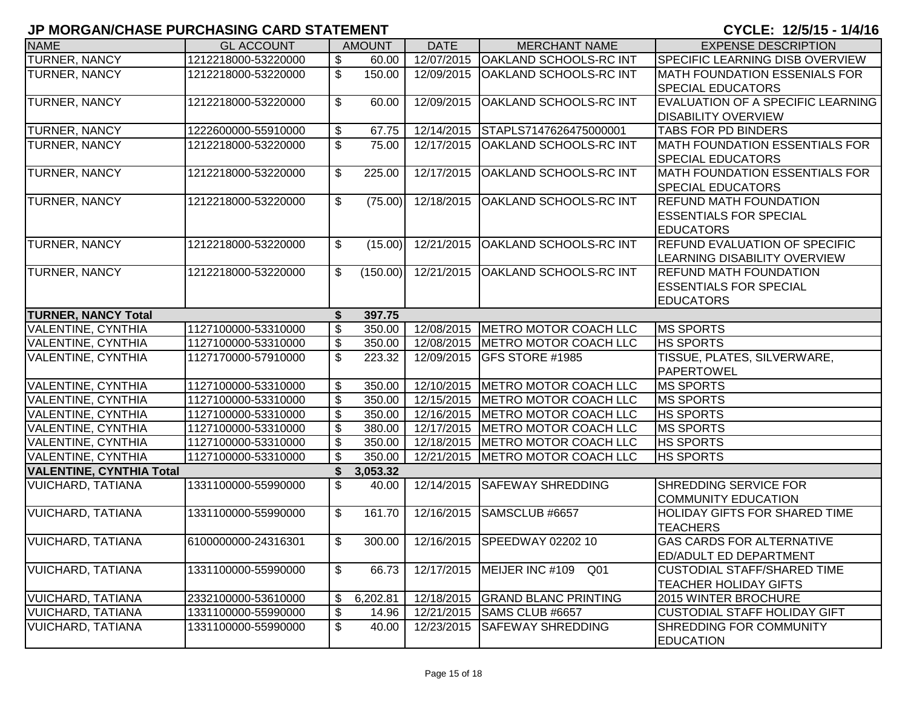|                                 | ייווסומום וווער שוויט שיווטו ויטוויט ו םטומוס ויש אוטוסומו וע |                           |               |             |                                     | VIVLLI I <i>livi</i> IV I <i>I</i> IV  |
|---------------------------------|---------------------------------------------------------------|---------------------------|---------------|-------------|-------------------------------------|----------------------------------------|
| <b>NAME</b>                     | <b>GL ACCOUNT</b>                                             |                           | <b>AMOUNT</b> | <b>DATE</b> | <b>MERCHANT NAME</b>                | <b>EXPENSE DESCRIPTION</b>             |
| <b>TURNER, NANCY</b>            | 1212218000-53220000                                           | \$                        | 60.00         | 12/07/2015  | <b>OAKLAND SCHOOLS-RC INT</b>       | <b>SPECIFIC LEARNING DISB OVERVIEW</b> |
| <b>TURNER, NANCY</b>            | 1212218000-53220000                                           | \$                        | 150.00        | 12/09/2015  | <b>OAKLAND SCHOOLS-RC INT</b>       | <b>IMATH FOUNDATION ESSENIALS FOR</b>  |
|                                 |                                                               |                           |               |             |                                     | <b>SPECIAL EDUCATORS</b>               |
| <b>TURNER, NANCY</b>            | 1212218000-53220000                                           | $\mathfrak{S}$            | 60.00         | 12/09/2015  | <b>OAKLAND SCHOOLS-RC INT</b>       | EVALUATION OF A SPECIFIC LEARNING      |
|                                 |                                                               |                           |               |             |                                     | <b>DISABILITY OVERVIEW</b>             |
| TURNER, NANCY                   | 1222600000-55910000                                           | \$                        | 67.75         | 12/14/2015  | STAPLS7147626475000001              | <b>TABS FOR PD BINDERS</b>             |
| TURNER, NANCY                   | 1212218000-53220000                                           | \$                        | 75.00         | 12/17/2015  | OAKLAND SCHOOLS-RC INT              | <b>MATH FOUNDATION ESSENTIALS FOR</b>  |
|                                 |                                                               |                           |               |             |                                     | <b>SPECIAL EDUCATORS</b>               |
| TURNER, NANCY                   | 1212218000-53220000                                           | $\mathfrak{S}$            | 225.00        | 12/17/2015  | OAKLAND SCHOOLS-RC INT              | <b>MATH FOUNDATION ESSENTIALS FOR</b>  |
|                                 |                                                               |                           |               |             |                                     | <b>SPECIAL EDUCATORS</b>               |
| <b>TURNER, NANCY</b>            | 1212218000-53220000                                           | \$                        | (75.00)       | 12/18/2015  | <b>OAKLAND SCHOOLS-RC INT</b>       | <b>REFUND MATH FOUNDATION</b>          |
|                                 |                                                               |                           |               |             |                                     | <b>ESSENTIALS FOR SPECIAL</b>          |
|                                 |                                                               |                           |               |             |                                     | <b>EDUCATORS</b>                       |
| <b>TURNER, NANCY</b>            | 1212218000-53220000                                           | $\mathfrak{S}$            | (15.00)       | 12/21/2015  | <b>OAKLAND SCHOOLS-RC INT</b>       | <b>REFUND EVALUATION OF SPECIFIC</b>   |
|                                 |                                                               |                           |               |             |                                     | LEARNING DISABILITY OVERVIEW           |
| <b>TURNER, NANCY</b>            | 1212218000-53220000                                           | $\mathfrak{S}$            | (150.00)      | 12/21/2015  | <b>OAKLAND SCHOOLS-RC INT</b>       | <b>REFUND MATH FOUNDATION</b>          |
|                                 |                                                               |                           |               |             |                                     | <b>ESSENTIALS FOR SPECIAL</b>          |
|                                 |                                                               |                           |               |             |                                     | <b>EDUCATORS</b>                       |
| <b>TURNER, NANCY Total</b>      |                                                               | \$                        | 397.75        |             |                                     |                                        |
| <b>VALENTINE, CYNTHIA</b>       | 1127100000-53310000                                           | $\overline{\mathbf{s}}$   | 350.00        |             | 12/08/2015 METRO MOTOR COACH LLC    | <b>MS SPORTS</b>                       |
| <b>VALENTINE, CYNTHIA</b>       | 1127100000-53310000                                           | \$                        | 350.00        |             | 12/08/2015   METRO MOTOR COACH LLC  | <b>HS SPORTS</b>                       |
| <b>VALENTINE, CYNTHIA</b>       | 1127170000-57910000                                           | \$                        | 223.32        | 12/09/2015  | <b>GFS STORE #1985</b>              | TISSUE, PLATES, SILVERWARE,            |
|                                 |                                                               |                           |               |             |                                     | <b>PAPERTOWEL</b>                      |
| <b>VALENTINE, CYNTHIA</b>       | 1127100000-53310000                                           | \$                        | 350.00        |             | 12/10/2015   METRO MOTOR COACH LLC  | <b>MS SPORTS</b>                       |
| <b>VALENTINE, CYNTHIA</b>       | 1127100000-53310000                                           | $\boldsymbol{\mathsf{S}}$ | 350.00        |             | 12/15/2015   METRO MOTOR COACH LLC  | <b>MS SPORTS</b>                       |
| <b>VALENTINE, CYNTHIA</b>       | 1127100000-53310000                                           | \$                        | 350.00        | 12/16/2015  | <b>IMETRO MOTOR COACH LLC</b>       | <b>HS SPORTS</b>                       |
| <b>VALENTINE, CYNTHIA</b>       | 1127100000-53310000                                           | \$                        | 380.00        |             | 12/17/2015   METRO MOTOR COACH LLC  | <b>MS SPORTS</b>                       |
| <b>VALENTINE, CYNTHIA</b>       | 1127100000-53310000                                           | \$                        | 350.00        |             | 12/18/2015   METRO MOTOR COACH LLC  | <b>HS SPORTS</b>                       |
| <b>VALENTINE, CYNTHIA</b>       | 1127100000-53310000                                           | \$                        | 350.00        |             | 12/21/2015   METRO MOTOR COACH LLC  | <b>HS SPORTS</b>                       |
| <b>VALENTINE, CYNTHIA Total</b> |                                                               | \$                        | 3,053.32      |             |                                     |                                        |
| VUICHARD, TATIANA               | 1331100000-55990000                                           | \$                        | 40.00         | 12/14/2015  | <b>SAFEWAY SHREDDING</b>            | <b>SHREDDING SERVICE FOR</b>           |
|                                 |                                                               |                           |               |             |                                     | <b>COMMUNITY EDUCATION</b>             |
| <b>VUICHARD, TATIANA</b>        | 1331100000-55990000                                           | $\mathfrak{L}$            | 161.70        | 12/16/2015  | SAMSCLUB #6657                      | <b>HOLIDAY GIFTS FOR SHARED TIME</b>   |
|                                 |                                                               |                           |               |             |                                     | <b>TEACHERS</b>                        |
| <b>VUICHARD, TATIANA</b>        | 6100000000-24316301                                           | $\mathfrak{S}$            | 300.00        |             | 12/16/2015 SPEEDWAY 02202 10        | <b>GAS CARDS FOR ALTERNATIVE</b>       |
|                                 |                                                               |                           |               |             |                                     | <b>ED/ADULT ED DEPARTMENT</b>          |
| <b>VUICHARD, TATIANA</b>        | 1331100000-55990000                                           | $\mathfrak{S}$            | 66.73         |             | 12/17/2015   MEIJER INC #109<br>Q01 | <b>CUSTODIAL STAFF/SHARED TIME</b>     |
|                                 |                                                               |                           |               |             |                                     | <b>TEACHER HOLIDAY GIFTS</b>           |
| <b>VUICHARD, TATIANA</b>        | 2332100000-53610000                                           | \$                        | 6,202.81      | 12/18/2015  | <b>GRAND BLANC PRINTING</b>         | 2015 WINTER BROCHURE                   |
| <b>VUICHARD, TATIANA</b>        | 1331100000-55990000                                           | \$                        | 14.96         | 12/21/2015  | <b>SAMS CLUB #6657</b>              | <b>CUSTODIAL STAFF HOLIDAY GIFT</b>    |
| <b>VUICHARD, TATIANA</b>        | 1331100000-55990000                                           | \$                        | 40.00         | 12/23/2015  | <b>SAFEWAY SHREDDING</b>            | SHREDDING FOR COMMUNITY                |
|                                 |                                                               |                           |               |             |                                     | <b>EDUCATION</b>                       |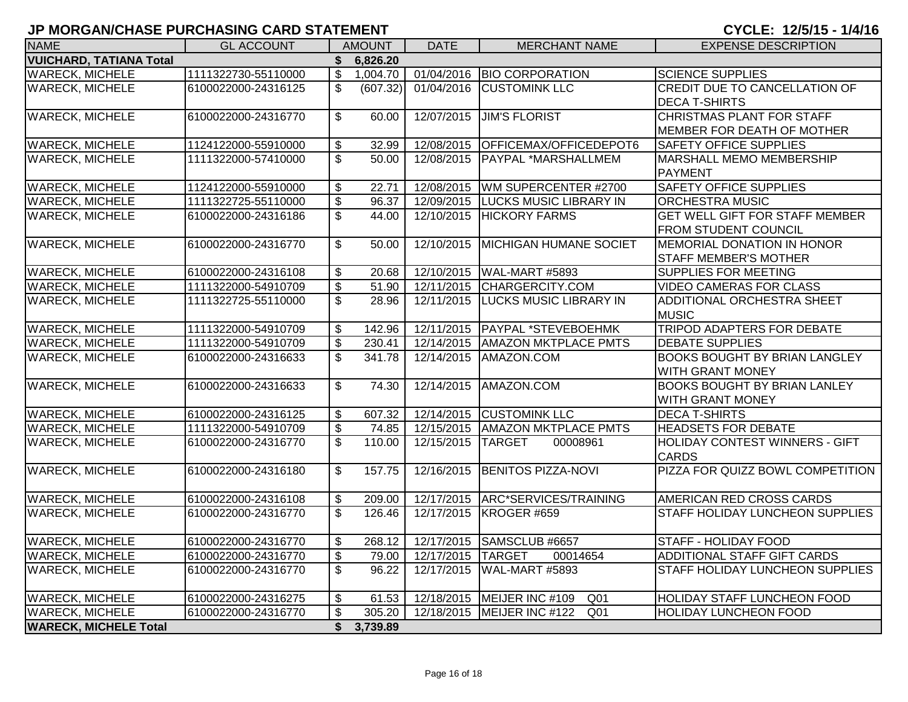| <b>NAME</b>                                      | <b>GL ACCOUNT</b>                          |                          | <b>AMOUNT</b>    | <b>DATE</b> | <b>MERCHANT NAME</b>                              | <b>EXPENSE DESCRIPTION</b>                                         |  |  |
|--------------------------------------------------|--------------------------------------------|--------------------------|------------------|-------------|---------------------------------------------------|--------------------------------------------------------------------|--|--|
| <b>VUICHARD, TATIANA Total</b>                   |                                            | \$                       | 6,826.20         |             |                                                   |                                                                    |  |  |
| <b>WARECK, MICHELE</b>                           | 1111322730-55110000                        | $\mathfrak{S}$           | 1,004.70         | 01/04/2016  | <b>BIO CORPORATION</b>                            | <b>SCIENCE SUPPLIES</b>                                            |  |  |
| <b>WARECK, MICHELE</b>                           | 6100022000-24316125                        | $\overline{\mathbb{S}}$  | (607.32)         | 01/04/2016  | <b>CUSTOMINK LLC</b>                              | CREDIT DUE TO CANCELLATION OF                                      |  |  |
|                                                  |                                            |                          |                  |             |                                                   | <b>DECA T-SHIRTS</b>                                               |  |  |
| <b>WARECK, MICHELE</b>                           | 6100022000-24316770                        | \$                       | 60.00            | 12/07/2015  | <b>JIM'S FLORIST</b>                              | CHRISTMAS PLANT FOR STAFF                                          |  |  |
|                                                  |                                            |                          |                  |             |                                                   | <b>MEMBER FOR DEATH OF MOTHER</b>                                  |  |  |
| <b>WARECK, MICHELE</b>                           | 1124122000-55910000                        | \$                       | 32.99            | 12/08/2015  | OFFICEMAX/OFFICEDEPOT6                            | <b>SAFETY OFFICE SUPPLIES</b>                                      |  |  |
| <b>WARECK, MICHELE</b>                           | 1111322000-57410000                        | \$                       | 50.00            | 12/08/2015  | PAYPAL *MARSHALLMEM                               | <b>MARSHALL MEMO MEMBERSHIP</b>                                    |  |  |
|                                                  |                                            |                          |                  |             |                                                   | <b>PAYMENT</b>                                                     |  |  |
| <b>WARECK, MICHELE</b>                           | 1124122000-55910000                        | \$                       | 22.71            | 12/08/2015  | WM SUPERCENTER #2700                              | <b>SAFETY OFFICE SUPPLIES</b>                                      |  |  |
| <b>WARECK, MICHELE</b>                           | 1111322725-55110000                        | $\overline{\$}$          | 96.37            | 12/09/2015  | <b>LUCKS MUSIC LIBRARY IN</b>                     | <b>ORCHESTRA MUSIC</b>                                             |  |  |
| <b>WARECK, MICHELE</b>                           | 6100022000-24316186                        | $\overline{\mathcal{S}}$ | 44.00            | 12/10/2015  | <b>HICKORY FARMS</b>                              | <b>GET WELL GIFT FOR STAFF MEMBER</b>                              |  |  |
|                                                  |                                            |                          |                  |             |                                                   | <b>FROM STUDENT COUNCIL</b>                                        |  |  |
| <b>WARECK, MICHELE</b>                           | 6100022000-24316770                        | $\overline{\mathcal{S}}$ | 50.00            | 12/10/2015  | <b>MICHIGAN HUMANE SOCIET</b>                     | <b>MEMORIAL DONATION IN HONOR</b>                                  |  |  |
|                                                  |                                            |                          |                  |             |                                                   | <b>STAFF MEMBER'S MOTHER</b>                                       |  |  |
| <b>WARECK, MICHELE</b>                           | 6100022000-24316108                        | \$                       | 20.68            | 12/10/2015  | <b>WAL-MART #5893</b>                             | <b>SUPPLIES FOR MEETING</b>                                        |  |  |
| <b>WARECK, MICHELE</b>                           | 1111322000-54910709                        | $\overline{\mathcal{E}}$ | 51.90            | 12/11/2015  | CHARGERCITY.COM                                   | <b>VIDEO CAMERAS FOR CLASS</b>                                     |  |  |
| <b>WARECK, MICHELE</b>                           | 1111322725-55110000                        | \$                       | 28.96            | 12/11/2015  | <b>LUCKS MUSIC LIBRARY IN</b>                     | ADDITIONAL ORCHESTRA SHEET                                         |  |  |
|                                                  |                                            |                          |                  |             |                                                   | <b>MUSIC</b>                                                       |  |  |
| <b>WARECK, MICHELE</b>                           | 1111322000-54910709                        | \$                       | 142.96           | 12/11/2015  | <b>PAYPAL *STEVEBOEHMK</b>                        | <b>TRIPOD ADAPTERS FOR DEBATE</b>                                  |  |  |
| <b>WARECK, MICHELE</b>                           | 1111322000-54910709                        | $\overline{\mathcal{S}}$ | 230.41           | 12/14/2015  | <b>AMAZON MKTPLACE PMTS</b>                       | <b>DEBATE SUPPLIES</b>                                             |  |  |
| <b>WARECK, MICHELE</b>                           | 6100022000-24316633                        | \$                       | 341.78           | 12/14/2015  | AMAZON.COM                                        | <b>BOOKS BOUGHT BY BRIAN LANGLEY</b>                               |  |  |
|                                                  |                                            |                          |                  |             |                                                   | <b>WITH GRANT MONEY</b>                                            |  |  |
| <b>WARECK, MICHELE</b>                           | 6100022000-24316633                        | $\overline{\mathcal{S}}$ | 74.30            | 12/14/2015  | AMAZON.COM                                        | <b>BOOKS BOUGHT BY BRIAN LANLEY</b>                                |  |  |
|                                                  |                                            |                          |                  |             |                                                   | <b>WITH GRANT MONEY</b>                                            |  |  |
| <b>WARECK, MICHELE</b>                           | 6100022000-24316125                        | \$                       | 607.32           |             | 12/14/2015 CUSTOMINK LLC                          | <b>DECA T-SHIRTS</b>                                               |  |  |
| <b>WARECK, MICHELE</b>                           | 1111322000-54910709                        | \$                       | 74.85            | 12/15/2015  | <b>AMAZON MKTPLACE PMTS</b>                       | <b>HEADSETS FOR DEBATE</b>                                         |  |  |
| <b>WARECK, MICHELE</b>                           | 6100022000-24316770                        | $\overline{\mathcal{S}}$ | 110.00           | 12/15/2015  | <b>TARGET</b><br>00008961                         | <b>HOLIDAY CONTEST WINNERS - GIFT</b>                              |  |  |
|                                                  |                                            |                          |                  |             |                                                   | <b>CARDS</b>                                                       |  |  |
| <b>WARECK, MICHELE</b>                           | 6100022000-24316180                        | \$                       | 157.75           | 12/16/2015  | <b>BENITOS PIZZA-NOVI</b>                         | PIZZA FOR QUIZZ BOWL COMPETITION                                   |  |  |
|                                                  |                                            |                          |                  |             |                                                   |                                                                    |  |  |
| <b>WARECK, MICHELE</b><br><b>WARECK, MICHELE</b> | 6100022000-24316108<br>6100022000-24316770 | \$<br>$\mathfrak{S}$     | 209.00<br>126.46 | 12/17/2015  | ARC*SERVICES/TRAINING<br>12/17/2015   KROGER #659 | AMERICAN RED CROSS CARDS<br><b>STAFF HOLIDAY LUNCHEON SUPPLIES</b> |  |  |
|                                                  |                                            |                          |                  |             |                                                   |                                                                    |  |  |
| <b>WARECK, MICHELE</b>                           | 6100022000-24316770                        | \$                       | 268.12           |             | 12/17/2015 SAMSCLUB #6657                         | STAFF - HOLIDAY FOOD                                               |  |  |
| <b>WARECK, MICHELE</b>                           | 6100022000-24316770                        | \$                       | 79.00            | 12/17/2015  | <b>TARGET</b><br>00014654                         | ADDITIONAL STAFF GIFT CARDS                                        |  |  |
| <b>WARECK, MICHELE</b>                           | 6100022000-24316770                        | $\overline{\mathcal{S}}$ | 96.22            |             | 12/17/2015 WAL-MART #5893                         | STAFF HOLIDAY LUNCHEON SUPPLIES                                    |  |  |
|                                                  |                                            |                          |                  |             |                                                   |                                                                    |  |  |
| <b>WARECK, MICHELE</b>                           | 6100022000-24316275                        | \$                       | 61.53            | 12/18/2015  | MEIJER INC #109<br>Q <sub>01</sub>                | <b>HOLIDAY STAFF LUNCHEON FOOD</b>                                 |  |  |
| <b>WARECK, MICHELE</b>                           | 6100022000-24316770                        | \$                       | 305.20           |             | 12/18/2015   MEIJER INC #122<br>Q <sub>01</sub>   | <b>HOLIDAY LUNCHEON FOOD</b>                                       |  |  |
| <b>WARECK, MICHELE Total</b>                     |                                            | \$                       | 3,739.89         |             |                                                   |                                                                    |  |  |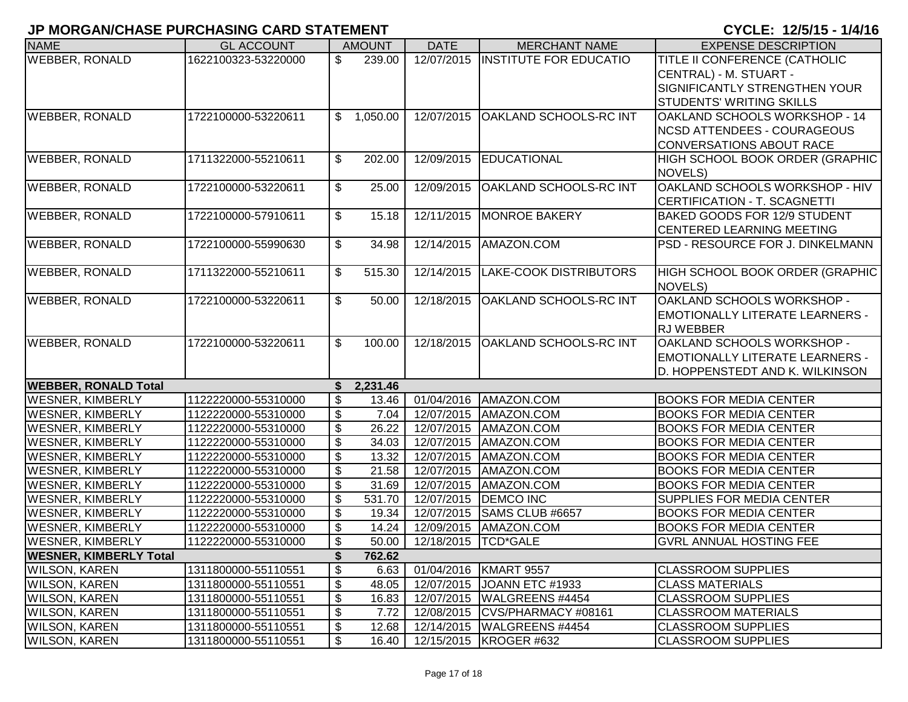|                               |                     | ו וווסווסהוקטוואט ביווטווס ווועדודי וטו |               |                     |                                   | VIVLL. I <i>liji</i> IV I <i>I</i> IV  |  |  |  |
|-------------------------------|---------------------|-----------------------------------------|---------------|---------------------|-----------------------------------|----------------------------------------|--|--|--|
| <b>NAME</b>                   | <b>GL ACCOUNT</b>   |                                         | <b>AMOUNT</b> | <b>DATE</b>         | <b>MERCHANT NAME</b>              | <b>EXPENSE DESCRIPTION</b>             |  |  |  |
| <b>WEBBER, RONALD</b>         | 1622100323-53220000 | \$                                      | 239.00        |                     | 12/07/2015 INSTITUTE FOR EDUCATIO | TITLE II CONFERENCE (CATHOLIC          |  |  |  |
|                               |                     |                                         |               |                     |                                   | CENTRAL) - M. STUART -                 |  |  |  |
|                               |                     |                                         |               |                     |                                   | SIGNIFICANTLY STRENGTHEN YOUR          |  |  |  |
|                               |                     |                                         |               |                     |                                   | <b>STUDENTS' WRITING SKILLS</b>        |  |  |  |
| <b>WEBBER, RONALD</b>         | 1722100000-53220611 | \$                                      | 1,050.00      | 12/07/2015          | <b>OAKLAND SCHOOLS-RC INT</b>     | OAKLAND SCHOOLS WORKSHOP - 14          |  |  |  |
|                               |                     |                                         |               |                     |                                   | <b>NCSD ATTENDEES - COURAGEOUS</b>     |  |  |  |
|                               |                     |                                         |               |                     |                                   | <b>CONVERSATIONS ABOUT RACE</b>        |  |  |  |
| <b>WEBBER, RONALD</b>         | 1711322000-55210611 | \$                                      | 202.00        | 12/09/2015          | EDUCATIONAL                       | HIGH SCHOOL BOOK ORDER (GRAPHIC        |  |  |  |
|                               |                     |                                         |               |                     |                                   | NOVELS)                                |  |  |  |
| <b>WEBBER, RONALD</b>         | 1722100000-53220611 | \$                                      | 25.00         | 12/09/2015          | <b>OAKLAND SCHOOLS-RC INT</b>     | OAKLAND SCHOOLS WORKSHOP - HIV         |  |  |  |
|                               |                     |                                         |               |                     |                                   | CERTIFICATION - T. SCAGNETTI           |  |  |  |
| <b>WEBBER, RONALD</b>         | 1722100000-57910611 | \$                                      | 15.18         | 12/11/2015          | MONROE BAKERY                     | <b>BAKED GOODS FOR 12/9 STUDENT</b>    |  |  |  |
|                               |                     |                                         |               |                     |                                   | CENTERED LEARNING MEETING              |  |  |  |
| <b>WEBBER, RONALD</b>         | 1722100000-55990630 | \$                                      | 34.98         | 12/14/2015          | AMAZON.COM                        | PSD - RESOURCE FOR J. DINKELMANN       |  |  |  |
|                               |                     |                                         |               |                     |                                   |                                        |  |  |  |
| <b>WEBBER, RONALD</b>         | 1711322000-55210611 | \$                                      | 515.30        | 12/14/2015          | <b>LAKE-COOK DISTRIBUTORS</b>     | HIGH SCHOOL BOOK ORDER (GRAPHIC        |  |  |  |
|                               |                     |                                         |               |                     |                                   | NOVELS)                                |  |  |  |
| <b>WEBBER, RONALD</b>         | 1722100000-53220611 | \$                                      | 50.00         | 12/18/2015          | <b>OAKLAND SCHOOLS-RC INT</b>     | OAKLAND SCHOOLS WORKSHOP -             |  |  |  |
|                               |                     |                                         |               |                     |                                   | <b>EMOTIONALLY LITERATE LEARNERS -</b> |  |  |  |
|                               |                     |                                         |               |                     |                                   | <b>RJ WEBBER</b>                       |  |  |  |
| <b>WEBBER, RONALD</b>         | 1722100000-53220611 | \$                                      | 100.00        | 12/18/2015          | OAKLAND SCHOOLS-RC INT            | OAKLAND SCHOOLS WORKSHOP -             |  |  |  |
|                               |                     |                                         |               |                     |                                   | <b>EMOTIONALLY LITERATE LEARNERS -</b> |  |  |  |
|                               |                     |                                         |               |                     |                                   | D. HOPPENSTEDT AND K. WILKINSON        |  |  |  |
| <b>WEBBER, RONALD Total</b>   |                     | S.                                      | 2,231.46      |                     |                                   |                                        |  |  |  |
| <b>WESNER, KIMBERLY</b>       | 1122220000-55310000 | \$                                      | 13.46         | 01/04/2016          | AMAZON.COM                        | <b>BOOKS FOR MEDIA CENTER</b>          |  |  |  |
| <b>WESNER, KIMBERLY</b>       | 1122220000-55310000 | $\overline{\mathcal{S}}$                | 7.04          |                     | 12/07/2015   AMAZON.COM           | <b>BOOKS FOR MEDIA CENTER</b>          |  |  |  |
| <b>WESNER, KIMBERLY</b>       | 1122220000-55310000 | \$                                      | 26.22         | 12/07/2015          | AMAZON.COM                        | <b>BOOKS FOR MEDIA CENTER</b>          |  |  |  |
| <b>WESNER, KIMBERLY</b>       | 1122220000-55310000 | \$                                      | 34.03         | 12/07/2015          | AMAZON.COM                        | <b>BOOKS FOR MEDIA CENTER</b>          |  |  |  |
| <b>WESNER, KIMBERLY</b>       | 1122220000-55310000 | \$                                      | 13.32         | 12/07/2015          | AMAZON.COM                        | <b>BOOKS FOR MEDIA CENTER</b>          |  |  |  |
| <b>WESNER, KIMBERLY</b>       | 1122220000-55310000 | \$                                      | 21.58         | 12/07/2015          | AMAZON.COM                        | <b>BOOKS FOR MEDIA CENTER</b>          |  |  |  |
| <b>WESNER, KIMBERLY</b>       | 1122220000-55310000 | \$                                      | 31.69         | 12/07/2015          | AMAZON.COM                        | <b>BOOKS FOR MEDIA CENTER</b>          |  |  |  |
| <b>WESNER, KIMBERLY</b>       | 1122220000-55310000 | \$                                      | 531.70        | 12/07/2015          | <b>DEMCO INC</b>                  | <b>SUPPLIES FOR MEDIA CENTER</b>       |  |  |  |
| <b>WESNER, KIMBERLY</b>       | 1122220000-55310000 | \$                                      | 19.34         | 12/07/2015          | <b>SAMS CLUB #6657</b>            | <b>BOOKS FOR MEDIA CENTER</b>          |  |  |  |
| <b>WESNER, KIMBERLY</b>       | 1122220000-55310000 | \$                                      | 14.24         | 12/09/2015          | AMAZON.COM                        | <b>BOOKS FOR MEDIA CENTER</b>          |  |  |  |
| <b>WESNER, KIMBERLY</b>       | 1122220000-55310000 | $\mathfrak{S}$                          | 50.00         | 12/18/2015 TCD*GALE |                                   | <b>GVRL ANNUAL HOSTING FEE</b>         |  |  |  |
| <b>WESNER, KIMBERLY Total</b> |                     | S                                       | 762.62        |                     |                                   |                                        |  |  |  |
| <b>WILSON, KAREN</b>          | 1311800000-55110551 | \$                                      | 6.63          | 01/04/2016          | KMART 9557                        | <b>CLASSROOM SUPPLIES</b>              |  |  |  |
| <b>WILSON, KAREN</b>          | 1311800000-55110551 | \$                                      | 48.05         | 12/07/2015          | JOANN ETC #1933                   | <b>CLASS MATERIALS</b>                 |  |  |  |
| <b>WILSON, KAREN</b>          | 1311800000-55110551 | \$                                      | 16.83         | 12/07/2015          | WALGREENS #4454                   | <b>CLASSROOM SUPPLIES</b>              |  |  |  |
| <b>WILSON, KAREN</b>          | 1311800000-55110551 | \$                                      | 7.72          | 12/08/2015          | CVS/PHARMACY #08161               | <b>CLASSROOM MATERIALS</b>             |  |  |  |
| <b>WILSON, KAREN</b>          | 1311800000-55110551 | \$                                      | 12.68         | 12/14/2015          | WALGREENS #4454                   | <b>CLASSROOM SUPPLIES</b>              |  |  |  |
| <b>WILSON, KAREN</b>          | 1311800000-55110551 | \$                                      | 16.40         |                     | 12/15/2015   KROGER #632          | <b>CLASSROOM SUPPLIES</b>              |  |  |  |